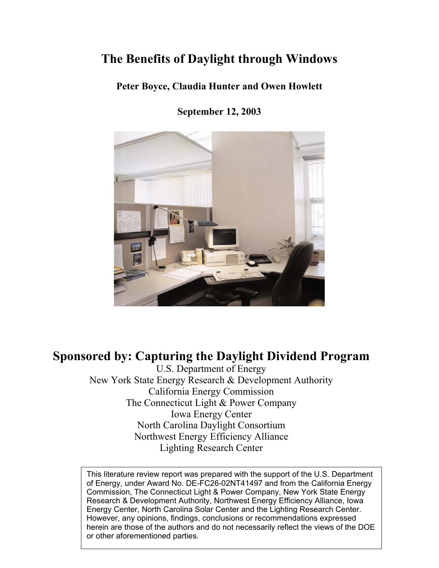# **The Benefits of Daylight through Windows**

**Peter Boyce, Claudia Hunter and Owen Howlett**

**September 12, 2003**



# **Sponsored by: Capturing the Daylight Dividend Program**

U.S. Department of Energy New York State Energy Research & Development Authority California Energy Commission The Connecticut Light & Power Company Iowa Energy Center North Carolina Daylight Consortium Northwest Energy Efficiency Alliance Lighting Research Center

This literature review report was prepared with the support of the U.S. Department of Energy, under Award No. DE-FC26-02NT41497 and from the California Energy Commission, The Connecticut Light & Power Company, New York State Energy Research & Development Authority, Northwest Energy Efficiency Alliance, Iowa Energy Center, North Carolina Solar Center and the Lighting Research Center. However, any opinions, findings, conclusions or recommendations expressed herein are those of the authors and do not necessarily reflect the views of the DOE or other aforementioned parties.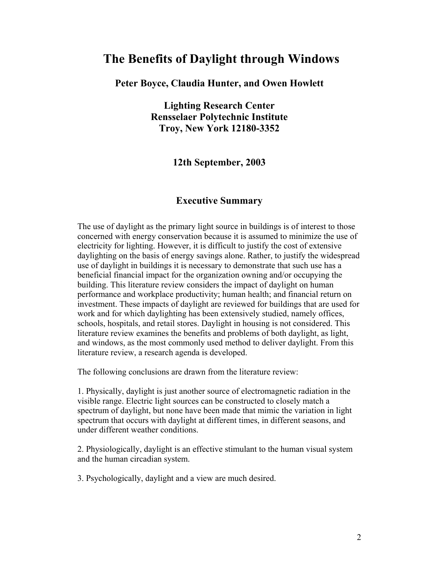## **The Benefits of Daylight through Windows**

### **Peter Boyce, Claudia Hunter, and Owen Howlett**

**Lighting Research Center Rensselaer Polytechnic Institute Troy, New York 12180-3352** 

**12th September, 2003** 

## **Executive Summary**

The use of daylight as the primary light source in buildings is of interest to those concerned with energy conservation because it is assumed to minimize the use of electricity for lighting. However, it is difficult to justify the cost of extensive daylighting on the basis of energy savings alone. Rather, to justify the widespread use of daylight in buildings it is necessary to demonstrate that such use has a beneficial financial impact for the organization owning and/or occupying the building. This literature review considers the impact of daylight on human performance and workplace productivity; human health; and financial return on investment. These impacts of daylight are reviewed for buildings that are used for work and for which daylighting has been extensively studied, namely offices, schools, hospitals, and retail stores. Daylight in housing is not considered. This literature review examines the benefits and problems of both daylight, as light, and windows, as the most commonly used method to deliver daylight. From this literature review, a research agenda is developed.

The following conclusions are drawn from the literature review:

1. Physically, daylight is just another source of electromagnetic radiation in the visible range. Electric light sources can be constructed to closely match a spectrum of daylight, but none have been made that mimic the variation in light spectrum that occurs with daylight at different times, in different seasons, and under different weather conditions.

2. Physiologically, daylight is an effective stimulant to the human visual system and the human circadian system.

3. Psychologically, daylight and a view are much desired.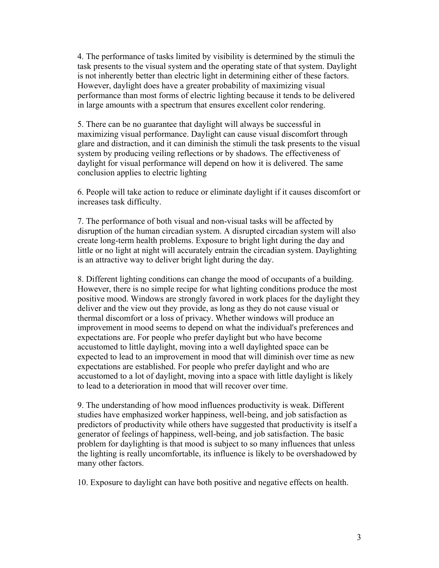4. The performance of tasks limited by visibility is determined by the stimuli the task presents to the visual system and the operating state of that system. Daylight is not inherently better than electric light in determining either of these factors. However, daylight does have a greater probability of maximizing visual performance than most forms of electric lighting because it tends to be delivered in large amounts with a spectrum that ensures excellent color rendering.

5. There can be no guarantee that daylight will always be successful in maximizing visual performance. Daylight can cause visual discomfort through glare and distraction, and it can diminish the stimuli the task presents to the visual system by producing veiling reflections or by shadows. The effectiveness of daylight for visual performance will depend on how it is delivered. The same conclusion applies to electric lighting

6. People will take action to reduce or eliminate daylight if it causes discomfort or increases task difficulty.

7. The performance of both visual and non-visual tasks will be affected by disruption of the human circadian system. A disrupted circadian system will also create long-term health problems. Exposure to bright light during the day and little or no light at night will accurately entrain the circadian system. Daylighting is an attractive way to deliver bright light during the day.

8. Different lighting conditions can change the mood of occupants of a building. However, there is no simple recipe for what lighting conditions produce the most positive mood. Windows are strongly favored in work places for the daylight they deliver and the view out they provide, as long as they do not cause visual or thermal discomfort or a loss of privacy. Whether windows will produce an improvement in mood seems to depend on what the individual's preferences and expectations are. For people who prefer daylight but who have become accustomed to little daylight, moving into a well daylighted space can be expected to lead to an improvement in mood that will diminish over time as new expectations are established. For people who prefer daylight and who are accustomed to a lot of daylight, moving into a space with little daylight is likely to lead to a deterioration in mood that will recover over time.

9. The understanding of how mood influences productivity is weak. Different studies have emphasized worker happiness, well-being, and job satisfaction as predictors of productivity while others have suggested that productivity is itself a generator of feelings of happiness, well-being, and job satisfaction. The basic problem for daylighting is that mood is subject to so many influences that unless the lighting is really uncomfortable, its influence is likely to be overshadowed by many other factors.

10. Exposure to daylight can have both positive and negative effects on health.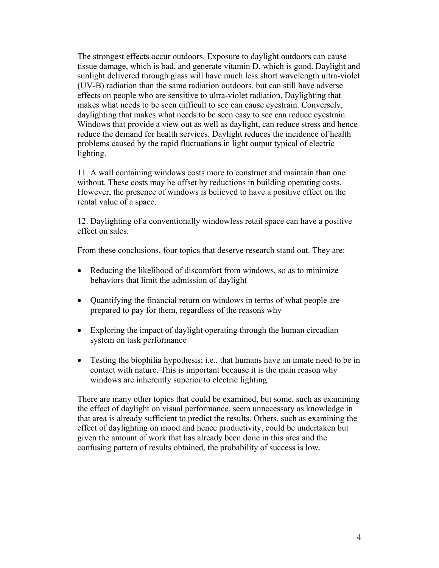The strongest effects occur outdoors. Exposure to daylight outdoors can cause tissue damage, which is bad, and generate vitamin D, which is good. Daylight and sunlight delivered through glass will have much less short wavelength ultra-violet (UV-B) radiation than the same radiation outdoors, but can still have adverse effects on people who are sensitive to ultra-violet radiation. Daylighting that makes what needs to be seen difficult to see can cause eyestrain. Conversely, daylighting that makes what needs to be seen easy to see can reduce eyestrain. Windows that provide a view out as well as daylight, can reduce stress and hence reduce the demand for health services. Daylight reduces the incidence of health problems caused by the rapid fluctuations in light output typical of electric lighting.

11. A wall containing windows costs more to construct and maintain than one without. These costs may be offset by reductions in building operating costs. However, the presence of windows is believed to have a positive effect on the rental value of a space.

12. Daylighting of a conventionally windowless retail space can have a positive effect on sales.

From these conclusions, four topics that deserve research stand out. They are:

- Reducing the likelihood of discomfort from windows, so as to minimize behaviors that limit the admission of daylight
- Quantifying the financial return on windows in terms of what people are prepared to pay for them, regardless of the reasons why
- Exploring the impact of daylight operating through the human circadian system on task performance
- Testing the biophilia hypothesis; i.e., that humans have an innate need to be in contact with nature. This is important because it is the main reason why windows are inherently superior to electric lighting

There are many other topics that could be examined, but some, such as examining the effect of daylight on visual performance, seem unnecessary as knowledge in that area is already sufficient to predict the results. Others, such as examining the effect of daylighting on mood and hence productivity, could be undertaken but given the amount of work that has already been done in this area and the confusing pattern of results obtained, the probability of success is low.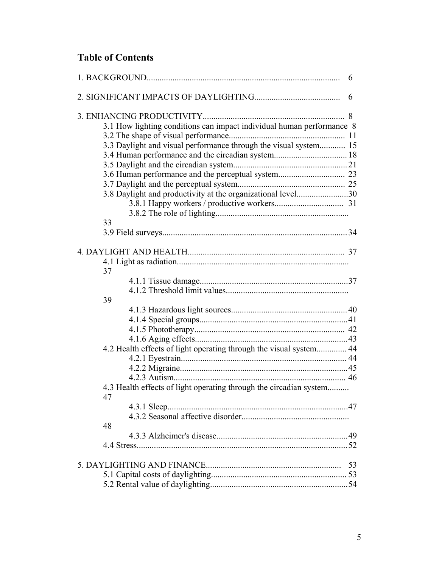## **Table of Contents**

|                                                                          | 6  |
|--------------------------------------------------------------------------|----|
|                                                                          | 6  |
|                                                                          |    |
| 3.1 How lighting conditions can impact individual human performance 8    |    |
|                                                                          |    |
| 3.3 Daylight and visual performance through the visual system 15         |    |
|                                                                          |    |
|                                                                          |    |
|                                                                          |    |
|                                                                          |    |
| 3.8 Daylight and productivity at the organizational level30              |    |
|                                                                          |    |
|                                                                          |    |
| 33                                                                       |    |
|                                                                          |    |
|                                                                          |    |
|                                                                          |    |
|                                                                          |    |
| 37                                                                       |    |
|                                                                          |    |
|                                                                          |    |
| 39                                                                       |    |
|                                                                          |    |
|                                                                          |    |
|                                                                          |    |
|                                                                          |    |
| 4.2 Health effects of light operating through the visual system 44       |    |
|                                                                          |    |
|                                                                          |    |
|                                                                          |    |
| 4.3 Health effects of light operating through the circadian system<br>47 |    |
|                                                                          |    |
|                                                                          |    |
| 48                                                                       |    |
|                                                                          |    |
|                                                                          |    |
|                                                                          |    |
|                                                                          | 53 |
|                                                                          |    |
|                                                                          |    |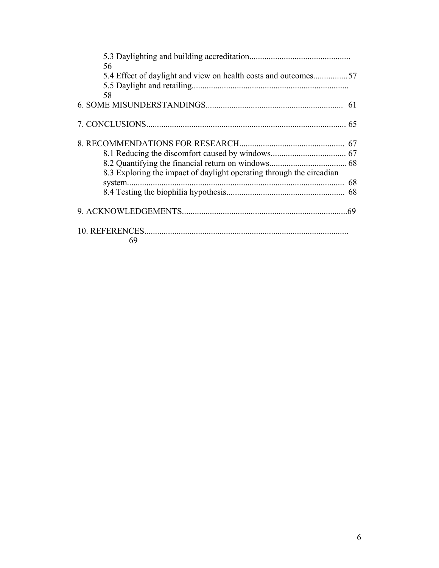| 56<br>5.4 Effect of daylight and view on health costs and outcomes57 |    |
|----------------------------------------------------------------------|----|
| 58                                                                   |    |
|                                                                      |    |
|                                                                      |    |
|                                                                      |    |
|                                                                      |    |
|                                                                      |    |
| 8.3 Exploring the impact of daylight operating through the circadian |    |
|                                                                      | 68 |
|                                                                      |    |
|                                                                      |    |
| 69                                                                   |    |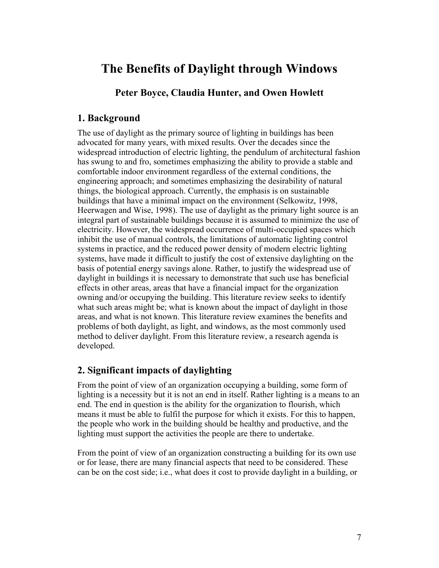# **The Benefits of Daylight through Windows**

## **Peter Boyce, Claudia Hunter, and Owen Howlett**

## **1. Background**

The use of daylight as the primary source of lighting in buildings has been advocated for many years, with mixed results. Over the decades since the widespread introduction of electric lighting, the pendulum of architectural fashion has swung to and fro, sometimes emphasizing the ability to provide a stable and comfortable indoor environment regardless of the external conditions, the engineering approach; and sometimes emphasizing the desirability of natural things, the biological approach. Currently, the emphasis is on sustainable buildings that have a minimal impact on the environment (Selkowitz, 1998, Heerwagen and Wise, 1998). The use of daylight as the primary light source is an integral part of sustainable buildings because it is assumed to minimize the use of electricity. However, the widespread occurrence of multi-occupied spaces which inhibit the use of manual controls, the limitations of automatic lighting control systems in practice, and the reduced power density of modern electric lighting systems, have made it difficult to justify the cost of extensive daylighting on the basis of potential energy savings alone. Rather, to justify the widespread use of daylight in buildings it is necessary to demonstrate that such use has beneficial effects in other areas, areas that have a financial impact for the organization owning and/or occupying the building. This literature review seeks to identify what such areas might be; what is known about the impact of daylight in those areas, and what is not known. This literature review examines the benefits and problems of both daylight, as light, and windows, as the most commonly used method to deliver daylight. From this literature review, a research agenda is developed.

## **2. Significant impacts of daylighting**

From the point of view of an organization occupying a building, some form of lighting is a necessity but it is not an end in itself. Rather lighting is a means to an end. The end in question is the ability for the organization to flourish, which means it must be able to fulfil the purpose for which it exists. For this to happen, the people who work in the building should be healthy and productive, and the lighting must support the activities the people are there to undertake.

From the point of view of an organization constructing a building for its own use or for lease, there are many financial aspects that need to be considered. These can be on the cost side; i.e., what does it cost to provide daylight in a building, or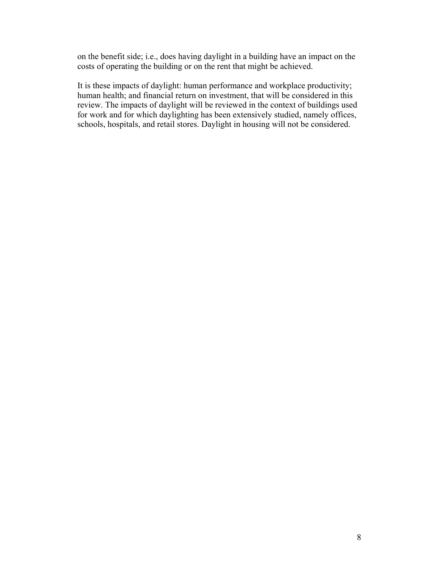on the benefit side; i.e., does having daylight in a building have an impact on the costs of operating the building or on the rent that might be achieved.

It is these impacts of daylight: human performance and workplace productivity; human health; and financial return on investment, that will be considered in this review. The impacts of daylight will be reviewed in the context of buildings used for work and for which daylighting has been extensively studied, namely offices, schools, hospitals, and retail stores. Daylight in housing will not be considered.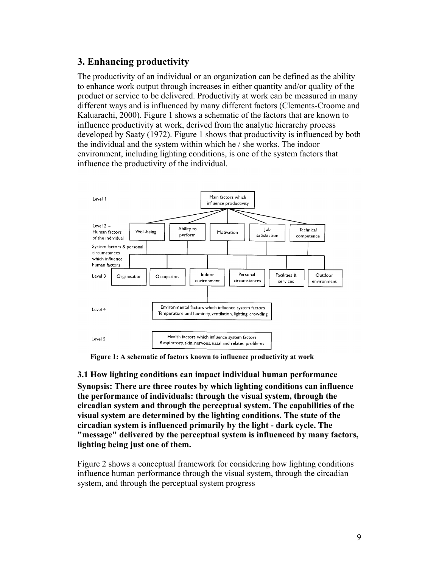## **3. Enhancing productivity**

The productivity of an individual or an organization can be defined as the ability to enhance work output through increases in either quantity and/or quality of the product or service to be delivered. Productivity at work can be measured in many different ways and is influenced by many different factors (Clements-Croome and Kaluarachi, 2000). Figure 1 shows a schematic of the factors that are known to influence productivity at work, derived from the analytic hierarchy process developed by Saaty (1972). Figure 1 shows that productivity is influenced by both the individual and the system within which he / she works. The indoor environment, including lighting conditions, is one of the system factors that influence the productivity of the individual.



**Figure 1: A schematic of factors known to influence productivity at work** 

**3.1 How lighting conditions can impact individual human performance Synopsis: There are three routes by which lighting conditions can influence the performance of individuals: through the visual system, through the circadian system and through the perceptual system. The capabilities of the visual system are determined by the lighting conditions. The state of the circadian system is influenced primarily by the light - dark cycle. The "message" delivered by the perceptual system is influenced by many factors, lighting being just one of them.** 

Figure 2 shows a conceptual framework for considering how lighting conditions influence human performance through the visual system, through the circadian system, and through the perceptual system progress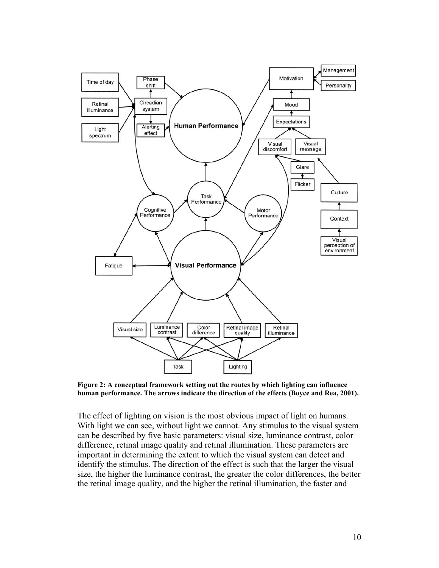

**Figure 2: A conceptual framework setting out the routes by which lighting can influence human performance. The arrows indicate the direction of the effects (Boyce and Rea, 2001).** 

The effect of lighting on vision is the most obvious impact of light on humans. With light we can see, without light we cannot. Any stimulus to the visual system can be described by five basic parameters: visual size, luminance contrast, color difference, retinal image quality and retinal illumination. These parameters are important in determining the extent to which the visual system can detect and identify the stimulus. The direction of the effect is such that the larger the visual size, the higher the luminance contrast, the greater the color differences, the better the retinal image quality, and the higher the retinal illumination, the faster and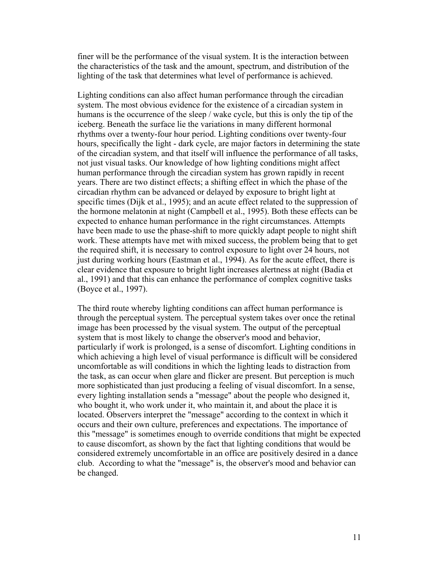finer will be the performance of the visual system. It is the interaction between the characteristics of the task and the amount, spectrum, and distribution of the lighting of the task that determines what level of performance is achieved.

Lighting conditions can also affect human performance through the circadian system. The most obvious evidence for the existence of a circadian system in humans is the occurrence of the sleep / wake cycle, but this is only the tip of the iceberg. Beneath the surface lie the variations in many different hormonal rhythms over a twenty-four hour period. Lighting conditions over twenty-four hours, specifically the light - dark cycle, are major factors in determining the state of the circadian system, and that itself will influence the performance of all tasks, not just visual tasks. Our knowledge of how lighting conditions might affect human performance through the circadian system has grown rapidly in recent years. There are two distinct effects; a shifting effect in which the phase of the circadian rhythm can be advanced or delayed by exposure to bright light at specific times (Dijk et al., 1995); and an acute effect related to the suppression of the hormone melatonin at night (Campbell et al., 1995). Both these effects can be expected to enhance human performance in the right circumstances. Attempts have been made to use the phase-shift to more quickly adapt people to night shift work. These attempts have met with mixed success, the problem being that to get the required shift, it is necessary to control exposure to light over 24 hours, not just during working hours (Eastman et al., 1994). As for the acute effect, there is clear evidence that exposure to bright light increases alertness at night (Badia et al., 1991) and that this can enhance the performance of complex cognitive tasks (Boyce et al., 1997).

The third route whereby lighting conditions can affect human performance is through the perceptual system. The perceptual system takes over once the retinal image has been processed by the visual system. The output of the perceptual system that is most likely to change the observer's mood and behavior, particularly if work is prolonged, is a sense of discomfort. Lighting conditions in which achieving a high level of visual performance is difficult will be considered uncomfortable as will conditions in which the lighting leads to distraction from the task, as can occur when glare and flicker are present. But perception is much more sophisticated than just producing a feeling of visual discomfort. In a sense, every lighting installation sends a "message" about the people who designed it, who bought it, who work under it, who maintain it, and about the place it is located. Observers interpret the "message" according to the context in which it occurs and their own culture, preferences and expectations. The importance of this "message" is sometimes enough to override conditions that might be expected to cause discomfort, as shown by the fact that lighting conditions that would be considered extremely uncomfortable in an office are positively desired in a dance club. According to what the "message" is, the observer's mood and behavior can be changed.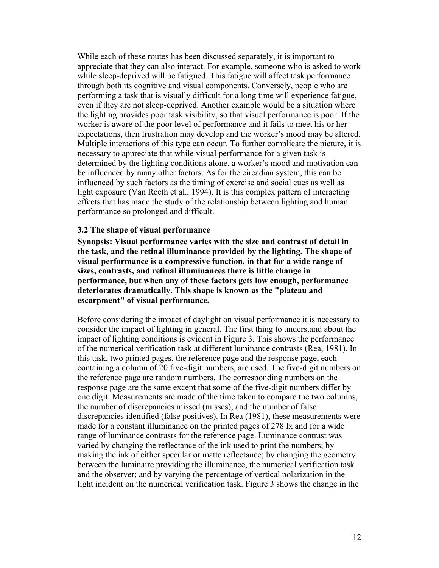While each of these routes has been discussed separately, it is important to appreciate that they can also interact. For example, someone who is asked to work while sleep-deprived will be fatigued. This fatigue will affect task performance through both its cognitive and visual components. Conversely, people who are performing a task that is visually difficult for a long time will experience fatigue, even if they are not sleep-deprived. Another example would be a situation where the lighting provides poor task visibility, so that visual performance is poor. If the worker is aware of the poor level of performance and it fails to meet his or her expectations, then frustration may develop and the worker's mood may be altered. Multiple interactions of this type can occur. To further complicate the picture, it is necessary to appreciate that while visual performance for a given task is determined by the lighting conditions alone, a worker's mood and motivation can be influenced by many other factors. As for the circadian system, this can be influenced by such factors as the timing of exercise and social cues as well as light exposure (Van Reeth et al., 1994). It is this complex pattern of interacting effects that has made the study of the relationship between lighting and human performance so prolonged and difficult.

#### **3.2 The shape of visual performance**

**Synopsis: Visual performance varies with the size and contrast of detail in the task, and the retinal illuminance provided by the lighting. The shape of visual performance is a compressive function, in that for a wide range of sizes, contrasts, and retinal illuminances there is little change in performance, but when any of these factors gets low enough, performance deteriorates dramatically. This shape is known as the "plateau and escarpment" of visual performance.** 

Before considering the impact of daylight on visual performance it is necessary to consider the impact of lighting in general. The first thing to understand about the impact of lighting conditions is evident in Figure 3. This shows the performance of the numerical verification task at different luminance contrasts (Rea, 1981). In this task, two printed pages, the reference page and the response page, each containing a column of 20 five-digit numbers, are used. The five-digit numbers on the reference page are random numbers. The corresponding numbers on the response page are the same except that some of the five-digit numbers differ by one digit. Measurements are made of the time taken to compare the two columns, the number of discrepancies missed (misses), and the number of false discrepancies identified (false positives). In Rea (1981), these measurements were made for a constant illuminance on the printed pages of 278 lx and for a wide range of luminance contrasts for the reference page. Luminance contrast was varied by changing the reflectance of the ink used to print the numbers; by making the ink of either specular or matte reflectance; by changing the geometry between the luminaire providing the illuminance, the numerical verification task and the observer; and by varying the percentage of vertical polarization in the light incident on the numerical verification task. Figure 3 shows the change in the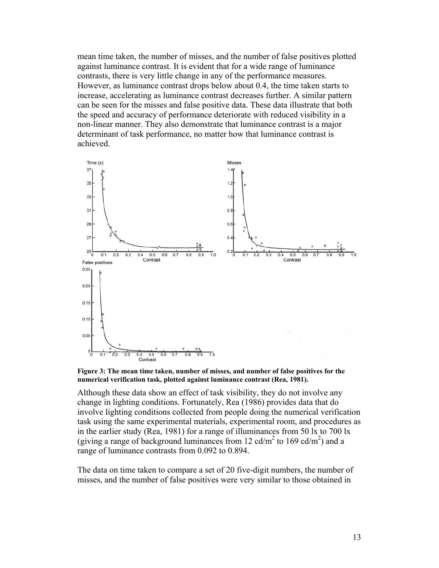mean time taken, the number of misses, and the number of false positives plotted against luminance contrast. It is evident that for a wide range of luminance contrasts, there is very little change in any of the performance measures. However, as luminance contrast drops below about 0.4, the time taken starts to increase, accelerating as luminance contrast decreases further. A similar pattern can be seen for the misses and false positive data. These data illustrate that both the speed and accuracy of performance deteriorate with reduced visibility in a non-linear manner. They also demonstrate that luminance contrast is a major determinant of task performance, no matter how that luminance contrast is achieved.



**Figure 3: The mean time taken, number of misses, and number of false positives for the numerical verification task, plotted against luminance contrast (Rea, 1981).** 

Although these data show an effect of task visibility, they do not involve any change in lighting conditions. Fortunately, Rea (1986) provides data that do involve lighting conditions collected from people doing the numerical verification task using the same experimental materials, experimental room, and procedures as in the earlier study (Rea, 1981) for a range of illuminances from 50 lx to 700 lx (giving a range of background luminances from 12 cd/m<sup>2</sup> to 169 cd/m<sup>2</sup>) and a range of luminance contrasts from 0.092 to 0.894.

The data on time taken to compare a set of 20 five-digit numbers, the number of misses, and the number of false positives were very similar to those obtained in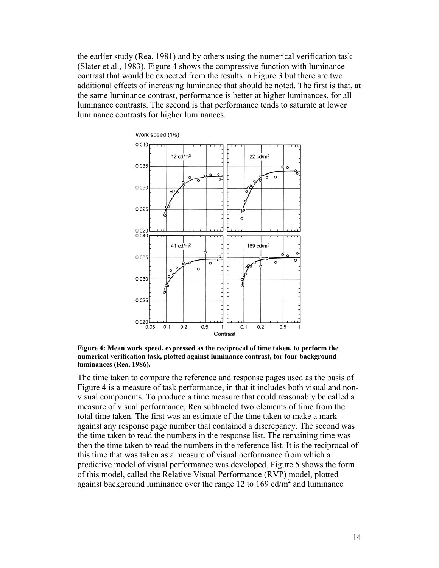the earlier study (Rea, 1981) and by others using the numerical verification task (Slater et al., 1983). Figure 4 shows the compressive function with luminance contrast that would be expected from the results in Figure 3 but there are two additional effects of increasing luminance that should be noted. The first is that, at the same luminance contrast, performance is better at higher luminances, for all luminance contrasts. The second is that performance tends to saturate at lower luminance contrasts for higher luminances.



**Figure 4: Mean work speed, expressed as the reciprocal of time taken, to perform the numerical verification task, plotted against luminance contrast, for four background luminances (Rea, 1986).** 

The time taken to compare the reference and response pages used as the basis of Figure 4 is a measure of task performance, in that it includes both visual and nonvisual components. To produce a time measure that could reasonably be called a measure of visual performance, Rea subtracted two elements of time from the total time taken. The first was an estimate of the time taken to make a mark against any response page number that contained a discrepancy. The second was the time taken to read the numbers in the response list. The remaining time was then the time taken to read the numbers in the reference list. It is the reciprocal of this time that was taken as a measure of visual performance from which a predictive model of visual performance was developed. Figure 5 shows the form of this model, called the Relative Visual Performance (RVP) model, plotted against background luminance over the range 12 to 169 cd/m<sup>2</sup> and luminance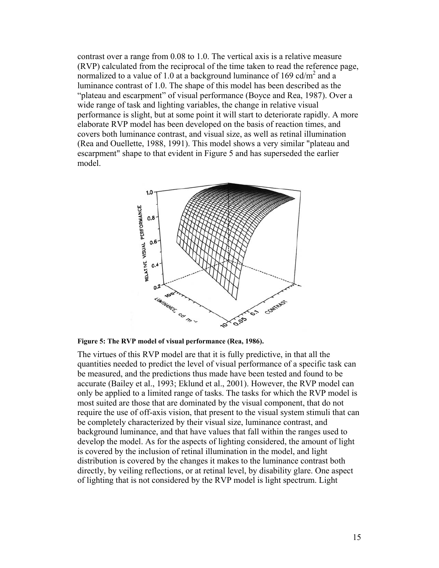contrast over a range from 0.08 to 1.0. The vertical axis is a relative measure (RVP) calculated from the reciprocal of the time taken to read the reference page, normalized to a value of 1.0 at a background luminance of 169 cd/ $m^2$  and a luminance contrast of 1.0. The shape of this model has been described as the "plateau and escarpment" of visual performance (Boyce and Rea, 1987). Over a wide range of task and lighting variables, the change in relative visual performance is slight, but at some point it will start to deteriorate rapidly. A more elaborate RVP model has been developed on the basis of reaction times, and covers both luminance contrast, and visual size, as well as retinal illumination (Rea and Ouellette, 1988, 1991). This model shows a very similar "plateau and escarpment" shape to that evident in Figure 5 and has superseded the earlier model.



**Figure 5: The RVP model of visual performance (Rea, 1986).** 

The virtues of this RVP model are that it is fully predictive, in that all the quantities needed to predict the level of visual performance of a specific task can be measured, and the predictions thus made have been tested and found to be accurate (Bailey et al., 1993; Eklund et al., 2001). However, the RVP model can only be applied to a limited range of tasks. The tasks for which the RVP model is most suited are those that are dominated by the visual component, that do not require the use of off-axis vision, that present to the visual system stimuli that can be completely characterized by their visual size, luminance contrast, and background luminance, and that have values that fall within the ranges used to develop the model. As for the aspects of lighting considered, the amount of light is covered by the inclusion of retinal illumination in the model, and light distribution is covered by the changes it makes to the luminance contrast both directly, by veiling reflections, or at retinal level, by disability glare. One aspect of lighting that is not considered by the RVP model is light spectrum. Light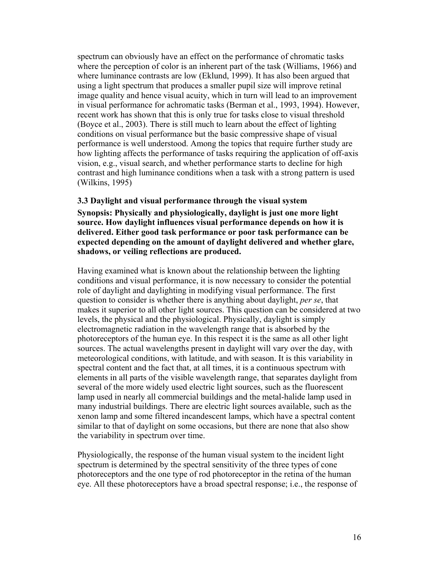spectrum can obviously have an effect on the performance of chromatic tasks where the perception of color is an inherent part of the task (Williams, 1966) and where luminance contrasts are low (Eklund, 1999). It has also been argued that using a light spectrum that produces a smaller pupil size will improve retinal image quality and hence visual acuity, which in turn will lead to an improvement in visual performance for achromatic tasks (Berman et al., 1993, 1994). However, recent work has shown that this is only true for tasks close to visual threshold (Boyce et al., 2003). There is still much to learn about the effect of lighting conditions on visual performance but the basic compressive shape of visual performance is well understood. Among the topics that require further study are how lighting affects the performance of tasks requiring the application of off-axis vision, e.g., visual search, and whether performance starts to decline for high contrast and high luminance conditions when a task with a strong pattern is used (Wilkins, 1995)

## **3.3 Daylight and visual performance through the visual system Synopsis: Physically and physiologically, daylight is just one more light source. How daylight influences visual performance depends on how it is delivered. Either good task performance or poor task performance can be expected depending on the amount of daylight delivered and whether glare, shadows, or veiling reflections are produced.**

Having examined what is known about the relationship between the lighting conditions and visual performance, it is now necessary to consider the potential role of daylight and daylighting in modifying visual performance. The first question to consider is whether there is anything about daylight, *per se*, that makes it superior to all other light sources. This question can be considered at two levels, the physical and the physiological. Physically, daylight is simply electromagnetic radiation in the wavelength range that is absorbed by the photoreceptors of the human eye. In this respect it is the same as all other light sources. The actual wavelengths present in daylight will vary over the day, with meteorological conditions, with latitude, and with season. It is this variability in spectral content and the fact that, at all times, it is a continuous spectrum with elements in all parts of the visible wavelength range, that separates daylight from several of the more widely used electric light sources, such as the fluorescent lamp used in nearly all commercial buildings and the metal-halide lamp used in many industrial buildings. There are electric light sources available, such as the xenon lamp and some filtered incandescent lamps, which have a spectral content similar to that of daylight on some occasions, but there are none that also show the variability in spectrum over time.

Physiologically, the response of the human visual system to the incident light spectrum is determined by the spectral sensitivity of the three types of cone photoreceptors and the one type of rod photoreceptor in the retina of the human eye. All these photoreceptors have a broad spectral response; i.e., the response of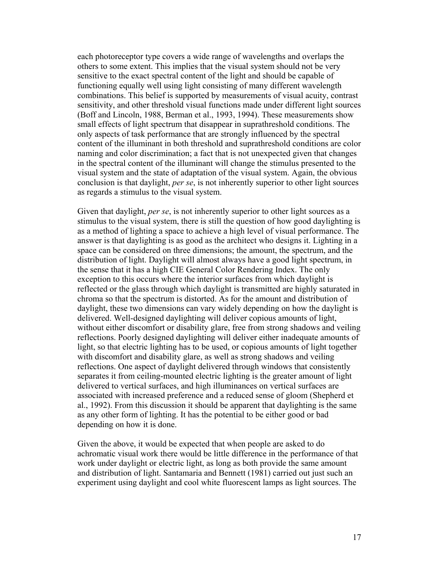each photoreceptor type covers a wide range of wavelengths and overlaps the others to some extent. This implies that the visual system should not be very sensitive to the exact spectral content of the light and should be capable of functioning equally well using light consisting of many different wavelength combinations. This belief is supported by measurements of visual acuity, contrast sensitivity, and other threshold visual functions made under different light sources (Boff and Lincoln, 1988, Berman et al., 1993, 1994). These measurements show small effects of light spectrum that disappear in suprathreshold conditions. The only aspects of task performance that are strongly influenced by the spectral content of the illuminant in both threshold and suprathreshold conditions are color naming and color discrimination; a fact that is not unexpected given that changes in the spectral content of the illuminant will change the stimulus presented to the visual system and the state of adaptation of the visual system. Again, the obvious conclusion is that daylight, *per se*, is not inherently superior to other light sources as regards a stimulus to the visual system.

Given that daylight, *per se*, is not inherently superior to other light sources as a stimulus to the visual system, there is still the question of how good daylighting is as a method of lighting a space to achieve a high level of visual performance. The answer is that daylighting is as good as the architect who designs it. Lighting in a space can be considered on three dimensions; the amount, the spectrum, and the distribution of light. Daylight will almost always have a good light spectrum, in the sense that it has a high CIE General Color Rendering Index. The only exception to this occurs where the interior surfaces from which daylight is reflected or the glass through which daylight is transmitted are highly saturated in chroma so that the spectrum is distorted. As for the amount and distribution of daylight, these two dimensions can vary widely depending on how the daylight is delivered. Well-designed daylighting will deliver copious amounts of light, without either discomfort or disability glare, free from strong shadows and veiling reflections. Poorly designed daylighting will deliver either inadequate amounts of light, so that electric lighting has to be used, or copious amounts of light together with discomfort and disability glare, as well as strong shadows and veiling reflections. One aspect of daylight delivered through windows that consistently separates it from ceiling-mounted electric lighting is the greater amount of light delivered to vertical surfaces, and high illuminances on vertical surfaces are associated with increased preference and a reduced sense of gloom (Shepherd et al., 1992). From this discussion it should be apparent that daylighting is the same as any other form of lighting. It has the potential to be either good or bad depending on how it is done.

Given the above, it would be expected that when people are asked to do achromatic visual work there would be little difference in the performance of that work under daylight or electric light, as long as both provide the same amount and distribution of light. Santamaria and Bennett (1981) carried out just such an experiment using daylight and cool white fluorescent lamps as light sources. The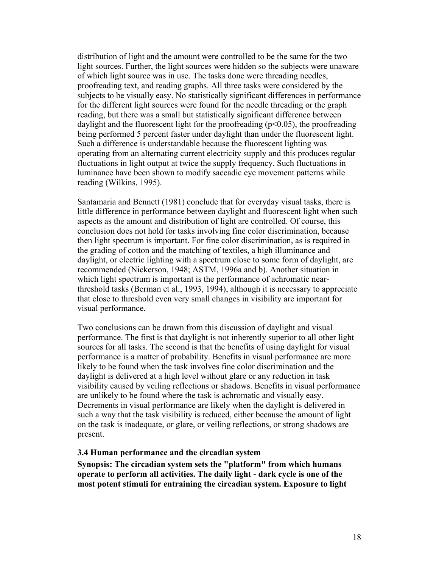distribution of light and the amount were controlled to be the same for the two light sources. Further, the light sources were hidden so the subjects were unaware of which light source was in use. The tasks done were threading needles, proofreading text, and reading graphs. All three tasks were considered by the subjects to be visually easy. No statistically significant differences in performance for the different light sources were found for the needle threading or the graph reading, but there was a small but statistically significant difference between daylight and the fluorescent light for the proofreading  $(p<0.05)$ , the proofreading being performed 5 percent faster under daylight than under the fluorescent light. Such a difference is understandable because the fluorescent lighting was operating from an alternating current electricity supply and this produces regular fluctuations in light output at twice the supply frequency. Such fluctuations in luminance have been shown to modify saccadic eye movement patterns while reading (Wilkins, 1995).

Santamaria and Bennett (1981) conclude that for everyday visual tasks, there is little difference in performance between daylight and fluorescent light when such aspects as the amount and distribution of light are controlled. Of course, this conclusion does not hold for tasks involving fine color discrimination, because then light spectrum is important. For fine color discrimination, as is required in the grading of cotton and the matching of textiles, a high illuminance and daylight, or electric lighting with a spectrum close to some form of daylight, are recommended (Nickerson, 1948; ASTM, 1996a and b). Another situation in which light spectrum is important is the performance of achromatic nearthreshold tasks (Berman et al., 1993, 1994), although it is necessary to appreciate that close to threshold even very small changes in visibility are important for visual performance.

Two conclusions can be drawn from this discussion of daylight and visual performance. The first is that daylight is not inherently superior to all other light sources for all tasks. The second is that the benefits of using daylight for visual performance is a matter of probability. Benefits in visual performance are more likely to be found when the task involves fine color discrimination and the daylight is delivered at a high level without glare or any reduction in task visibility caused by veiling reflections or shadows. Benefits in visual performance are unlikely to be found where the task is achromatic and visually easy. Decrements in visual performance are likely when the daylight is delivered in such a way that the task visibility is reduced, either because the amount of light on the task is inadequate, or glare, or veiling reflections, or strong shadows are present.

#### **3.4 Human performance and the circadian system**

**Synopsis: The circadian system sets the "platform" from which humans operate to perform all activities. The daily light - dark cycle is one of the most potent stimuli for entraining the circadian system. Exposure to light**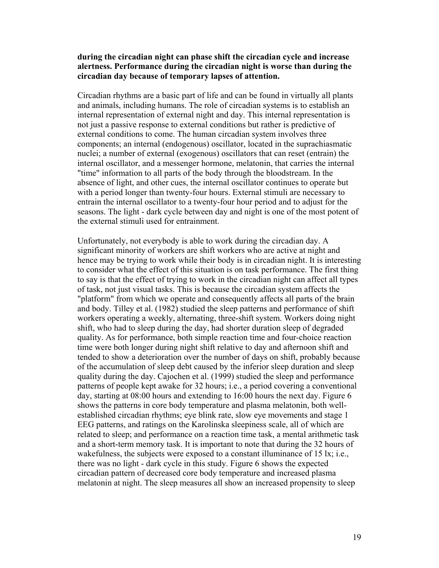### **during the circadian night can phase shift the circadian cycle and increase alertness. Performance during the circadian night is worse than during the circadian day because of temporary lapses of attention.**

Circadian rhythms are a basic part of life and can be found in virtually all plants and animals, including humans. The role of circadian systems is to establish an internal representation of external night and day. This internal representation is not just a passive response to external conditions but rather is predictive of external conditions to come. The human circadian system involves three components; an internal (endogenous) oscillator, located in the suprachiasmatic nuclei; a number of external (exogenous) oscillators that can reset (entrain) the internal oscillator, and a messenger hormone, melatonin, that carries the internal "time" information to all parts of the body through the bloodstream. In the absence of light, and other cues, the internal oscillator continues to operate but with a period longer than twenty-four hours. External stimuli are necessary to entrain the internal oscillator to a twenty-four hour period and to adjust for the seasons. The light - dark cycle between day and night is one of the most potent of the external stimuli used for entrainment.

Unfortunately, not everybody is able to work during the circadian day. A significant minority of workers are shift workers who are active at night and hence may be trying to work while their body is in circadian night. It is interesting to consider what the effect of this situation is on task performance. The first thing to say is that the effect of trying to work in the circadian night can affect all types of task, not just visual tasks. This is because the circadian system affects the "platform" from which we operate and consequently affects all parts of the brain and body. Tilley et al. (1982) studied the sleep patterns and performance of shift workers operating a weekly, alternating, three-shift system. Workers doing night shift, who had to sleep during the day, had shorter duration sleep of degraded quality. As for performance, both simple reaction time and four-choice reaction time were both longer during night shift relative to day and afternoon shift and tended to show a deterioration over the number of days on shift, probably because of the accumulation of sleep debt caused by the inferior sleep duration and sleep quality during the day. Cajochen et al. (1999) studied the sleep and performance patterns of people kept awake for 32 hours; i.e., a period covering a conventional day, starting at 08:00 hours and extending to 16:00 hours the next day. Figure 6 shows the patterns in core body temperature and plasma melatonin, both wellestablished circadian rhythms; eye blink rate, slow eye movements and stage 1 EEG patterns, and ratings on the Karolinska sleepiness scale, all of which are related to sleep; and performance on a reaction time task, a mental arithmetic task and a short-term memory task. It is important to note that during the 32 hours of wakefulness, the subjects were exposed to a constant illuminance of 15 lx; i.e., there was no light - dark cycle in this study. Figure 6 shows the expected circadian pattern of decreased core body temperature and increased plasma melatonin at night. The sleep measures all show an increased propensity to sleep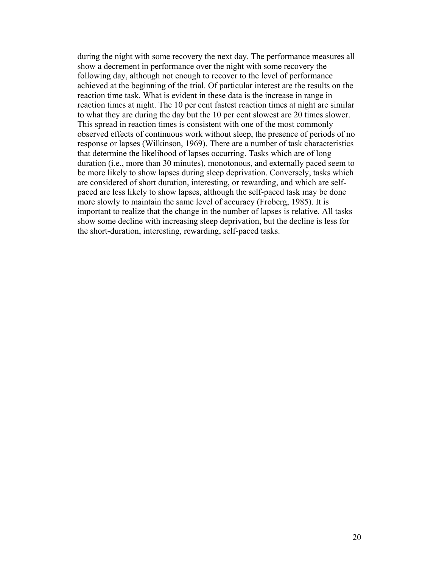during the night with some recovery the next day. The performance measures all show a decrement in performance over the night with some recovery the following day, although not enough to recover to the level of performance achieved at the beginning of the trial. Of particular interest are the results on the reaction time task. What is evident in these data is the increase in range in reaction times at night. The 10 per cent fastest reaction times at night are similar to what they are during the day but the 10 per cent slowest are 20 times slower. This spread in reaction times is consistent with one of the most commonly observed effects of continuous work without sleep, the presence of periods of no response or lapses (Wilkinson, 1969). There are a number of task characteristics that determine the likelihood of lapses occurring. Tasks which are of long duration (i.e., more than 30 minutes), monotonous, and externally paced seem to be more likely to show lapses during sleep deprivation. Conversely, tasks which are considered of short duration, interesting, or rewarding, and which are selfpaced are less likely to show lapses, although the self-paced task may be done more slowly to maintain the same level of accuracy (Froberg, 1985). It is important to realize that the change in the number of lapses is relative. All tasks show some decline with increasing sleep deprivation, but the decline is less for the short-duration, interesting, rewarding, self-paced tasks.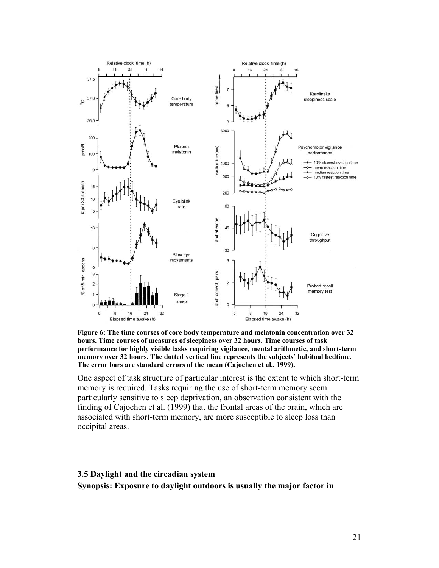

**Figure 6: The time courses of core body temperature and melatonin concentration over 32 hours. Time courses of measures of sleepiness over 32 hours. Time courses of task performance for highly visible tasks requiring vigilance, mental arithmetic, and short-term memory over 32 hours. The dotted vertical line represents the subjects' habitual bedtime. The error bars are standard errors of the mean (Cajochen et al., 1999).** 

One aspect of task structure of particular interest is the extent to which short-term memory is required. Tasks requiring the use of short-term memory seem particularly sensitive to sleep deprivation, an observation consistent with the finding of Cajochen et al. (1999) that the frontal areas of the brain, which are associated with short-term memory, are more susceptible to sleep loss than occipital areas.

## **3.5 Daylight and the circadian system Synopsis: Exposure to daylight outdoors is usually the major factor in**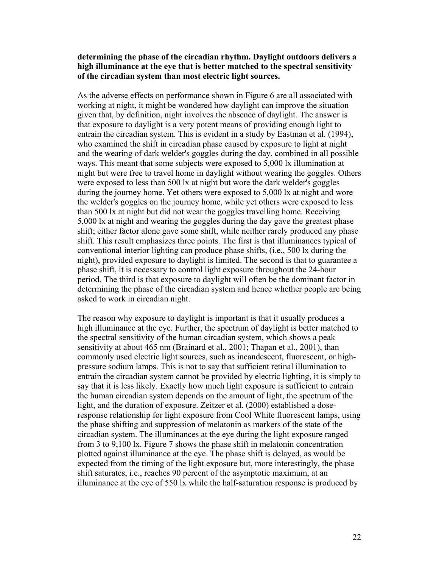### **determining the phase of the circadian rhythm. Daylight outdoors delivers a high illuminance at the eye that is better matched to the spectral sensitivity of the circadian system than most electric light sources.**

As the adverse effects on performance shown in Figure 6 are all associated with working at night, it might be wondered how daylight can improve the situation given that, by definition, night involves the absence of daylight. The answer is that exposure to daylight is a very potent means of providing enough light to entrain the circadian system. This is evident in a study by Eastman et al. (1994), who examined the shift in circadian phase caused by exposure to light at night and the wearing of dark welder's goggles during the day, combined in all possible ways. This meant that some subjects were exposed to 5,000 lx illumination at night but were free to travel home in daylight without wearing the goggles. Others were exposed to less than 500 lx at night but wore the dark welder's goggles during the journey home. Yet others were exposed to 5,000 lx at night and wore the welder's goggles on the journey home, while yet others were exposed to less than 500 lx at night but did not wear the goggles travelling home. Receiving 5,000 lx at night and wearing the goggles during the day gave the greatest phase shift; either factor alone gave some shift, while neither rarely produced any phase shift. This result emphasizes three points. The first is that illuminances typical of conventional interior lighting can produce phase shifts, (i.e., 500 lx during the night), provided exposure to daylight is limited. The second is that to guarantee a phase shift, it is necessary to control light exposure throughout the 24-hour period. The third is that exposure to daylight will often be the dominant factor in determining the phase of the circadian system and hence whether people are being asked to work in circadian night.

The reason why exposure to daylight is important is that it usually produces a high illuminance at the eye. Further, the spectrum of daylight is better matched to the spectral sensitivity of the human circadian system, which shows a peak sensitivity at about 465 nm (Brainard et al., 2001; Thapan et al., 2001), than commonly used electric light sources, such as incandescent, fluorescent, or highpressure sodium lamps. This is not to say that sufficient retinal illumination to entrain the circadian system cannot be provided by electric lighting, it is simply to say that it is less likely. Exactly how much light exposure is sufficient to entrain the human circadian system depends on the amount of light, the spectrum of the light, and the duration of exposure. Zeitzer et al. (2000) established a doseresponse relationship for light exposure from Cool White fluorescent lamps, using the phase shifting and suppression of melatonin as markers of the state of the circadian system. The illuminances at the eye during the light exposure ranged from 3 to 9,100 lx. Figure 7 shows the phase shift in melatonin concentration plotted against illuminance at the eye. The phase shift is delayed, as would be expected from the timing of the light exposure but, more interestingly, the phase shift saturates, i.e., reaches 90 percent of the asymptotic maximum, at an illuminance at the eye of 550 lx while the half-saturation response is produced by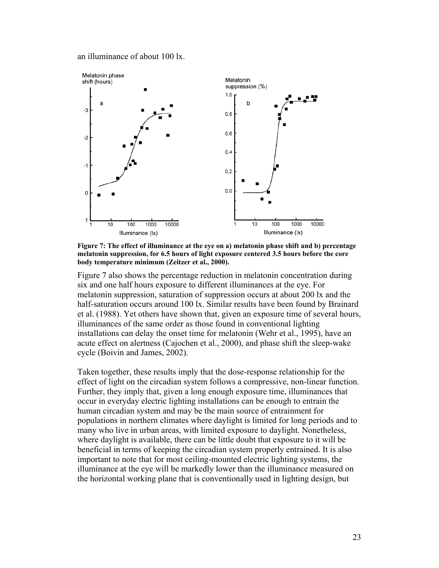an illuminance of about 100 lx.



**Figure 7: The effect of illuminance at the eye on a) melatonin phase shift and b) percentage melatonin suppression, for 6.5 hours of light exposure centered 3.5 hours before the core body temperature minimum (Zeitzer et al., 2000).** 

Figure 7 also shows the percentage reduction in melatonin concentration during six and one half hours exposure to different illuminances at the eye. For melatonin suppression, saturation of suppression occurs at about 200 lx and the half-saturation occurs around 100 lx. Similar results have been found by Brainard et al. (1988). Yet others have shown that, given an exposure time of several hours, illuminances of the same order as those found in conventional lighting installations can delay the onset time for melatonin (Wehr et al., 1995), have an acute effect on alertness (Cajochen et al., 2000), and phase shift the sleep-wake cycle (Boivin and James, 2002).

Taken together, these results imply that the dose-response relationship for the effect of light on the circadian system follows a compressive, non-linear function. Further, they imply that, given a long enough exposure time, illuminances that occur in everyday electric lighting installations can be enough to entrain the human circadian system and may be the main source of entrainment for populations in northern climates where daylight is limited for long periods and to many who live in urban areas, with limited exposure to daylight. Nonetheless, where daylight is available, there can be little doubt that exposure to it will be beneficial in terms of keeping the circadian system properly entrained. It is also important to note that for most ceiling-mounted electric lighting systems, the illuminance at the eye will be markedly lower than the illuminance measured on the horizontal working plane that is conventionally used in lighting design, but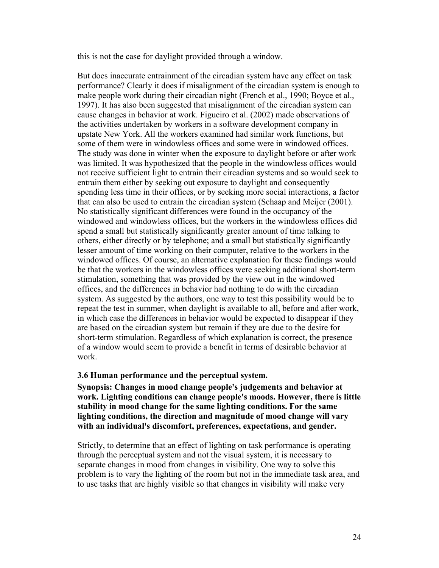this is not the case for daylight provided through a window.

But does inaccurate entrainment of the circadian system have any effect on task performance? Clearly it does if misalignment of the circadian system is enough to make people work during their circadian night (French et al., 1990; Boyce et al., 1997). It has also been suggested that misalignment of the circadian system can cause changes in behavior at work. Figueiro et al. (2002) made observations of the activities undertaken by workers in a software development company in upstate New York. All the workers examined had similar work functions, but some of them were in windowless offices and some were in windowed offices. The study was done in winter when the exposure to daylight before or after work was limited. It was hypothesized that the people in the windowless offices would not receive sufficient light to entrain their circadian systems and so would seek to entrain them either by seeking out exposure to daylight and consequently spending less time in their offices, or by seeking more social interactions, a factor that can also be used to entrain the circadian system (Schaap and Meijer (2001). No statistically significant differences were found in the occupancy of the windowed and windowless offices, but the workers in the windowless offices did spend a small but statistically significantly greater amount of time talking to others, either directly or by telephone; and a small but statistically significantly lesser amount of time working on their computer, relative to the workers in the windowed offices. Of course, an alternative explanation for these findings would be that the workers in the windowless offices were seeking additional short-term stimulation, something that was provided by the view out in the windowed offices, and the differences in behavior had nothing to do with the circadian system. As suggested by the authors, one way to test this possibility would be to repeat the test in summer, when daylight is available to all, before and after work, in which case the differences in behavior would be expected to disappear if they are based on the circadian system but remain if they are due to the desire for short-term stimulation. Regardless of which explanation is correct, the presence of a window would seem to provide a benefit in terms of desirable behavior at work.

#### **3.6 Human performance and the perceptual system.**

**Synopsis: Changes in mood change people's judgements and behavior at work. Lighting conditions can change people's moods. However, there is little stability in mood change for the same lighting conditions. For the same lighting conditions, the direction and magnitude of mood change will vary with an individual's discomfort, preferences, expectations, and gender.** 

Strictly, to determine that an effect of lighting on task performance is operating through the perceptual system and not the visual system, it is necessary to separate changes in mood from changes in visibility. One way to solve this problem is to vary the lighting of the room but not in the immediate task area, and to use tasks that are highly visible so that changes in visibility will make very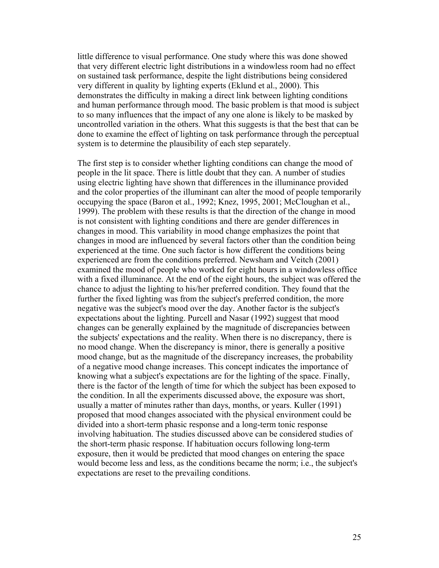little difference to visual performance. One study where this was done showed that very different electric light distributions in a windowless room had no effect on sustained task performance, despite the light distributions being considered very different in quality by lighting experts (Eklund et al., 2000). This demonstrates the difficulty in making a direct link between lighting conditions and human performance through mood. The basic problem is that mood is subject to so many influences that the impact of any one alone is likely to be masked by uncontrolled variation in the others. What this suggests is that the best that can be done to examine the effect of lighting on task performance through the perceptual system is to determine the plausibility of each step separately.

The first step is to consider whether lighting conditions can change the mood of people in the lit space. There is little doubt that they can. A number of studies using electric lighting have shown that differences in the illuminance provided and the color properties of the illuminant can alter the mood of people temporarily occupying the space (Baron et al., 1992; Knez, 1995, 2001; McCloughan et al., 1999). The problem with these results is that the direction of the change in mood is not consistent with lighting conditions and there are gender differences in changes in mood. This variability in mood change emphasizes the point that changes in mood are influenced by several factors other than the condition being experienced at the time. One such factor is how different the conditions being experienced are from the conditions preferred. Newsham and Veitch (2001) examined the mood of people who worked for eight hours in a windowless office with a fixed illuminance. At the end of the eight hours, the subject was offered the chance to adjust the lighting to his/her preferred condition. They found that the further the fixed lighting was from the subject's preferred condition, the more negative was the subject's mood over the day. Another factor is the subject's expectations about the lighting. Purcell and Nasar (1992) suggest that mood changes can be generally explained by the magnitude of discrepancies between the subjects' expectations and the reality. When there is no discrepancy, there is no mood change. When the discrepancy is minor, there is generally a positive mood change, but as the magnitude of the discrepancy increases, the probability of a negative mood change increases. This concept indicates the importance of knowing what a subject's expectations are for the lighting of the space. Finally, there is the factor of the length of time for which the subject has been exposed to the condition. In all the experiments discussed above, the exposure was short, usually a matter of minutes rather than days, months, or years. Kuller (1991) proposed that mood changes associated with the physical environment could be divided into a short-term phasic response and a long-term tonic response involving habituation. The studies discussed above can be considered studies of the short-term phasic response. If habituation occurs following long-term exposure, then it would be predicted that mood changes on entering the space would become less and less, as the conditions became the norm; i.e., the subject's expectations are reset to the prevailing conditions.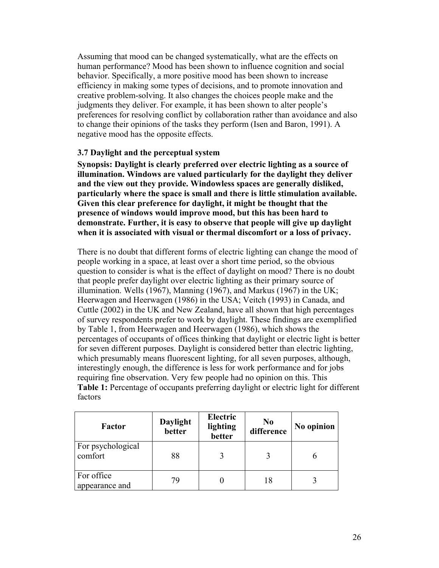Assuming that mood can be changed systematically, what are the effects on human performance? Mood has been shown to influence cognition and social behavior. Specifically, a more positive mood has been shown to increase efficiency in making some types of decisions, and to promote innovation and creative problem-solving. It also changes the choices people make and the judgments they deliver. For example, it has been shown to alter people's preferences for resolving conflict by collaboration rather than avoidance and also to change their opinions of the tasks they perform (Isen and Baron, 1991). A negative mood has the opposite effects.

### **3.7 Daylight and the perceptual system**

**Synopsis: Daylight is clearly preferred over electric lighting as a source of illumination. Windows are valued particularly for the daylight they deliver and the view out they provide. Windowless spaces are generally disliked, particularly where the space is small and there is little stimulation available. Given this clear preference for daylight, it might be thought that the presence of windows would improve mood, but this has been hard to demonstrate. Further, it is easy to observe that people will give up daylight when it is associated with visual or thermal discomfort or a loss of privacy.** 

There is no doubt that different forms of electric lighting can change the mood of people working in a space, at least over a short time period, so the obvious question to consider is what is the effect of daylight on mood? There is no doubt that people prefer daylight over electric lighting as their primary source of illumination. Wells (1967), Manning (1967), and Markus (1967) in the UK; Heerwagen and Heerwagen (1986) in the USA; Veitch (1993) in Canada, and Cuttle (2002) in the UK and New Zealand, have all shown that high percentages of survey respondents prefer to work by daylight. These findings are exemplified by Table 1, from Heerwagen and Heerwagen (1986), which shows the percentages of occupants of offices thinking that daylight or electric light is better for seven different purposes. Daylight is considered better than electric lighting, which presumably means fluorescent lighting, for all seven purposes, although, interestingly enough, the difference is less for work performance and for jobs requiring fine observation. Very few people had no opinion on this. This **Table 1:** Percentage of occupants preferring daylight or electric light for different factors

| Factor                       | Daylight<br>better | <b>Electric</b><br>lighting<br>better | N <sub>0</sub><br>difference | No opinion |
|------------------------------|--------------------|---------------------------------------|------------------------------|------------|
| For psychological<br>comfort | 88                 |                                       |                              |            |
| For office<br>appearance and | 79                 |                                       | 18                           |            |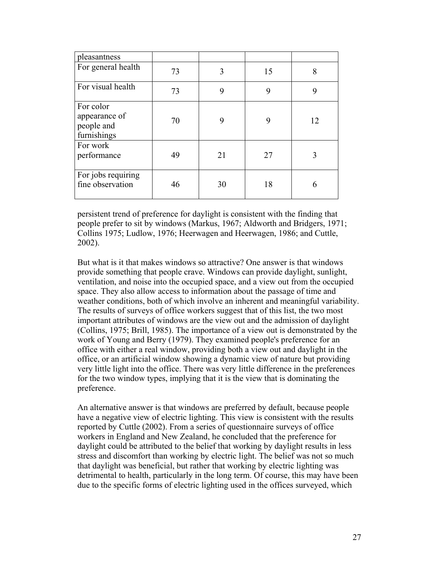| pleasantness                                            |    |    |    |    |
|---------------------------------------------------------|----|----|----|----|
| For general health                                      | 73 | 3  | 15 | 8  |
| For visual health                                       | 73 | 9  | 9  | 9  |
| For color<br>appearance of<br>people and<br>furnishings | 70 | 9  | Q  | 12 |
| For work<br>performance                                 | 49 | 21 | 27 |    |
| For jobs requiring<br>fine observation                  | 46 | 30 | 18 | 6  |

persistent trend of preference for daylight is consistent with the finding that people prefer to sit by windows (Markus, 1967; Aldworth and Bridgers, 1971; Collins 1975; Ludlow, 1976; Heerwagen and Heerwagen, 1986; and Cuttle, 2002).

But what is it that makes windows so attractive? One answer is that windows provide something that people crave. Windows can provide daylight, sunlight, ventilation, and noise into the occupied space, and a view out from the occupied space. They also allow access to information about the passage of time and weather conditions, both of which involve an inherent and meaningful variability. The results of surveys of office workers suggest that of this list, the two most important attributes of windows are the view out and the admission of daylight (Collins, 1975; Brill, 1985). The importance of a view out is demonstrated by the work of Young and Berry (1979). They examined people's preference for an office with either a real window, providing both a view out and daylight in the office, or an artificial window showing a dynamic view of nature but providing very little light into the office. There was very little difference in the preferences for the two window types, implying that it is the view that is dominating the preference.

An alternative answer is that windows are preferred by default, because people have a negative view of electric lighting. This view is consistent with the results reported by Cuttle (2002). From a series of questionnaire surveys of office workers in England and New Zealand, he concluded that the preference for daylight could be attributed to the belief that working by daylight results in less stress and discomfort than working by electric light. The belief was not so much that daylight was beneficial, but rather that working by electric lighting was detrimental to health, particularly in the long term. Of course, this may have been due to the specific forms of electric lighting used in the offices surveyed, which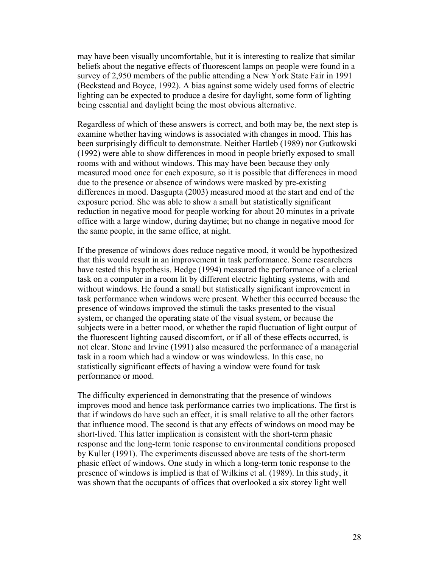may have been visually uncomfortable, but it is interesting to realize that similar beliefs about the negative effects of fluorescent lamps on people were found in a survey of 2,950 members of the public attending a New York State Fair in 1991 (Beckstead and Boyce, 1992). A bias against some widely used forms of electric lighting can be expected to produce a desire for daylight, some form of lighting being essential and daylight being the most obvious alternative.

Regardless of which of these answers is correct, and both may be, the next step is examine whether having windows is associated with changes in mood. This has been surprisingly difficult to demonstrate. Neither Hartleb (1989) nor Gutkowski (1992) were able to show differences in mood in people briefly exposed to small rooms with and without windows. This may have been because they only measured mood once for each exposure, so it is possible that differences in mood due to the presence or absence of windows were masked by pre-existing differences in mood. Dasgupta (2003) measured mood at the start and end of the exposure period. She was able to show a small but statistically significant reduction in negative mood for people working for about 20 minutes in a private office with a large window, during daytime; but no change in negative mood for the same people, in the same office, at night.

If the presence of windows does reduce negative mood, it would be hypothesized that this would result in an improvement in task performance. Some researchers have tested this hypothesis. Hedge (1994) measured the performance of a clerical task on a computer in a room lit by different electric lighting systems, with and without windows. He found a small but statistically significant improvement in task performance when windows were present. Whether this occurred because the presence of windows improved the stimuli the tasks presented to the visual system, or changed the operating state of the visual system, or because the subjects were in a better mood, or whether the rapid fluctuation of light output of the fluorescent lighting caused discomfort, or if all of these effects occurred, is not clear. Stone and Irvine (1991) also measured the performance of a managerial task in a room which had a window or was windowless. In this case, no statistically significant effects of having a window were found for task performance or mood.

The difficulty experienced in demonstrating that the presence of windows improves mood and hence task performance carries two implications. The first is that if windows do have such an effect, it is small relative to all the other factors that influence mood. The second is that any effects of windows on mood may be short-lived. This latter implication is consistent with the short-term phasic response and the long-term tonic response to environmental conditions proposed by Kuller (1991). The experiments discussed above are tests of the short-term phasic effect of windows. One study in which a long-term tonic response to the presence of windows is implied is that of Wilkins et al. (1989). In this study, it was shown that the occupants of offices that overlooked a six storey light well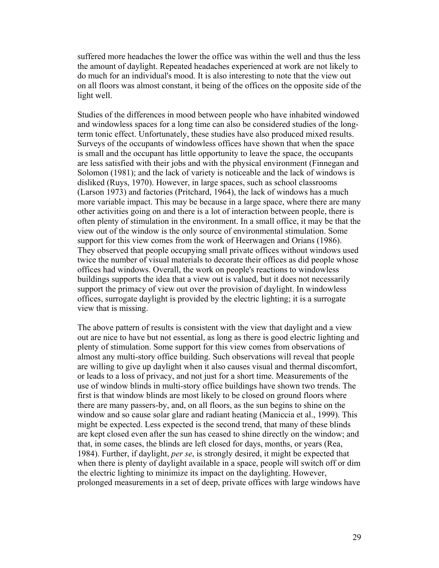suffered more headaches the lower the office was within the well and thus the less the amount of daylight. Repeated headaches experienced at work are not likely to do much for an individual's mood. It is also interesting to note that the view out on all floors was almost constant, it being of the offices on the opposite side of the light well.

Studies of the differences in mood between people who have inhabited windowed and windowless spaces for a long time can also be considered studies of the longterm tonic effect. Unfortunately, these studies have also produced mixed results. Surveys of the occupants of windowless offices have shown that when the space is small and the occupant has little opportunity to leave the space, the occupants are less satisfied with their jobs and with the physical environment (Finnegan and Solomon (1981); and the lack of variety is noticeable and the lack of windows is disliked (Ruys, 1970). However, in large spaces, such as school classrooms (Larson 1973) and factories (Pritchard, 1964), the lack of windows has a much more variable impact. This may be because in a large space, where there are many other activities going on and there is a lot of interaction between people, there is often plenty of stimulation in the environment. In a small office, it may be that the view out of the window is the only source of environmental stimulation. Some support for this view comes from the work of Heerwagen and Orians (1986). They observed that people occupying small private offices without windows used twice the number of visual materials to decorate their offices as did people whose offices had windows. Overall, the work on people's reactions to windowless buildings supports the idea that a view out is valued, but it does not necessarily support the primacy of view out over the provision of daylight. In windowless offices, surrogate daylight is provided by the electric lighting; it is a surrogate view that is missing.

The above pattern of results is consistent with the view that daylight and a view out are nice to have but not essential, as long as there is good electric lighting and plenty of stimulation. Some support for this view comes from observations of almost any multi-story office building. Such observations will reveal that people are willing to give up daylight when it also causes visual and thermal discomfort, or leads to a loss of privacy, and not just for a short time. Measurements of the use of window blinds in multi-story office buildings have shown two trends. The first is that window blinds are most likely to be closed on ground floors where there are many passers-by, and, on all floors, as the sun begins to shine on the window and so cause solar glare and radiant heating (Maniccia et al., 1999). This might be expected. Less expected is the second trend, that many of these blinds are kept closed even after the sun has ceased to shine directly on the window; and that, in some cases, the blinds are left closed for days, months, or years (Rea, 1984). Further, if daylight, *per se*, is strongly desired, it might be expected that when there is plenty of daylight available in a space, people will switch off or dim the electric lighting to minimize its impact on the daylighting. However, prolonged measurements in a set of deep, private offices with large windows have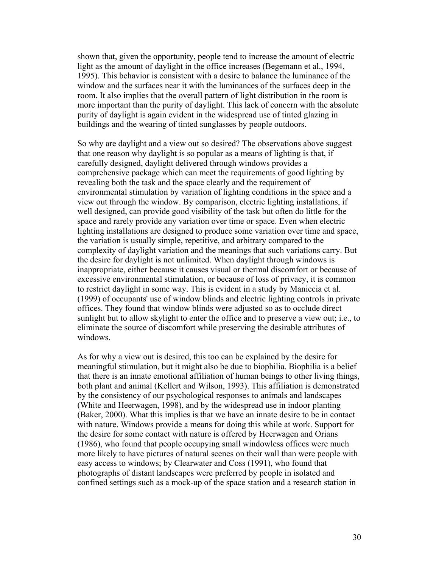shown that, given the opportunity, people tend to increase the amount of electric light as the amount of daylight in the office increases (Begemann et al., 1994, 1995). This behavior is consistent with a desire to balance the luminance of the window and the surfaces near it with the luminances of the surfaces deep in the room. It also implies that the overall pattern of light distribution in the room is more important than the purity of daylight. This lack of concern with the absolute purity of daylight is again evident in the widespread use of tinted glazing in buildings and the wearing of tinted sunglasses by people outdoors.

So why are daylight and a view out so desired? The observations above suggest that one reason why daylight is so popular as a means of lighting is that, if carefully designed, daylight delivered through windows provides a comprehensive package which can meet the requirements of good lighting by revealing both the task and the space clearly and the requirement of environmental stimulation by variation of lighting conditions in the space and a view out through the window. By comparison, electric lighting installations, if well designed, can provide good visibility of the task but often do little for the space and rarely provide any variation over time or space. Even when electric lighting installations are designed to produce some variation over time and space, the variation is usually simple, repetitive, and arbitrary compared to the complexity of daylight variation and the meanings that such variations carry. But the desire for daylight is not unlimited. When daylight through windows is inappropriate, either because it causes visual or thermal discomfort or because of excessive environmental stimulation, or because of loss of privacy, it is common to restrict daylight in some way. This is evident in a study by Maniccia et al. (1999) of occupants' use of window blinds and electric lighting controls in private offices. They found that window blinds were adjusted so as to occlude direct sunlight but to allow skylight to enter the office and to preserve a view out; i.e., to eliminate the source of discomfort while preserving the desirable attributes of windows.

As for why a view out is desired, this too can be explained by the desire for meaningful stimulation, but it might also be due to biophilia. Biophilia is a belief that there is an innate emotional affiliation of human beings to other living things, both plant and animal (Kellert and Wilson, 1993). This affiliation is demonstrated by the consistency of our psychological responses to animals and landscapes (White and Heerwagen, 1998), and by the widespread use in indoor planting (Baker, 2000). What this implies is that we have an innate desire to be in contact with nature. Windows provide a means for doing this while at work. Support for the desire for some contact with nature is offered by Heerwagen and Orians (1986), who found that people occupying small windowless offices were much more likely to have pictures of natural scenes on their wall than were people with easy access to windows; by Clearwater and Coss (1991), who found that photographs of distant landscapes were preferred by people in isolated and confined settings such as a mock-up of the space station and a research station in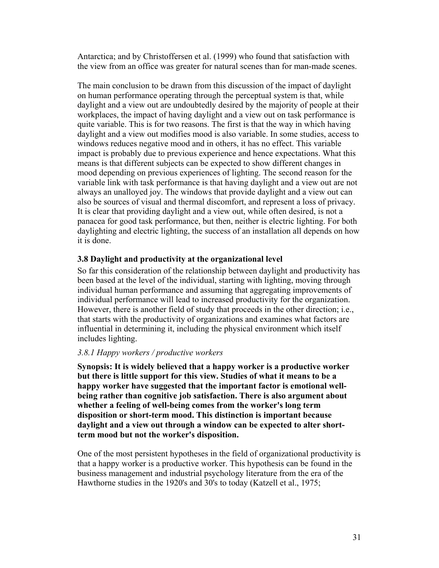Antarctica; and by Christoffersen et al. (1999) who found that satisfaction with the view from an office was greater for natural scenes than for man-made scenes.

The main conclusion to be drawn from this discussion of the impact of daylight on human performance operating through the perceptual system is that, while daylight and a view out are undoubtedly desired by the majority of people at their workplaces, the impact of having daylight and a view out on task performance is quite variable. This is for two reasons. The first is that the way in which having daylight and a view out modifies mood is also variable. In some studies, access to windows reduces negative mood and in others, it has no effect. This variable impact is probably due to previous experience and hence expectations. What this means is that different subjects can be expected to show different changes in mood depending on previous experiences of lighting. The second reason for the variable link with task performance is that having daylight and a view out are not always an unalloyed joy. The windows that provide daylight and a view out can also be sources of visual and thermal discomfort, and represent a loss of privacy. It is clear that providing daylight and a view out, while often desired, is not a panacea for good task performance, but then, neither is electric lighting. For both daylighting and electric lighting, the success of an installation all depends on how it is done.

#### **3.8 Daylight and productivity at the organizational level**

So far this consideration of the relationship between daylight and productivity has been based at the level of the individual, starting with lighting, moving through individual human performance and assuming that aggregating improvements of individual performance will lead to increased productivity for the organization. However, there is another field of study that proceeds in the other direction; i.e., that starts with the productivity of organizations and examines what factors are influential in determining it, including the physical environment which itself includes lighting.

#### *3.8.1 Happy workers / productive workers*

**Synopsis: It is widely believed that a happy worker is a productive worker but there is little support for this view. Studies of what it means to be a happy worker have suggested that the important factor is emotional wellbeing rather than cognitive job satisfaction. There is also argument about whether a feeling of well-being comes from the worker's long term disposition or short-term mood. This distinction is important because daylight and a view out through a window can be expected to alter shortterm mood but not the worker's disposition.** 

One of the most persistent hypotheses in the field of organizational productivity is that a happy worker is a productive worker. This hypothesis can be found in the business management and industrial psychology literature from the era of the Hawthorne studies in the 1920's and 30's to today (Katzell et al., 1975;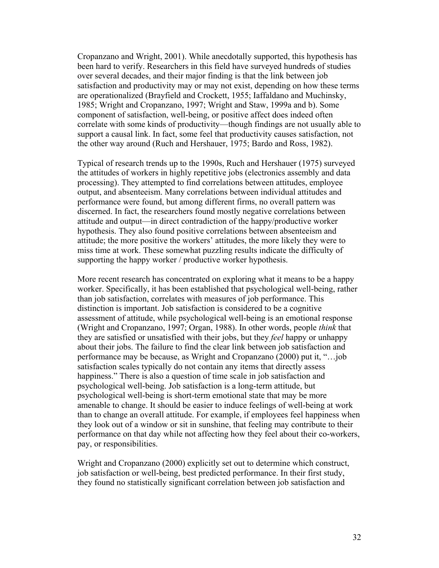Cropanzano and Wright, 2001). While anecdotally supported, this hypothesis has been hard to verify. Researchers in this field have surveyed hundreds of studies over several decades, and their major finding is that the link between job satisfaction and productivity may or may not exist, depending on how these terms are operationalized (Brayfield and Crockett, 1955; Iaffaldano and Muchinsky, 1985; Wright and Cropanzano, 1997; Wright and Staw, 1999a and b). Some component of satisfaction, well-being, or positive affect does indeed often correlate with some kinds of productivity—though findings are not usually able to support a causal link. In fact, some feel that productivity causes satisfaction, not the other way around (Ruch and Hershauer, 1975; Bardo and Ross, 1982).

Typical of research trends up to the 1990s, Ruch and Hershauer (1975) surveyed the attitudes of workers in highly repetitive jobs (electronics assembly and data processing). They attempted to find correlations between attitudes, employee output, and absenteeism. Many correlations between individual attitudes and performance were found, but among different firms, no overall pattern was discerned. In fact, the researchers found mostly negative correlations between attitude and output—in direct contradiction of the happy/productive worker hypothesis. They also found positive correlations between absenteeism and attitude; the more positive the workers' attitudes, the more likely they were to miss time at work. These somewhat puzzling results indicate the difficulty of supporting the happy worker / productive worker hypothesis.

More recent research has concentrated on exploring what it means to be a happy worker. Specifically, it has been established that psychological well-being, rather than job satisfaction, correlates with measures of job performance. This distinction is important. Job satisfaction is considered to be a cognitive assessment of attitude, while psychological well-being is an emotional response (Wright and Cropanzano, 1997; Organ, 1988). In other words, people *think* that they are satisfied or unsatisfied with their jobs, but they *feel* happy or unhappy about their jobs. The failure to find the clear link between job satisfaction and performance may be because, as Wright and Cropanzano (2000) put it, "…job satisfaction scales typically do not contain any items that directly assess happiness." There is also a question of time scale in job satisfaction and psychological well-being. Job satisfaction is a long-term attitude, but psychological well-being is short-term emotional state that may be more amenable to change. It should be easier to induce feelings of well-being at work than to change an overall attitude. For example, if employees feel happiness when they look out of a window or sit in sunshine, that feeling may contribute to their performance on that day while not affecting how they feel about their co-workers, pay, or responsibilities.

Wright and Cropanzano (2000) explicitly set out to determine which construct, job satisfaction or well-being, best predicted performance. In their first study, they found no statistically significant correlation between job satisfaction and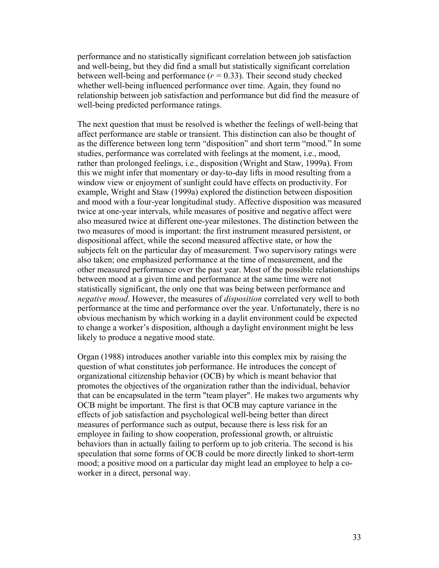performance and no statistically significant correlation between job satisfaction and well-being, but they did find a small but statistically significant correlation between well-being and performance (*r =* 0.33). Their second study checked whether well-being influenced performance over time. Again, they found no relationship between job satisfaction and performance but did find the measure of well-being predicted performance ratings.

The next question that must be resolved is whether the feelings of well-being that affect performance are stable or transient. This distinction can also be thought of as the difference between long term "disposition" and short term "mood." In some studies, performance was correlated with feelings at the moment, i.e., mood, rather than prolonged feelings, i.e., disposition (Wright and Staw, 1999a). From this we might infer that momentary or day-to-day lifts in mood resulting from a window view or enjoyment of sunlight could have effects on productivity. For example, Wright and Staw (1999a) explored the distinction between disposition and mood with a four-year longitudinal study. Affective disposition was measured twice at one-year intervals, while measures of positive and negative affect were also measured twice at different one-year milestones. The distinction between the two measures of mood is important: the first instrument measured persistent, or dispositional affect, while the second measured affective state, or how the subjects felt on the particular day of measurement. Two supervisory ratings were also taken; one emphasized performance at the time of measurement, and the other measured performance over the past year. Most of the possible relationships between mood at a given time and performance at the same time were not statistically significant, the only one that was being between performance and *negative mood*. However, the measures of *disposition* correlated very well to both performance at the time and performance over the year. Unfortunately, there is no obvious mechanism by which working in a daylit environment could be expected to change a worker's disposition, although a daylight environment might be less likely to produce a negative mood state.

Organ (1988) introduces another variable into this complex mix by raising the question of what constitutes job performance. He introduces the concept of organizational citizenship behavior (OCB) by which is meant behavior that promotes the objectives of the organization rather than the individual, behavior that can be encapsulated in the term "team player". He makes two arguments why OCB might be important. The first is that OCB may capture variance in the effects of job satisfaction and psychological well-being better than direct measures of performance such as output, because there is less risk for an employee in failing to show cooperation, professional growth, or altruistic behaviors than in actually failing to perform up to job criteria. The second is his speculation that some forms of OCB could be more directly linked to short-term mood; a positive mood on a particular day might lead an employee to help a coworker in a direct, personal way.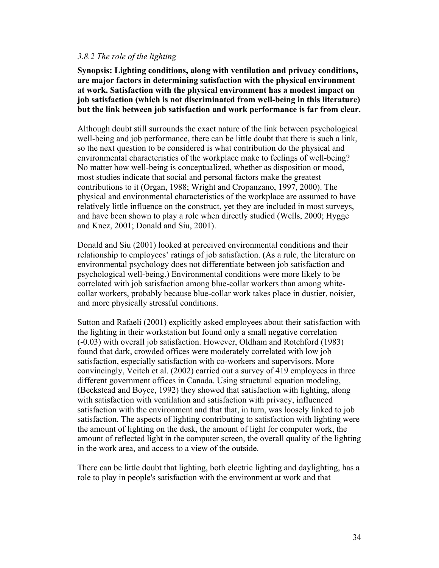#### *3.8.2 The role of the lighting*

**Synopsis: Lighting conditions, along with ventilation and privacy conditions, are major factors in determining satisfaction with the physical environment at work. Satisfaction with the physical environment has a modest impact on job satisfaction (which is not discriminated from well-being in this literature) but the link between job satisfaction and work performance is far from clear.** 

Although doubt still surrounds the exact nature of the link between psychological well-being and job performance, there can be little doubt that there is such a link, so the next question to be considered is what contribution do the physical and environmental characteristics of the workplace make to feelings of well-being? No matter how well-being is conceptualized, whether as disposition or mood, most studies indicate that social and personal factors make the greatest contributions to it (Organ, 1988; Wright and Cropanzano, 1997, 2000). The physical and environmental characteristics of the workplace are assumed to have relatively little influence on the construct, yet they are included in most surveys, and have been shown to play a role when directly studied (Wells, 2000; Hygge and Knez, 2001; Donald and Siu, 2001).

Donald and Siu (2001) looked at perceived environmental conditions and their relationship to employees' ratings of job satisfaction. (As a rule, the literature on environmental psychology does not differentiate between job satisfaction and psychological well-being.) Environmental conditions were more likely to be correlated with job satisfaction among blue-collar workers than among whitecollar workers, probably because blue-collar work takes place in dustier, noisier, and more physically stressful conditions.

Sutton and Rafaeli (2001) explicitly asked employees about their satisfaction with the lighting in their workstation but found only a small negative correlation (-0.03) with overall job satisfaction. However, Oldham and Rotchford (1983) found that dark, crowded offices were moderately correlated with low job satisfaction, especially satisfaction with co-workers and supervisors. More convincingly, Veitch et al. (2002) carried out a survey of 419 employees in three different government offices in Canada. Using structural equation modeling, (Beckstead and Boyce, 1992) they showed that satisfaction with lighting, along with satisfaction with ventilation and satisfaction with privacy, influenced satisfaction with the environment and that that, in turn, was loosely linked to job satisfaction. The aspects of lighting contributing to satisfaction with lighting were the amount of lighting on the desk, the amount of light for computer work, the amount of reflected light in the computer screen, the overall quality of the lighting in the work area, and access to a view of the outside.

There can be little doubt that lighting, both electric lighting and daylighting, has a role to play in people's satisfaction with the environment at work and that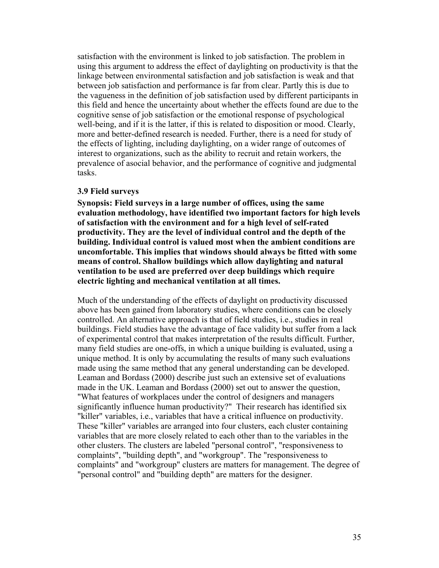satisfaction with the environment is linked to job satisfaction. The problem in using this argument to address the effect of daylighting on productivity is that the linkage between environmental satisfaction and job satisfaction is weak and that between job satisfaction and performance is far from clear. Partly this is due to the vagueness in the definition of job satisfaction used by different participants in this field and hence the uncertainty about whether the effects found are due to the cognitive sense of job satisfaction or the emotional response of psychological well-being, and if it is the latter, if this is related to disposition or mood. Clearly, more and better-defined research is needed. Further, there is a need for study of the effects of lighting, including daylighting, on a wider range of outcomes of interest to organizations, such as the ability to recruit and retain workers, the prevalence of asocial behavior, and the performance of cognitive and judgmental tasks.

#### **3.9 Field surveys**

**Synopsis: Field surveys in a large number of offices, using the same evaluation methodology, have identified two important factors for high levels of satisfaction with the environment and for a high level of self-rated productivity. They are the level of individual control and the depth of the building. Individual control is valued most when the ambient conditions are uncomfortable. This implies that windows should always be fitted with some means of control. Shallow buildings which allow daylighting and natural ventilation to be used are preferred over deep buildings which require electric lighting and mechanical ventilation at all times.** 

Much of the understanding of the effects of daylight on productivity discussed above has been gained from laboratory studies, where conditions can be closely controlled. An alternative approach is that of field studies, i.e., studies in real buildings. Field studies have the advantage of face validity but suffer from a lack of experimental control that makes interpretation of the results difficult. Further, many field studies are one-offs, in which a unique building is evaluated, using a unique method. It is only by accumulating the results of many such evaluations made using the same method that any general understanding can be developed. Leaman and Bordass (2000) describe just such an extensive set of evaluations made in the UK. Leaman and Bordass (2000) set out to answer the question, "What features of workplaces under the control of designers and managers significantly influence human productivity?" Their research has identified six "killer" variables, i.e., variables that have a critical influence on productivity. These "killer" variables are arranged into four clusters, each cluster containing variables that are more closely related to each other than to the variables in the other clusters. The clusters are labeled "personal control", "responsiveness to complaints", "building depth", and "workgroup". The "responsiveness to complaints" and "workgroup" clusters are matters for management. The degree of "personal control" and "building depth" are matters for the designer.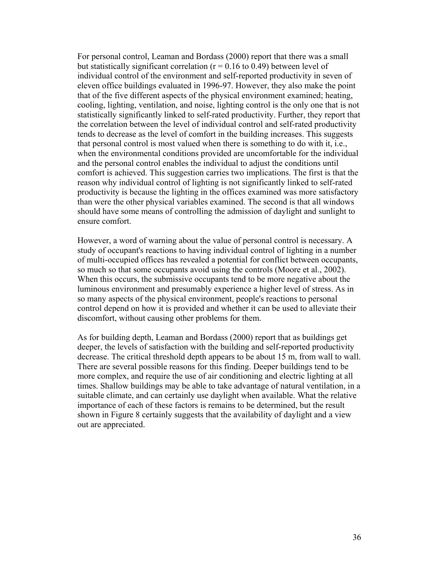For personal control, Leaman and Bordass (2000) report that there was a small but statistically significant correlation ( $r = 0.16$  to 0.49) between level of individual control of the environment and self-reported productivity in seven of eleven office buildings evaluated in 1996-97. However, they also make the point that of the five different aspects of the physical environment examined; heating, cooling, lighting, ventilation, and noise, lighting control is the only one that is not statistically significantly linked to self-rated productivity. Further, they report that the correlation between the level of individual control and self-rated productivity tends to decrease as the level of comfort in the building increases. This suggests that personal control is most valued when there is something to do with it, i.e., when the environmental conditions provided are uncomfortable for the individual and the personal control enables the individual to adjust the conditions until comfort is achieved. This suggestion carries two implications. The first is that the reason why individual control of lighting is not significantly linked to self-rated productivity is because the lighting in the offices examined was more satisfactory than were the other physical variables examined. The second is that all windows should have some means of controlling the admission of daylight and sunlight to ensure comfort.

However, a word of warning about the value of personal control is necessary. A study of occupant's reactions to having individual control of lighting in a number of multi-occupied offices has revealed a potential for conflict between occupants, so much so that some occupants avoid using the controls (Moore et al., 2002). When this occurs, the submissive occupants tend to be more negative about the luminous environment and presumably experience a higher level of stress. As in so many aspects of the physical environment, people's reactions to personal control depend on how it is provided and whether it can be used to alleviate their discomfort, without causing other problems for them.

As for building depth, Leaman and Bordass (2000) report that as buildings get deeper, the levels of satisfaction with the building and self-reported productivity decrease. The critical threshold depth appears to be about 15 m, from wall to wall. There are several possible reasons for this finding. Deeper buildings tend to be more complex, and require the use of air conditioning and electric lighting at all times. Shallow buildings may be able to take advantage of natural ventilation, in a suitable climate, and can certainly use daylight when available. What the relative importance of each of these factors is remains to be determined, but the result shown in Figure 8 certainly suggests that the availability of daylight and a view out are appreciated.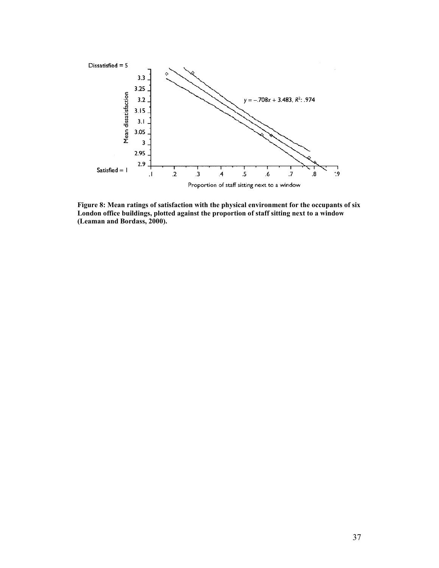

**Figure 8: Mean ratings of satisfaction with the physical environment for the occupants of six London office buildings, plotted against the proportion of staff sitting next to a window (Leaman and Bordass, 2000).**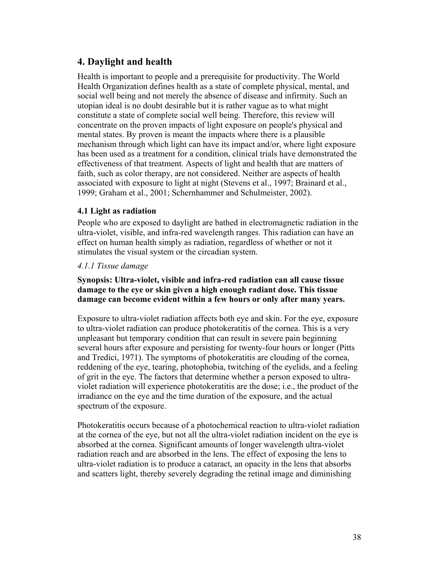# **4. Daylight and health**

Health is important to people and a prerequisite for productivity. The World Health Organization defines health as a state of complete physical, mental, and social well being and not merely the absence of disease and infirmity. Such an utopian ideal is no doubt desirable but it is rather vague as to what might constitute a state of complete social well being. Therefore, this review will concentrate on the proven impacts of light exposure on people's physical and mental states. By proven is meant the impacts where there is a plausible mechanism through which light can have its impact and/or, where light exposure has been used as a treatment for a condition, clinical trials have demonstrated the effectiveness of that treatment. Aspects of light and health that are matters of faith, such as color therapy, are not considered. Neither are aspects of health associated with exposure to light at night (Stevens et al., 1997; Brainard et al., 1999; Graham et al., 2001; Schernhammer and Schulmeister, 2002).

## **4.1 Light as radiation**

People who are exposed to daylight are bathed in electromagnetic radiation in the ultra-violet, visible, and infra-red wavelength ranges. This radiation can have an effect on human health simply as radiation, regardless of whether or not it stimulates the visual system or the circadian system.

## *4.1.1 Tissue damage*

## **Synopsis: Ultra-violet, visible and infra-red radiation can all cause tissue damage to the eye or skin given a high enough radiant dose. This tissue damage can become evident within a few hours or only after many years.**

Exposure to ultra-violet radiation affects both eye and skin. For the eye, exposure to ultra-violet radiation can produce photokeratitis of the cornea. This is a very unpleasant but temporary condition that can result in severe pain beginning several hours after exposure and persisting for twenty-four hours or longer (Pitts and Tredici, 1971). The symptoms of photokeratitis are clouding of the cornea, reddening of the eye, tearing, photophobia, twitching of the eyelids, and a feeling of grit in the eye. The factors that determine whether a person exposed to ultraviolet radiation will experience photokeratitis are the dose; i.e., the product of the irradiance on the eye and the time duration of the exposure, and the actual spectrum of the exposure.

Photokeratitis occurs because of a photochemical reaction to ultra-violet radiation at the cornea of the eye, but not all the ultra-violet radiation incident on the eye is absorbed at the cornea. Significant amounts of longer wavelength ultra-violet radiation reach and are absorbed in the lens. The effect of exposing the lens to ultra-violet radiation is to produce a cataract, an opacity in the lens that absorbs and scatters light, thereby severely degrading the retinal image and diminishing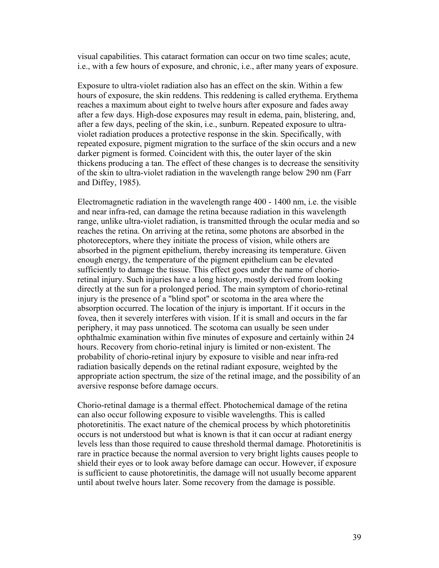visual capabilities. This cataract formation can occur on two time scales; acute, i.e., with a few hours of exposure, and chronic, i.e., after many years of exposure.

Exposure to ultra-violet radiation also has an effect on the skin. Within a few hours of exposure, the skin reddens. This reddening is called erythema. Erythema reaches a maximum about eight to twelve hours after exposure and fades away after a few days. High-dose exposures may result in edema, pain, blistering, and, after a few days, peeling of the skin, i.e., sunburn. Repeated exposure to ultraviolet radiation produces a protective response in the skin. Specifically, with repeated exposure, pigment migration to the surface of the skin occurs and a new darker pigment is formed. Coincident with this, the outer layer of the skin thickens producing a tan. The effect of these changes is to decrease the sensitivity of the skin to ultra-violet radiation in the wavelength range below 290 nm (Farr and Diffey, 1985).

Electromagnetic radiation in the wavelength range 400 - 1400 nm, i.e. the visible and near infra-red, can damage the retina because radiation in this wavelength range, unlike ultra-violet radiation, is transmitted through the ocular media and so reaches the retina. On arriving at the retina, some photons are absorbed in the photoreceptors, where they initiate the process of vision, while others are absorbed in the pigment epithelium, thereby increasing its temperature. Given enough energy, the temperature of the pigment epithelium can be elevated sufficiently to damage the tissue. This effect goes under the name of chorioretinal injury. Such injuries have a long history, mostly derived from looking directly at the sun for a prolonged period. The main symptom of chorio-retinal injury is the presence of a "blind spot" or scotoma in the area where the absorption occurred. The location of the injury is important. If it occurs in the fovea, then it severely interferes with vision. If it is small and occurs in the far periphery, it may pass unnoticed. The scotoma can usually be seen under ophthalmic examination within five minutes of exposure and certainly within 24 hours. Recovery from chorio-retinal injury is limited or non-existent. The probability of chorio-retinal injury by exposure to visible and near infra-red radiation basically depends on the retinal radiant exposure, weighted by the appropriate action spectrum, the size of the retinal image, and the possibility of an aversive response before damage occurs.

Chorio-retinal damage is a thermal effect. Photochemical damage of the retina can also occur following exposure to visible wavelengths. This is called photoretinitis. The exact nature of the chemical process by which photoretinitis occurs is not understood but what is known is that it can occur at radiant energy levels less than those required to cause threshold thermal damage. Photoretinitis is rare in practice because the normal aversion to very bright lights causes people to shield their eyes or to look away before damage can occur. However, if exposure is sufficient to cause photoretinitis, the damage will not usually become apparent until about twelve hours later. Some recovery from the damage is possible.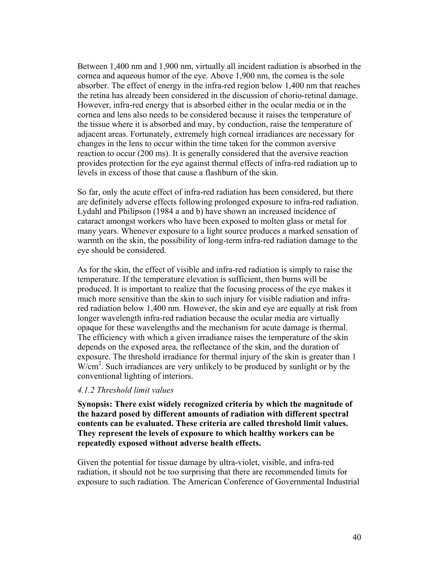Between 1,400 nm and 1,900 nm, virtually all incident radiation is absorbed in the cornea and aqueous humor of the eye. Above 1,900 nm, the cornea is the sole absorber. The effect of energy in the infra-red region below 1,400 nm that reaches the retina has already been considered in the discussion of chorio-retinal damage. However, infra-red energy that is absorbed either in the ocular media or in the cornea and lens also needs to be considered because it raises the temperature of the tissue where it is absorbed and may, by conduction, raise the temperature of adjacent areas. Fortunately, extremely high corneal irradiances are necessary for changes in the lens to occur within the time taken for the common aversive reaction to occur (200 ms). It is generally considered that the aversive reaction provides protection for the eye against thermal effects of infra-red radiation up to levels in excess of those that cause a flashburn of the skin.

So far, only the acute effect of infra-red radiation has been considered, but there are definitely adverse effects following prolonged exposure to infra-red radiation. Lydahl and Philipson (1984 a and b) have shown an increased incidence of cataract amongst workers who have been exposed to molten glass or metal for many years. Whenever exposure to a light source produces a marked sensation of warmth on the skin, the possibility of long-term infra-red radiation damage to the eye should be considered.

As for the skin, the effect of visible and infra-red radiation is simply to raise the temperature. If the temperature elevation is sufficient, then burns will be produced. It is important to realize that the focusing process of the eye makes it much more sensitive than the skin to such injury for visible radiation and infrared radiation below 1,400 nm. However, the skin and eye are equally at risk from longer wavelength infra-red radiation because the ocular media are virtually opaque for these wavelengths and the mechanism for acute damage is thermal. The efficiency with which a given irradiance raises the temperature of the skin depends on the exposed area, the reflectance of the skin, and the duration of exposure. The threshold irradiance for thermal injury of the skin is greater than 1 W/cm<sup>2</sup>. Such irradiances are very unlikely to be produced by sunlight or by the conventional lighting of interiors.

#### *4.1.2 Threshold limit values*

**Synopsis: There exist widely recognized criteria by which the magnitude of the hazard posed by different amounts of radiation with different spectral contents can be evaluated. These criteria are called threshold limit values. They represent the levels of exposure to which healthy workers can be repeatedly exposed without adverse health effects.** 

Given the potential for tissue damage by ultra-violet, visible, and infra-red radiation, it should not be too surprising that there are recommended limits for exposure to such radiation. The American Conference of Governmental Industrial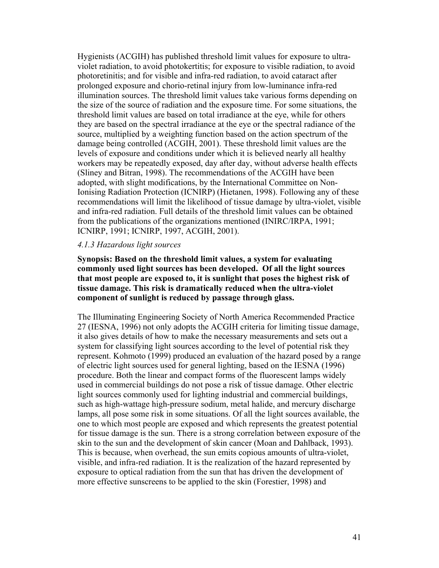Hygienists (ACGIH) has published threshold limit values for exposure to ultraviolet radiation, to avoid photokertitis; for exposure to visible radiation, to avoid photoretinitis; and for visible and infra-red radiation, to avoid cataract after prolonged exposure and chorio-retinal injury from low-luminance infra-red illumination sources. The threshold limit values take various forms depending on the size of the source of radiation and the exposure time. For some situations, the threshold limit values are based on total irradiance at the eye, while for others they are based on the spectral irradiance at the eye or the spectral radiance of the source, multiplied by a weighting function based on the action spectrum of the damage being controlled (ACGIH, 2001). These threshold limit values are the levels of exposure and conditions under which it is believed nearly all healthy workers may be repeatedly exposed, day after day, without adverse health effects (Sliney and Bitran, 1998). The recommendations of the ACGIH have been adopted, with slight modifications, by the International Committee on Non-Ionising Radiation Protection (ICNIRP) (Hietanen, 1998). Following any of these recommendations will limit the likelihood of tissue damage by ultra-violet, visible and infra-red radiation. Full details of the threshold limit values can be obtained from the publications of the organizations mentioned (INIRC/IRPA, 1991; ICNIRP, 1991; ICNIRP, 1997, ACGIH, 2001).

## *4.1.3 Hazardous light sources*

**Synopsis: Based on the threshold limit values, a system for evaluating commonly used light sources has been developed. Of all the light sources that most people are exposed to, it is sunlight that poses the highest risk of tissue damage. This risk is dramatically reduced when the ultra-violet component of sunlight is reduced by passage through glass.** 

The Illuminating Engineering Society of North America Recommended Practice 27 (IESNA, 1996) not only adopts the ACGIH criteria for limiting tissue damage, it also gives details of how to make the necessary measurements and sets out a system for classifying light sources according to the level of potential risk they represent. Kohmoto (1999) produced an evaluation of the hazard posed by a range of electric light sources used for general lighting, based on the IESNA (1996) procedure. Both the linear and compact forms of the fluorescent lamps widely used in commercial buildings do not pose a risk of tissue damage. Other electric light sources commonly used for lighting industrial and commercial buildings, such as high-wattage high-pressure sodium, metal halide, and mercury discharge lamps, all pose some risk in some situations. Of all the light sources available, the one to which most people are exposed and which represents the greatest potential for tissue damage is the sun. There is a strong correlation between exposure of the skin to the sun and the development of skin cancer (Moan and Dahlback, 1993). This is because, when overhead, the sun emits copious amounts of ultra-violet, visible, and infra-red radiation. It is the realization of the hazard represented by exposure to optical radiation from the sun that has driven the development of more effective sunscreens to be applied to the skin (Forestier, 1998) and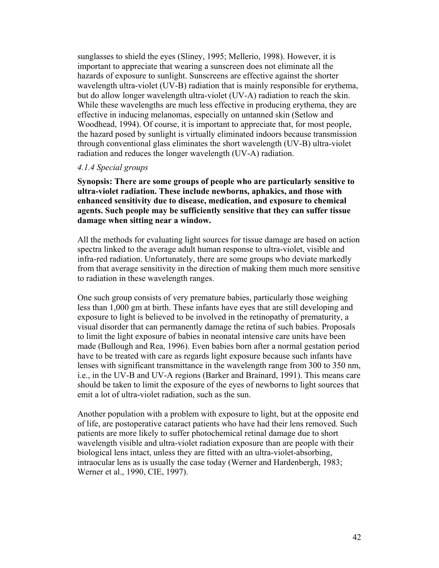sunglasses to shield the eyes (Sliney, 1995; Mellerio, 1998). However, it is important to appreciate that wearing a sunscreen does not eliminate all the hazards of exposure to sunlight. Sunscreens are effective against the shorter wavelength ultra-violet (UV-B) radiation that is mainly responsible for erythema, but do allow longer wavelength ultra-violet (UV-A) radiation to reach the skin. While these wavelengths are much less effective in producing erythema, they are effective in inducing melanomas, especially on untanned skin (Setlow and Woodhead, 1994). Of course, it is important to appreciate that, for most people, the hazard posed by sunlight is virtually eliminated indoors because transmission through conventional glass eliminates the short wavelength (UV-B) ultra-violet radiation and reduces the longer wavelength (UV-A) radiation.

#### *4.1.4 Special groups*

**Synopsis: There are some groups of people who are particularly sensitive to ultra-violet radiation. These include newborns, aphakics, and those with enhanced sensitivity due to disease, medication, and exposure to chemical agents. Such people may be sufficiently sensitive that they can suffer tissue damage when sitting near a window.** 

All the methods for evaluating light sources for tissue damage are based on action spectra linked to the average adult human response to ultra-violet, visible and infra-red radiation. Unfortunately, there are some groups who deviate markedly from that average sensitivity in the direction of making them much more sensitive to radiation in these wavelength ranges.

One such group consists of very premature babies, particularly those weighing less than 1,000 gm at birth. These infants have eyes that are still developing and exposure to light is believed to be involved in the retinopathy of prematurity, a visual disorder that can permanently damage the retina of such babies. Proposals to limit the light exposure of babies in neonatal intensive care units have been made (Bullough and Rea, 1996). Even babies born after a normal gestation period have to be treated with care as regards light exposure because such infants have lenses with significant transmittance in the wavelength range from 300 to 350 nm, i.e., in the UV-B and UV-A regions (Barker and Brainard, 1991). This means care should be taken to limit the exposure of the eyes of newborns to light sources that emit a lot of ultra-violet radiation, such as the sun.

Another population with a problem with exposure to light, but at the opposite end of life, are postoperative cataract patients who have had their lens removed. Such patients are more likely to suffer photochemical retinal damage due to short wavelength visible and ultra-violet radiation exposure than are people with their biological lens intact, unless they are fitted with an ultra-violet-absorbing, intraocular lens as is usually the case today (Werner and Hardenbergh, 1983; Werner et al., 1990, CIE, 1997).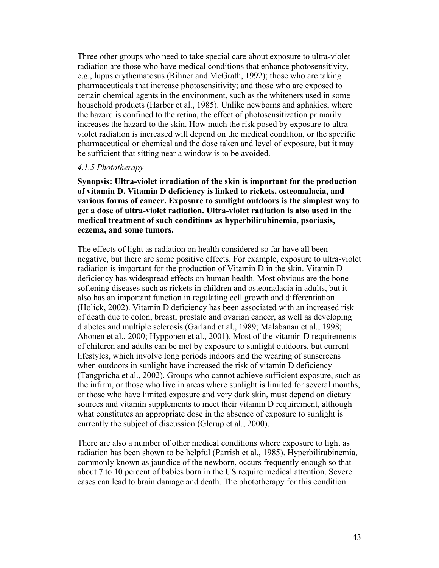Three other groups who need to take special care about exposure to ultra-violet radiation are those who have medical conditions that enhance photosensitivity, e.g., lupus erythematosus (Rihner and McGrath, 1992); those who are taking pharmaceuticals that increase photosensitivity; and those who are exposed to certain chemical agents in the environment, such as the whiteners used in some household products (Harber et al., 1985). Unlike newborns and aphakics, where the hazard is confined to the retina, the effect of photosensitization primarily increases the hazard to the skin. How much the risk posed by exposure to ultraviolet radiation is increased will depend on the medical condition, or the specific pharmaceutical or chemical and the dose taken and level of exposure, but it may be sufficient that sitting near a window is to be avoided.

#### *4.1.5 Phototherapy*

**Synopsis: Ultra-violet irradiation of the skin is important for the production of vitamin D. Vitamin D deficiency is linked to rickets, osteomalacia, and various forms of cancer. Exposure to sunlight outdoors is the simplest way to get a dose of ultra-violet radiation. Ultra-violet radiation is also used in the medical treatment of such conditions as hyperbilirubinemia, psoriasis, eczema, and some tumors.** 

The effects of light as radiation on health considered so far have all been negative, but there are some positive effects. For example, exposure to ultra-violet radiation is important for the production of Vitamin D in the skin. Vitamin D deficiency has widespread effects on human health. Most obvious are the bone softening diseases such as rickets in children and osteomalacia in adults, but it also has an important function in regulating cell growth and differentiation (Holick, 2002). Vitamin D deficiency has been associated with an increased risk of death due to colon, breast, prostate and ovarian cancer, as well as developing diabetes and multiple sclerosis (Garland et al., 1989; Malabanan et al., 1998; Ahonen et al., 2000; Hypponen et al., 2001). Most of the vitamin D requirements of children and adults can be met by exposure to sunlight outdoors, but current lifestyles, which involve long periods indoors and the wearing of sunscreens when outdoors in sunlight have increased the risk of vitamin D deficiency (Tangpricha et al., 2002). Groups who cannot achieve sufficient exposure, such as the infirm, or those who live in areas where sunlight is limited for several months, or those who have limited exposure and very dark skin, must depend on dietary sources and vitamin supplements to meet their vitamin D requirement, although what constitutes an appropriate dose in the absence of exposure to sunlight is currently the subject of discussion (Glerup et al., 2000).

There are also a number of other medical conditions where exposure to light as radiation has been shown to be helpful (Parrish et al., 1985). Hyperbilirubinemia, commonly known as jaundice of the newborn, occurs frequently enough so that about 7 to 10 percent of babies born in the US require medical attention. Severe cases can lead to brain damage and death. The phototherapy for this condition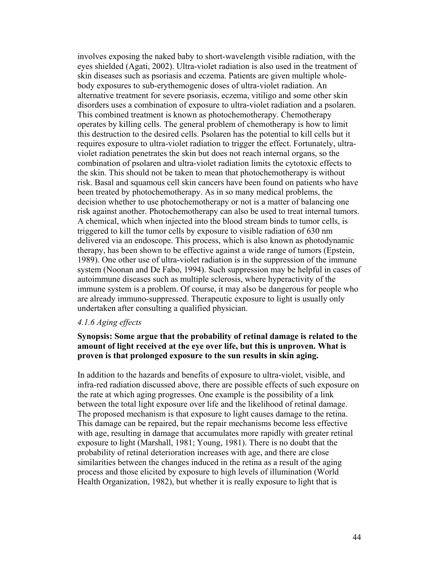involves exposing the naked baby to short-wavelength visible radiation, with the eyes shielded (Agati, 2002). Ultra-violet radiation is also used in the treatment of skin diseases such as psoriasis and eczema. Patients are given multiple wholebody exposures to sub-erythemogenic doses of ultra-violet radiation. An alternative treatment for severe psoriasis, eczema, vitiligo and some other skin disorders uses a combination of exposure to ultra-violet radiation and a psolaren. This combined treatment is known as photochemotherapy. Chemotherapy operates by killing cells. The general problem of chemotherapy is how to limit this destruction to the desired cells. Psolaren has the potential to kill cells but it requires exposure to ultra-violet radiation to trigger the effect. Fortunately, ultraviolet radiation penetrates the skin but does not reach internal organs, so the combination of psolaren and ultra-violet radiation limits the cytotoxic effects to the skin. This should not be taken to mean that photochemotherapy is without risk. Basal and squamous cell skin cancers have been found on patients who have been treated by photochemotherapy. As in so many medical problems, the decision whether to use photochemotherapy or not is a matter of balancing one risk against another. Photochemotherapy can also be used to treat internal tumors. A chemical, which when injected into the blood stream binds to tumor cells, is triggered to kill the tumor cells by exposure to visible radiation of 630 nm delivered via an endoscope. This process, which is also known as photodynamic therapy, has been shown to be effective against a wide range of tumors (Epstein, 1989). One other use of ultra-violet radiation is in the suppression of the immune system (Noonan and De Fabo, 1994). Such suppression may be helpful in cases of autoimmune diseases such as multiple sclerosis, where hyperactivity of the immune system is a problem. Of course, it may also be dangerous for people who are already immuno-suppressed. Therapeutic exposure to light is usually only undertaken after consulting a qualified physician.

## *4.1.6 Aging effects*

## **Synopsis: Some argue that the probability of retinal damage is related to the amount of light received at the eye over life, but this is unproven. What is proven is that prolonged exposure to the sun results in skin aging.**

In addition to the hazards and benefits of exposure to ultra-violet, visible, and infra-red radiation discussed above, there are possible effects of such exposure on the rate at which aging progresses. One example is the possibility of a link between the total light exposure over life and the likelihood of retinal damage. The proposed mechanism is that exposure to light causes damage to the retina. This damage can be repaired, but the repair mechanisms become less effective with age, resulting in damage that accumulates more rapidly with greater retinal exposure to light (Marshall, 1981; Young, 1981). There is no doubt that the probability of retinal deterioration increases with age, and there are close similarities between the changes induced in the retina as a result of the aging process and those elicited by exposure to high levels of illumination (World Health Organization, 1982), but whether it is really exposure to light that is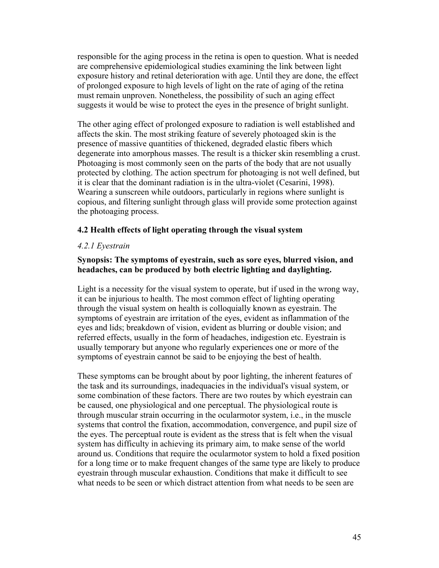responsible for the aging process in the retina is open to question. What is needed are comprehensive epidemiological studies examining the link between light exposure history and retinal deterioration with age. Until they are done, the effect of prolonged exposure to high levels of light on the rate of aging of the retina must remain unproven. Nonetheless, the possibility of such an aging effect suggests it would be wise to protect the eyes in the presence of bright sunlight.

The other aging effect of prolonged exposure to radiation is well established and affects the skin. The most striking feature of severely photoaged skin is the presence of massive quantities of thickened, degraded elastic fibers which degenerate into amorphous masses. The result is a thicker skin resembling a crust. Photoaging is most commonly seen on the parts of the body that are not usually protected by clothing. The action spectrum for photoaging is not well defined, but it is clear that the dominant radiation is in the ultra-violet (Cesarini, 1998). Wearing a sunscreen while outdoors, particularly in regions where sunlight is copious, and filtering sunlight through glass will provide some protection against the photoaging process.

### **4.2 Health effects of light operating through the visual system**

### *4.2.1 Eyestrain*

## **Synopsis: The symptoms of eyestrain, such as sore eyes, blurred vision, and headaches, can be produced by both electric lighting and daylighting.**

Light is a necessity for the visual system to operate, but if used in the wrong way, it can be injurious to health. The most common effect of lighting operating through the visual system on health is colloquially known as eyestrain. The symptoms of eyestrain are irritation of the eyes, evident as inflammation of the eyes and lids; breakdown of vision, evident as blurring or double vision; and referred effects, usually in the form of headaches, indigestion etc. Eyestrain is usually temporary but anyone who regularly experiences one or more of the symptoms of eyestrain cannot be said to be enjoying the best of health.

These symptoms can be brought about by poor lighting, the inherent features of the task and its surroundings, inadequacies in the individual's visual system, or some combination of these factors. There are two routes by which eyestrain can be caused, one physiological and one perceptual. The physiological route is through muscular strain occurring in the ocularmotor system, i.e., in the muscle systems that control the fixation, accommodation, convergence, and pupil size of the eyes. The perceptual route is evident as the stress that is felt when the visual system has difficulty in achieving its primary aim, to make sense of the world around us. Conditions that require the ocularmotor system to hold a fixed position for a long time or to make frequent changes of the same type are likely to produce eyestrain through muscular exhaustion. Conditions that make it difficult to see what needs to be seen or which distract attention from what needs to be seen are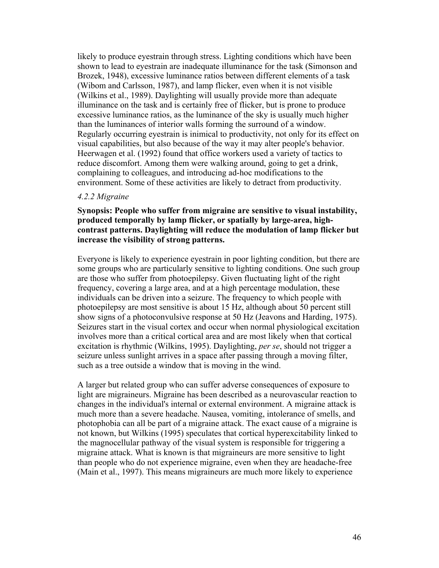likely to produce eyestrain through stress. Lighting conditions which have been shown to lead to eyestrain are inadequate illuminance for the task (Simonson and Brozek, 1948), excessive luminance ratios between different elements of a task (Wibom and Carlsson, 1987), and lamp flicker, even when it is not visible (Wilkins et al., 1989). Daylighting will usually provide more than adequate illuminance on the task and is certainly free of flicker, but is prone to produce excessive luminance ratios, as the luminance of the sky is usually much higher than the luminances of interior walls forming the surround of a window. Regularly occurring eyestrain is inimical to productivity, not only for its effect on visual capabilities, but also because of the way it may alter people's behavior. Heerwagen et al. (1992) found that office workers used a variety of tactics to reduce discomfort. Among them were walking around, going to get a drink, complaining to colleagues, and introducing ad-hoc modifications to the environment. Some of these activities are likely to detract from productivity.

#### *4.2.2 Migraine*

## **Synopsis: People who suffer from migraine are sensitive to visual instability, produced temporally by lamp flicker, or spatially by large-area, highcontrast patterns. Daylighting will reduce the modulation of lamp flicker but increase the visibility of strong patterns.**

Everyone is likely to experience eyestrain in poor lighting condition, but there are some groups who are particularly sensitive to lighting conditions. One such group are those who suffer from photoepilepsy. Given fluctuating light of the right frequency, covering a large area, and at a high percentage modulation, these individuals can be driven into a seizure. The frequency to which people with photoepilepsy are most sensitive is about 15 Hz, although about 50 percent still show signs of a photoconvulsive response at 50 Hz (Jeavons and Harding, 1975). Seizures start in the visual cortex and occur when normal physiological excitation involves more than a critical cortical area and are most likely when that cortical excitation is rhythmic (Wilkins, 1995). Daylighting, *per se*, should not trigger a seizure unless sunlight arrives in a space after passing through a moving filter, such as a tree outside a window that is moving in the wind.

A larger but related group who can suffer adverse consequences of exposure to light are migraineurs. Migraine has been described as a neurovascular reaction to changes in the individual's internal or external environment. A migraine attack is much more than a severe headache. Nausea, vomiting, intolerance of smells, and photophobia can all be part of a migraine attack. The exact cause of a migraine is not known, but Wilkins (1995) speculates that cortical hyperexcitability linked to the magnocellular pathway of the visual system is responsible for triggering a migraine attack. What is known is that migraineurs are more sensitive to light than people who do not experience migraine, even when they are headache-free (Main et al., 1997). This means migraineurs are much more likely to experience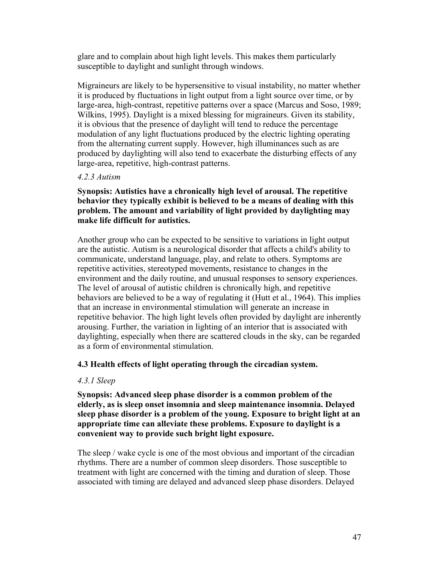glare and to complain about high light levels. This makes them particularly susceptible to daylight and sunlight through windows.

Migraineurs are likely to be hypersensitive to visual instability, no matter whether it is produced by fluctuations in light output from a light source over time, or by large-area, high-contrast, repetitive patterns over a space (Marcus and Soso, 1989; Wilkins, 1995). Daylight is a mixed blessing for migraineurs. Given its stability, it is obvious that the presence of daylight will tend to reduce the percentage modulation of any light fluctuations produced by the electric lighting operating from the alternating current supply. However, high illuminances such as are produced by daylighting will also tend to exacerbate the disturbing effects of any large-area, repetitive, high-contrast patterns.

## *4.2.3 Autism*

## **Synopsis: Autistics have a chronically high level of arousal. The repetitive behavior they typically exhibit is believed to be a means of dealing with this problem. The amount and variability of light provided by daylighting may make life difficult for autistics.**

Another group who can be expected to be sensitive to variations in light output are the autistic. Autism is a neurological disorder that affects a child's ability to communicate, understand language, play, and relate to others. Symptoms are repetitive activities, stereotyped movements, resistance to changes in the environment and the daily routine, and unusual responses to sensory experiences. The level of arousal of autistic children is chronically high, and repetitive behaviors are believed to be a way of regulating it (Hutt et al., 1964). This implies that an increase in environmental stimulation will generate an increase in repetitive behavior. The high light levels often provided by daylight are inherently arousing. Further, the variation in lighting of an interior that is associated with daylighting, especially when there are scattered clouds in the sky, can be regarded as a form of environmental stimulation.

## **4.3 Health effects of light operating through the circadian system.**

## *4.3.1 Sleep*

**Synopsis: Advanced sleep phase disorder is a common problem of the elderly, as is sleep onset insomnia and sleep maintenance insomnia. Delayed sleep phase disorder is a problem of the young. Exposure to bright light at an appropriate time can alleviate these problems. Exposure to daylight is a convenient way to provide such bright light exposure.** 

The sleep / wake cycle is one of the most obvious and important of the circadian rhythms. There are a number of common sleep disorders. Those susceptible to treatment with light are concerned with the timing and duration of sleep. Those associated with timing are delayed and advanced sleep phase disorders. Delayed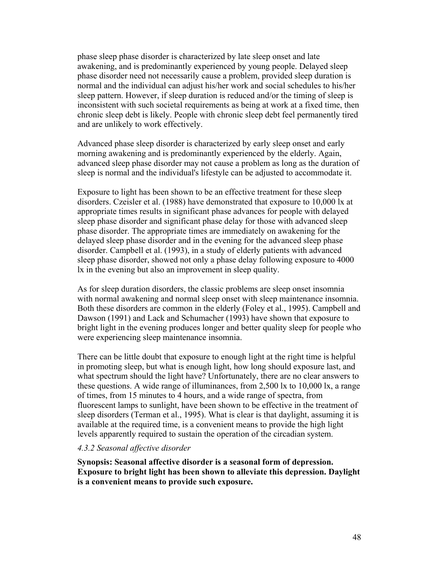phase sleep phase disorder is characterized by late sleep onset and late awakening, and is predominantly experienced by young people. Delayed sleep phase disorder need not necessarily cause a problem, provided sleep duration is normal and the individual can adjust his/her work and social schedules to his/her sleep pattern. However, if sleep duration is reduced and/or the timing of sleep is inconsistent with such societal requirements as being at work at a fixed time, then chronic sleep debt is likely. People with chronic sleep debt feel permanently tired and are unlikely to work effectively.

Advanced phase sleep disorder is characterized by early sleep onset and early morning awakening and is predominantly experienced by the elderly. Again, advanced sleep phase disorder may not cause a problem as long as the duration of sleep is normal and the individual's lifestyle can be adjusted to accommodate it.

Exposure to light has been shown to be an effective treatment for these sleep disorders. Czeisler et al. (1988) have demonstrated that exposure to 10,000 lx at appropriate times results in significant phase advances for people with delayed sleep phase disorder and significant phase delay for those with advanced sleep phase disorder. The appropriate times are immediately on awakening for the delayed sleep phase disorder and in the evening for the advanced sleep phase disorder. Campbell et al. (1993), in a study of elderly patients with advanced sleep phase disorder, showed not only a phase delay following exposure to 4000 lx in the evening but also an improvement in sleep quality.

As for sleep duration disorders, the classic problems are sleep onset insomnia with normal awakening and normal sleep onset with sleep maintenance insomnia. Both these disorders are common in the elderly (Foley et al., 1995). Campbell and Dawson (1991) and Lack and Schumacher (1993) have shown that exposure to bright light in the evening produces longer and better quality sleep for people who were experiencing sleep maintenance insomnia.

There can be little doubt that exposure to enough light at the right time is helpful in promoting sleep, but what is enough light, how long should exposure last, and what spectrum should the light have? Unfortunately, there are no clear answers to these questions. A wide range of illuminances, from 2,500 lx to 10,000 lx, a range of times, from 15 minutes to 4 hours, and a wide range of spectra, from fluorescent lamps to sunlight, have been shown to be effective in the treatment of sleep disorders (Terman et al., 1995). What is clear is that daylight, assuming it is available at the required time, is a convenient means to provide the high light levels apparently required to sustain the operation of the circadian system.

#### *4.3.2 Seasonal affective disorder*

**Synopsis: Seasonal affective disorder is a seasonal form of depression. Exposure to bright light has been shown to alleviate this depression. Daylight is a convenient means to provide such exposure.**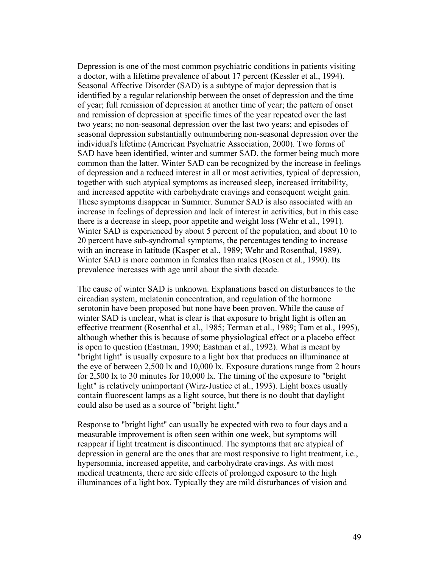Depression is one of the most common psychiatric conditions in patients visiting a doctor, with a lifetime prevalence of about 17 percent (Kessler et al., 1994). Seasonal Affective Disorder (SAD) is a subtype of major depression that is identified by a regular relationship between the onset of depression and the time of year; full remission of depression at another time of year; the pattern of onset and remission of depression at specific times of the year repeated over the last two years; no non-seasonal depression over the last two years; and episodes of seasonal depression substantially outnumbering non-seasonal depression over the individual's lifetime (American Psychiatric Association, 2000). Two forms of SAD have been identified, winter and summer SAD, the former being much more common than the latter. Winter SAD can be recognized by the increase in feelings of depression and a reduced interest in all or most activities, typical of depression, together with such atypical symptoms as increased sleep, increased irritability, and increased appetite with carbohydrate cravings and consequent weight gain. These symptoms disappear in Summer. Summer SAD is also associated with an increase in feelings of depression and lack of interest in activities, but in this case there is a decrease in sleep, poor appetite and weight loss (Wehr et al., 1991). Winter SAD is experienced by about 5 percent of the population, and about 10 to 20 percent have sub-syndromal symptoms, the percentages tending to increase with an increase in latitude (Kasper et al., 1989; Wehr and Rosenthal, 1989). Winter SAD is more common in females than males (Rosen et al., 1990). Its prevalence increases with age until about the sixth decade.

The cause of winter SAD is unknown. Explanations based on disturbances to the circadian system, melatonin concentration, and regulation of the hormone serotonin have been proposed but none have been proven. While the cause of winter SAD is unclear, what is clear is that exposure to bright light is often an effective treatment (Rosenthal et al., 1985; Terman et al., 1989; Tam et al., 1995), although whether this is because of some physiological effect or a placebo effect is open to question (Eastman, 1990; Eastman et al., 1992). What is meant by "bright light" is usually exposure to a light box that produces an illuminance at the eye of between 2,500 lx and 10,000 lx. Exposure durations range from 2 hours for 2,500 lx to 30 minutes for 10,000 lx. The timing of the exposure to "bright light" is relatively unimportant (Wirz-Justice et al., 1993). Light boxes usually contain fluorescent lamps as a light source, but there is no doubt that daylight could also be used as a source of "bright light."

Response to "bright light" can usually be expected with two to four days and a measurable improvement is often seen within one week, but symptoms will reappear if light treatment is discontinued. The symptoms that are atypical of depression in general are the ones that are most responsive to light treatment, i.e., hypersomnia, increased appetite, and carbohydrate cravings. As with most medical treatments, there are side effects of prolonged exposure to the high illuminances of a light box. Typically they are mild disturbances of vision and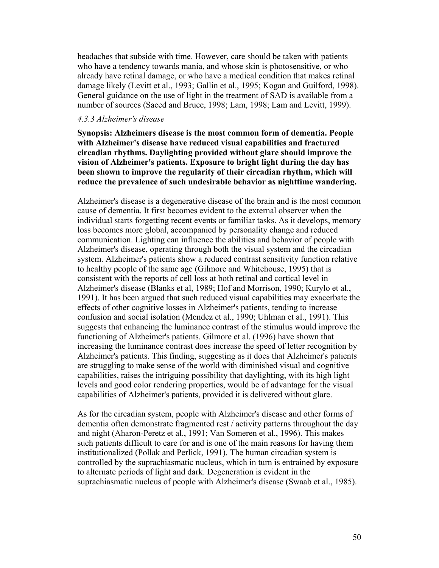headaches that subside with time. However, care should be taken with patients who have a tendency towards mania, and whose skin is photosensitive, or who already have retinal damage, or who have a medical condition that makes retinal damage likely (Levitt et al., 1993; Gallin et al., 1995; Kogan and Guilford, 1998). General guidance on the use of light in the treatment of SAD is available from a number of sources (Saeed and Bruce, 1998; Lam, 1998; Lam and Levitt, 1999).

#### *4.3.3 Alzheimer's disease*

**Synopsis: Alzheimers disease is the most common form of dementia. People with Alzheimer's disease have reduced visual capabilities and fractured circadian rhythms. Daylighting provided without glare should improve the vision of Alzheimer's patients. Exposure to bright light during the day has been shown to improve the regularity of their circadian rhythm, which will reduce the prevalence of such undesirable behavior as nighttime wandering.** 

Alzheimer's disease is a degenerative disease of the brain and is the most common cause of dementia. It first becomes evident to the external observer when the individual starts forgetting recent events or familiar tasks. As it develops, memory loss becomes more global, accompanied by personality change and reduced communication. Lighting can influence the abilities and behavior of people with Alzheimer's disease, operating through both the visual system and the circadian system. Alzheimer's patients show a reduced contrast sensitivity function relative to healthy people of the same age (Gilmore and Whitehouse, 1995) that is consistent with the reports of cell loss at both retinal and cortical level in Alzheimer's disease (Blanks et al, 1989; Hof and Morrison, 1990; Kurylo et al., 1991). It has been argued that such reduced visual capabilities may exacerbate the effects of other cognitive losses in Alzheimer's patients, tending to increase confusion and social isolation (Mendez et al., 1990; Uhlman et al., 1991). This suggests that enhancing the luminance contrast of the stimulus would improve the functioning of Alzheimer's patients. Gilmore et al. (1996) have shown that increasing the luminance contrast does increase the speed of letter recognition by Alzheimer's patients. This finding, suggesting as it does that Alzheimer's patients are struggling to make sense of the world with diminished visual and cognitive capabilities, raises the intriguing possibility that daylighting, with its high light levels and good color rendering properties, would be of advantage for the visual capabilities of Alzheimer's patients, provided it is delivered without glare.

As for the circadian system, people with Alzheimer's disease and other forms of dementia often demonstrate fragmented rest / activity patterns throughout the day and night (Aharon-Peretz et al., 1991; Van Someren et al., 1996). This makes such patients difficult to care for and is one of the main reasons for having them institutionalized (Pollak and Perlick, 1991). The human circadian system is controlled by the suprachiasmatic nucleus, which in turn is entrained by exposure to alternate periods of light and dark. Degeneration is evident in the suprachiasmatic nucleus of people with Alzheimer's disease (Swaab et al., 1985).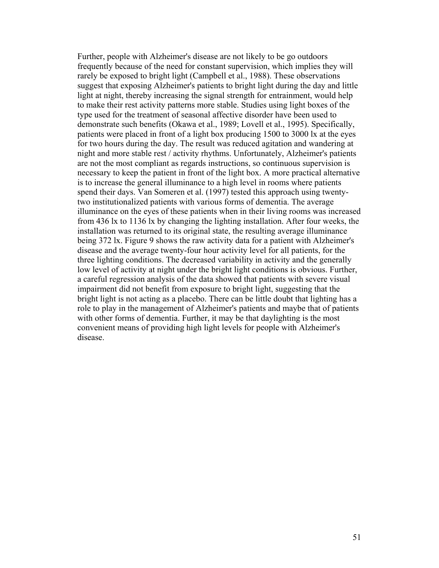Further, people with Alzheimer's disease are not likely to be go outdoors frequently because of the need for constant supervision, which implies they will rarely be exposed to bright light (Campbell et al., 1988). These observations suggest that exposing Alzheimer's patients to bright light during the day and little light at night, thereby increasing the signal strength for entrainment, would help to make their rest activity patterns more stable. Studies using light boxes of the type used for the treatment of seasonal affective disorder have been used to demonstrate such benefits (Okawa et al., 1989; Lovell et al., 1995). Specifically, patients were placed in front of a light box producing 1500 to 3000 lx at the eyes for two hours during the day. The result was reduced agitation and wandering at night and more stable rest / activity rhythms. Unfortunately, Alzheimer's patients are not the most compliant as regards instructions, so continuous supervision is necessary to keep the patient in front of the light box. A more practical alternative is to increase the general illuminance to a high level in rooms where patients spend their days. Van Someren et al. (1997) tested this approach using twentytwo institutionalized patients with various forms of dementia. The average illuminance on the eyes of these patients when in their living rooms was increased from 436 lx to 1136 lx by changing the lighting installation. After four weeks, the installation was returned to its original state, the resulting average illuminance being 372 lx. Figure 9 shows the raw activity data for a patient with Alzheimer's disease and the average twenty-four hour activity level for all patients, for the three lighting conditions. The decreased variability in activity and the generally low level of activity at night under the bright light conditions is obvious. Further, a careful regression analysis of the data showed that patients with severe visual impairment did not benefit from exposure to bright light, suggesting that the bright light is not acting as a placebo. There can be little doubt that lighting has a role to play in the management of Alzheimer's patients and maybe that of patients with other forms of dementia. Further, it may be that daylighting is the most convenient means of providing high light levels for people with Alzheimer's disease.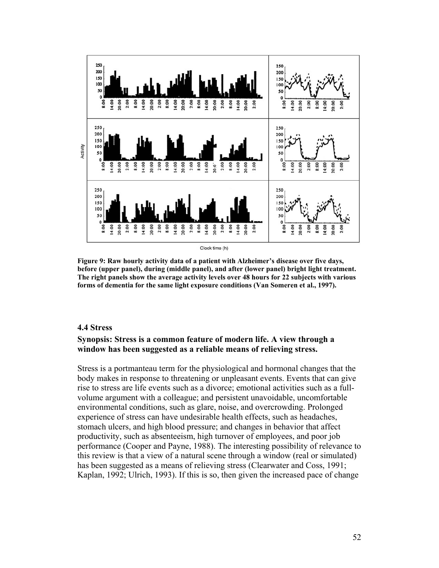

**Figure 9: Raw hourly activity data of a patient with Alzheimer's disease over five days, before (upper panel), during (middle panel), and after (lower panel) bright light treatment. The right panels show the average activity levels over 48 hours for 22 subjects with various forms of dementia for the same light exposure conditions (Van Someren et al., 1997).** 

#### **4.4 Stress**

## **Synopsis: Stress is a common feature of modern life. A view through a window has been suggested as a reliable means of relieving stress.**

Stress is a portmanteau term for the physiological and hormonal changes that the body makes in response to threatening or unpleasant events. Events that can give rise to stress are life events such as a divorce; emotional activities such as a fullvolume argument with a colleague; and persistent unavoidable, uncomfortable environmental conditions, such as glare, noise, and overcrowding. Prolonged experience of stress can have undesirable health effects, such as headaches, stomach ulcers, and high blood pressure; and changes in behavior that affect productivity, such as absenteeism, high turnover of employees, and poor job performance (Cooper and Payne, 1988). The interesting possibility of relevance to this review is that a view of a natural scene through a window (real or simulated) has been suggested as a means of relieving stress (Clearwater and Coss, 1991; Kaplan, 1992; Ulrich, 1993). If this is so, then given the increased pace of change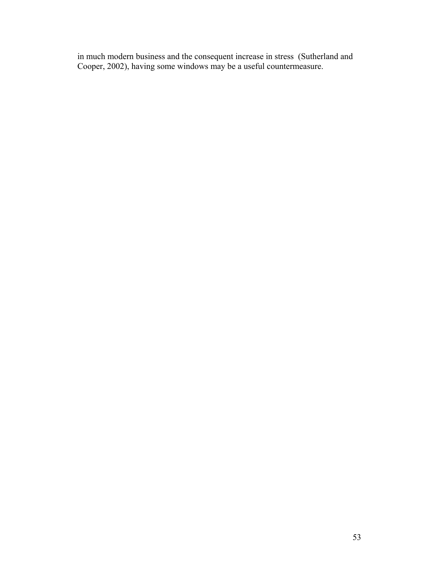in much modern business and the consequent increase in stress (Sutherland and Cooper, 2002), having some windows may be a useful countermeasure.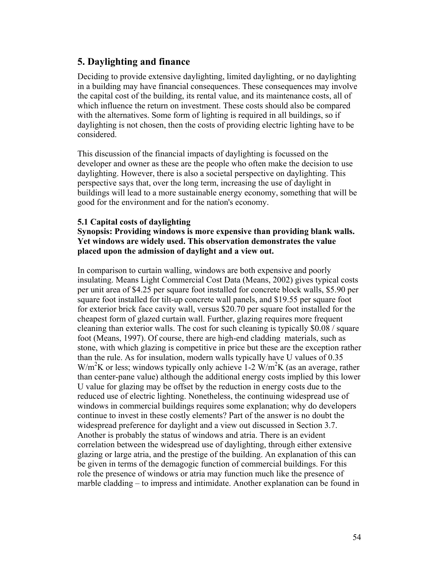# **5. Daylighting and finance**

Deciding to provide extensive daylighting, limited daylighting, or no daylighting in a building may have financial consequences. These consequences may involve the capital cost of the building, its rental value, and its maintenance costs, all of which influence the return on investment. These costs should also be compared with the alternatives. Some form of lighting is required in all buildings, so if daylighting is not chosen, then the costs of providing electric lighting have to be considered.

This discussion of the financial impacts of daylighting is focussed on the developer and owner as these are the people who often make the decision to use daylighting. However, there is also a societal perspective on daylighting. This perspective says that, over the long term, increasing the use of daylight in buildings will lead to a more sustainable energy economy, something that will be good for the environment and for the nation's economy.

### **5.1 Capital costs of daylighting**

## **Synopsis: Providing windows is more expensive than providing blank walls. Yet windows are widely used. This observation demonstrates the value placed upon the admission of daylight and a view out.**

In comparison to curtain walling, windows are both expensive and poorly insulating. Means Light Commercial Cost Data (Means, 2002) gives typical costs per unit area of \$4.25 per square foot installed for concrete block walls, \$5.90 per square foot installed for tilt-up concrete wall panels, and \$19.55 per square foot for exterior brick face cavity wall, versus \$20.70 per square foot installed for the cheapest form of glazed curtain wall. Further, glazing requires more frequent cleaning than exterior walls. The cost for such cleaning is typically \$0.08 / square foot (Means, 1997). Of course, there are high-end cladding materials, such as stone, with which glazing is competitive in price but these are the exception rather than the rule. As for insulation, modern walls typically have U values of 0.35  $W/m<sup>2</sup>K$  or less; windows typically only achieve 1-2  $W/m<sup>2</sup>K$  (as an average, rather than center-pane value) although the additional energy costs implied by this lower U value for glazing may be offset by the reduction in energy costs due to the reduced use of electric lighting. Nonetheless, the continuing widespread use of windows in commercial buildings requires some explanation; why do developers continue to invest in these costly elements? Part of the answer is no doubt the widespread preference for daylight and a view out discussed in Section 3.7. Another is probably the status of windows and atria. There is an evident correlation between the widespread use of daylighting, through either extensive glazing or large atria, and the prestige of the building. An explanation of this can be given in terms of the demagogic function of commercial buildings. For this role the presence of windows or atria may function much like the presence of marble cladding – to impress and intimidate. Another explanation can be found in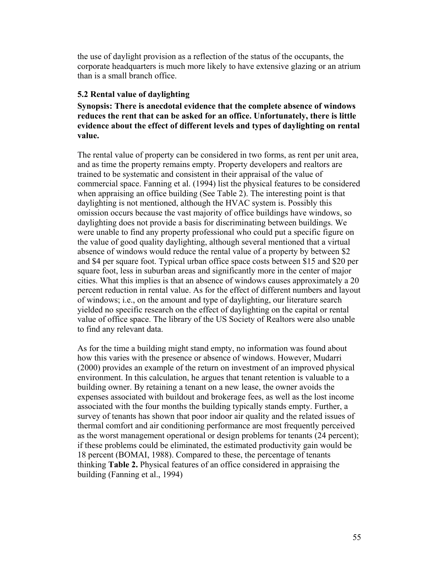the use of daylight provision as a reflection of the status of the occupants, the corporate headquarters is much more likely to have extensive glazing or an atrium than is a small branch office.

### **5.2 Rental value of daylighting**

**Synopsis: There is anecdotal evidence that the complete absence of windows reduces the rent that can be asked for an office. Unfortunately, there is little evidence about the effect of different levels and types of daylighting on rental value.** 

The rental value of property can be considered in two forms, as rent per unit area, and as time the property remains empty. Property developers and realtors are trained to be systematic and consistent in their appraisal of the value of commercial space. Fanning et al. (1994) list the physical features to be considered when appraising an office building (See Table 2). The interesting point is that daylighting is not mentioned, although the HVAC system is. Possibly this omission occurs because the vast majority of office buildings have windows, so daylighting does not provide a basis for discriminating between buildings. We were unable to find any property professional who could put a specific figure on the value of good quality daylighting, although several mentioned that a virtual absence of windows would reduce the rental value of a property by between \$2 and \$4 per square foot. Typical urban office space costs between \$15 and \$20 per square foot, less in suburban areas and significantly more in the center of major cities. What this implies is that an absence of windows causes approximately a 20 percent reduction in rental value. As for the effect of different numbers and layout of windows; i.e., on the amount and type of daylighting, our literature search yielded no specific research on the effect of daylighting on the capital or rental value of office space. The library of the US Society of Realtors were also unable to find any relevant data.

As for the time a building might stand empty, no information was found about how this varies with the presence or absence of windows. However, Mudarri (2000) provides an example of the return on investment of an improved physical environment. In this calculation, he argues that tenant retention is valuable to a building owner. By retaining a tenant on a new lease, the owner avoids the expenses associated with buildout and brokerage fees, as well as the lost income associated with the four months the building typically stands empty. Further, a survey of tenants has shown that poor indoor air quality and the related issues of thermal comfort and air conditioning performance are most frequently perceived as the worst management operational or design problems for tenants (24 percent); if these problems could be eliminated, the estimated productivity gain would be 18 percent (BOMAI, 1988). Compared to these, the percentage of tenants thinking **Table 2.** Physical features of an office considered in appraising the building (Fanning et al., 1994)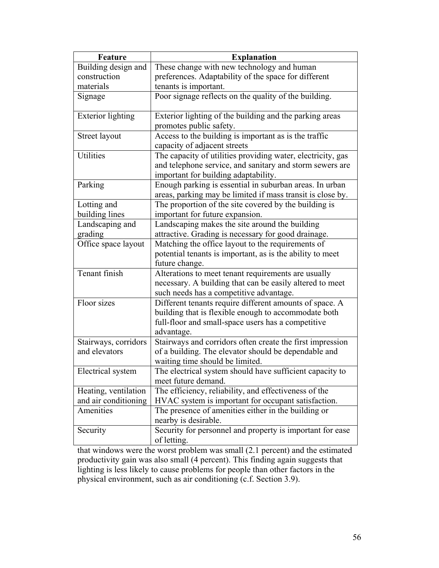| <b>Feature</b>           | <b>Explanation</b>                                                                                                                                              |
|--------------------------|-----------------------------------------------------------------------------------------------------------------------------------------------------------------|
| Building design and      | These change with new technology and human                                                                                                                      |
| construction             | preferences. Adaptability of the space for different                                                                                                            |
| materials                | tenants is important.                                                                                                                                           |
| Signage                  | Poor signage reflects on the quality of the building.                                                                                                           |
| <b>Exterior lighting</b> | Exterior lighting of the building and the parking areas<br>promotes public safety.                                                                              |
| Street layout            | Access to the building is important as is the traffic<br>capacity of adjacent streets                                                                           |
| Utilities                | The capacity of utilities providing water, electricity, gas<br>and telephone service, and sanitary and storm sewers are<br>important for building adaptability. |
| Parking                  | Enough parking is essential in suburban areas. In urban<br>areas, parking may be limited if mass transit is close by.                                           |
| Lotting and              | The proportion of the site covered by the building is                                                                                                           |
| building lines           | important for future expansion.                                                                                                                                 |
| Landscaping and          | Landscaping makes the site around the building                                                                                                                  |
| grading                  | attractive. Grading is necessary for good drainage.                                                                                                             |
| Office space layout      | Matching the office layout to the requirements of<br>potential tenants is important, as is the ability to meet                                                  |
|                          | future change.                                                                                                                                                  |
| Tenant finish            | Alterations to meet tenant requirements are usually                                                                                                             |
|                          | necessary. A building that can be easily altered to meet<br>such needs has a competitive advantage.                                                             |
| Floor sizes              | Different tenants require different amounts of space. A                                                                                                         |
|                          | building that is flexible enough to accommodate both                                                                                                            |
|                          | full-floor and small-space users has a competitive                                                                                                              |
|                          | advantage.                                                                                                                                                      |
| Stairways, corridors     | Stairways and corridors often create the first impression                                                                                                       |
| and elevators            | of a building. The elevator should be dependable and<br>waiting time should be limited.                                                                         |
| Electrical system        | The electrical system should have sufficient capacity to<br>meet future demand.                                                                                 |
| Heating, ventilation     | The efficiency, reliability, and effectiveness of the                                                                                                           |
| and air conditioning     | HVAC system is important for occupant satisfaction.                                                                                                             |
| Amenities                | The presence of amenities either in the building or<br>nearby is desirable.                                                                                     |
| Security                 | Security for personnel and property is important for ease<br>of letting.                                                                                        |

that windows were the worst problem was small (2.1 percent) and the estimated productivity gain was also small (4 percent). This finding again suggests that lighting is less likely to cause problems for people than other factors in the physical environment, such as air conditioning (c.f. Section 3.9).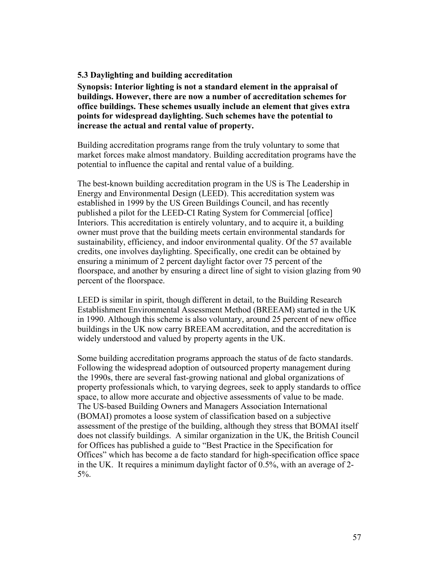## **5.3 Daylighting and building accreditation**

**Synopsis: Interior lighting is not a standard element in the appraisal of buildings. However, there are now a number of accreditation schemes for office buildings. These schemes usually include an element that gives extra points for widespread daylighting. Such schemes have the potential to increase the actual and rental value of property.** 

Building accreditation programs range from the truly voluntary to some that market forces make almost mandatory. Building accreditation programs have the potential to influence the capital and rental value of a building.

The best-known building accreditation program in the US is The Leadership in Energy and Environmental Design (LEED). This accreditation system was established in 1999 by the US Green Buildings Council, and has recently published a pilot for the LEED-CI Rating System for Commercial [office] Interiors. This accreditation is entirely voluntary, and to acquire it, a building owner must prove that the building meets certain environmental standards for sustainability, efficiency, and indoor environmental quality. Of the 57 available credits, one involves daylighting. Specifically, one credit can be obtained by ensuring a minimum of 2 percent daylight factor over 75 percent of the floorspace, and another by ensuring a direct line of sight to vision glazing from 90 percent of the floorspace.

LEED is similar in spirit, though different in detail, to the Building Research Establishment Environmental Assessment Method (BREEAM) started in the UK in 1990. Although this scheme is also voluntary, around 25 percent of new office buildings in the UK now carry BREEAM accreditation, and the accreditation is widely understood and valued by property agents in the UK.

Some building accreditation programs approach the status of de facto standards. Following the widespread adoption of outsourced property management during the 1990s, there are several fast-growing national and global organizations of property professionals which, to varying degrees, seek to apply standards to office space, to allow more accurate and objective assessments of value to be made. The US-based Building Owners and Managers Association International (BOMAI) promotes a loose system of classification based on a subjective assessment of the prestige of the building, although they stress that BOMAI itself does not classify buildings. A similar organization in the UK, the British Council for Offices has published a guide to "Best Practice in the Specification for Offices" which has become a de facto standard for high-specification office space in the UK. It requires a minimum daylight factor of 0.5%, with an average of 2- 5%.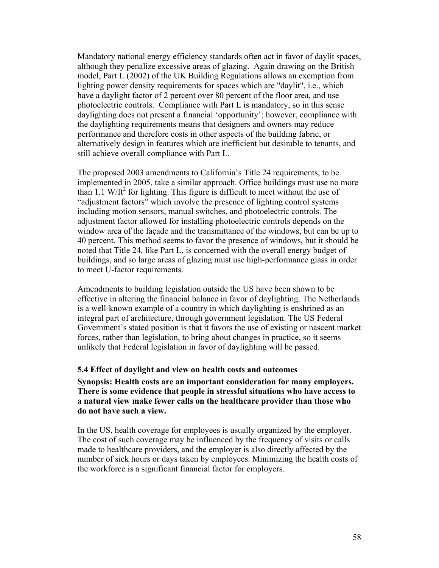Mandatory national energy efficiency standards often act in favor of daylit spaces, although they penalize excessive areas of glazing. Again drawing on the British model, Part L (2002) of the UK Building Regulations allows an exemption from lighting power density requirements for spaces which are "daylit", i.e., which have a daylight factor of 2 percent over 80 percent of the floor area, and use photoelectric controls. Compliance with Part L is mandatory, so in this sense daylighting does not present a financial 'opportunity'; however, compliance with the daylighting requirements means that designers and owners may reduce performance and therefore costs in other aspects of the building fabric, or alternatively design in features which are inefficient but desirable to tenants, and still achieve overall compliance with Part L.

The proposed 2003 amendments to California's Title 24 requirements, to be implemented in 2005, take a similar approach. Office buildings must use no more than 1.1 W/ft<sup>2</sup> for lighting. This figure is difficult to meet without the use of "adjustment factors" which involve the presence of lighting control systems including motion sensors, manual switches, and photoelectric controls. The adjustment factor allowed for installing photoelectric controls depends on the window area of the façade and the transmittance of the windows, but can be up to 40 percent. This method seems to favor the presence of windows, but it should be noted that Title 24, like Part L, is concerned with the overall energy budget of buildings, and so large areas of glazing must use high-performance glass in order to meet U-factor requirements.

Amendments to building legislation outside the US have been shown to be effective in altering the financial balance in favor of daylighting. The Netherlands is a well-known example of a country in which daylighting is enshrined as an integral part of architecture, through government legislation. The US Federal Government's stated position is that it favors the use of existing or nascent market forces, rather than legislation, to bring about changes in practice, so it seems unlikely that Federal legislation in favor of daylighting will be passed.

#### **5.4 Effect of daylight and view on health costs and outcomes**

**Synopsis: Health costs are an important consideration for many employers. There is some evidence that people in stressful situations who have access to a natural view make fewer calls on the healthcare provider than those who do not have such a view.** 

In the US, health coverage for employees is usually organized by the employer. The cost of such coverage may be influenced by the frequency of visits or calls made to healthcare providers, and the employer is also directly affected by the number of sick hours or days taken by employees. Minimizing the health costs of the workforce is a significant financial factor for employers.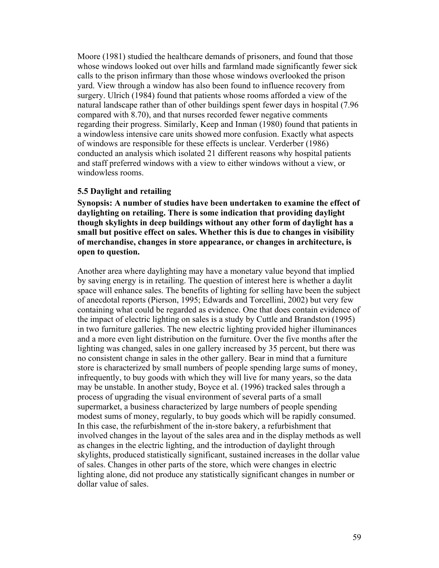Moore (1981) studied the healthcare demands of prisoners, and found that those whose windows looked out over hills and farmland made significantly fewer sick calls to the prison infirmary than those whose windows overlooked the prison yard. View through a window has also been found to influence recovery from surgery. Ulrich (1984) found that patients whose rooms afforded a view of the natural landscape rather than of other buildings spent fewer days in hospital (7.96 compared with 8.70), and that nurses recorded fewer negative comments regarding their progress. Similarly, Keep and Inman (1980) found that patients in a windowless intensive care units showed more confusion. Exactly what aspects of windows are responsible for these effects is unclear. Verderber (1986) conducted an analysis which isolated 21 different reasons why hospital patients and staff preferred windows with a view to either windows without a view, or windowless rooms.

#### **5.5 Daylight and retailing**

**Synopsis: A number of studies have been undertaken to examine the effect of daylighting on retailing. There is some indication that providing daylight though skylights in deep buildings without any other form of daylight has a small but positive effect on sales. Whether this is due to changes in visibility of merchandise, changes in store appearance, or changes in architecture, is open to question.** 

Another area where daylighting may have a monetary value beyond that implied by saving energy is in retailing. The question of interest here is whether a daylit space will enhance sales. The benefits of lighting for selling have been the subject of anecdotal reports (Pierson, 1995; Edwards and Torcellini, 2002) but very few containing what could be regarded as evidence. One that does contain evidence of the impact of electric lighting on sales is a study by Cuttle and Brandston (1995) in two furniture galleries. The new electric lighting provided higher illuminances and a more even light distribution on the furniture. Over the five months after the lighting was changed, sales in one gallery increased by 35 percent, but there was no consistent change in sales in the other gallery. Bear in mind that a furniture store is characterized by small numbers of people spending large sums of money, infrequently, to buy goods with which they will live for many years, so the data may be unstable. In another study, Boyce et al. (1996) tracked sales through a process of upgrading the visual environment of several parts of a small supermarket, a business characterized by large numbers of people spending modest sums of money, regularly, to buy goods which will be rapidly consumed. In this case, the refurbishment of the in-store bakery, a refurbishment that involved changes in the layout of the sales area and in the display methods as well as changes in the electric lighting, and the introduction of daylight through skylights, produced statistically significant, sustained increases in the dollar value of sales. Changes in other parts of the store, which were changes in electric lighting alone, did not produce any statistically significant changes in number or dollar value of sales.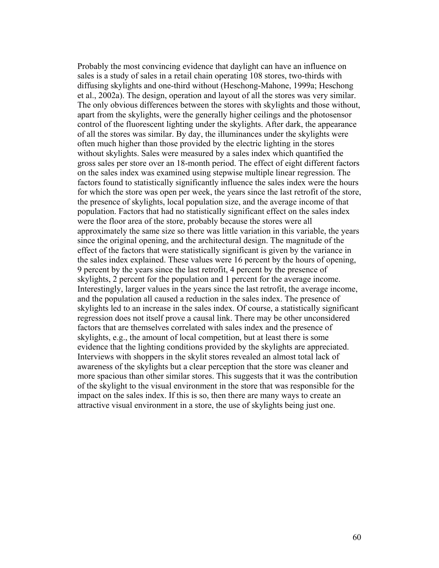Probably the most convincing evidence that daylight can have an influence on sales is a study of sales in a retail chain operating 108 stores, two-thirds with diffusing skylights and one-third without (Heschong-Mahone, 1999a; Heschong et al., 2002a). The design, operation and layout of all the stores was very similar. The only obvious differences between the stores with skylights and those without, apart from the skylights, were the generally higher ceilings and the photosensor control of the fluorescent lighting under the skylights. After dark, the appearance of all the stores was similar. By day, the illuminances under the skylights were often much higher than those provided by the electric lighting in the stores without skylights. Sales were measured by a sales index which quantified the gross sales per store over an 18-month period. The effect of eight different factors on the sales index was examined using stepwise multiple linear regression. The factors found to statistically significantly influence the sales index were the hours for which the store was open per week, the years since the last retrofit of the store, the presence of skylights, local population size, and the average income of that population. Factors that had no statistically significant effect on the sales index were the floor area of the store, probably because the stores were all approximately the same size so there was little variation in this variable, the years since the original opening, and the architectural design. The magnitude of the effect of the factors that were statistically significant is given by the variance in the sales index explained. These values were 16 percent by the hours of opening, 9 percent by the years since the last retrofit, 4 percent by the presence of skylights, 2 percent for the population and 1 percent for the average income. Interestingly, larger values in the years since the last retrofit, the average income, and the population all caused a reduction in the sales index. The presence of skylights led to an increase in the sales index. Of course, a statistically significant regression does not itself prove a causal link. There may be other unconsidered factors that are themselves correlated with sales index and the presence of skylights, e.g., the amount of local competition, but at least there is some evidence that the lighting conditions provided by the skylights are appreciated. Interviews with shoppers in the skylit stores revealed an almost total lack of awareness of the skylights but a clear perception that the store was cleaner and more spacious than other similar stores. This suggests that it was the contribution of the skylight to the visual environment in the store that was responsible for the impact on the sales index. If this is so, then there are many ways to create an attractive visual environment in a store, the use of skylights being just one.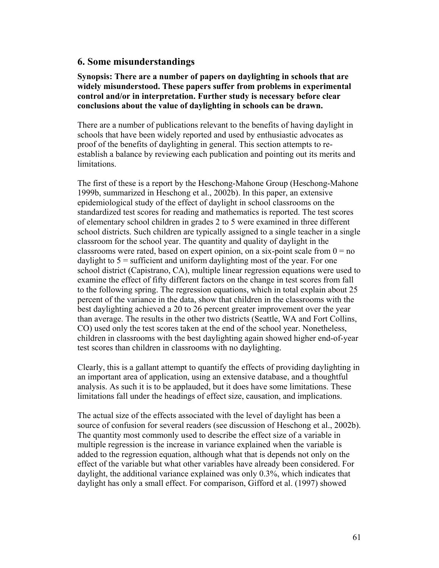## **6. Some misunderstandings**

**Synopsis: There are a number of papers on daylighting in schools that are widely misunderstood. These papers suffer from problems in experimental control and/or in interpretation. Further study is necessary before clear conclusions about the value of daylighting in schools can be drawn.** 

There are a number of publications relevant to the benefits of having daylight in schools that have been widely reported and used by enthusiastic advocates as proof of the benefits of daylighting in general. This section attempts to reestablish a balance by reviewing each publication and pointing out its merits and limitations.

The first of these is a report by the Heschong-Mahone Group (Heschong-Mahone 1999b, summarized in Heschong et al., 2002b). In this paper, an extensive epidemiological study of the effect of daylight in school classrooms on the standardized test scores for reading and mathematics is reported. The test scores of elementary school children in grades 2 to 5 were examined in three different school districts. Such children are typically assigned to a single teacher in a single classroom for the school year. The quantity and quality of daylight in the classrooms were rated, based on expert opinion, on a six-point scale from  $0 = no$ daylight to  $5 =$  sufficient and uniform daylighting most of the year. For one school district (Capistrano, CA), multiple linear regression equations were used to examine the effect of fifty different factors on the change in test scores from fall to the following spring. The regression equations, which in total explain about 25 percent of the variance in the data, show that children in the classrooms with the best daylighting achieved a 20 to 26 percent greater improvement over the year than average. The results in the other two districts (Seattle, WA and Fort Collins, CO) used only the test scores taken at the end of the school year. Nonetheless, children in classrooms with the best daylighting again showed higher end-of-year test scores than children in classrooms with no daylighting.

Clearly, this is a gallant attempt to quantify the effects of providing daylighting in an important area of application, using an extensive database, and a thoughtful analysis. As such it is to be applauded, but it does have some limitations. These limitations fall under the headings of effect size, causation, and implications.

The actual size of the effects associated with the level of daylight has been a source of confusion for several readers (see discussion of Heschong et al., 2002b). The quantity most commonly used to describe the effect size of a variable in multiple regression is the increase in variance explained when the variable is added to the regression equation, although what that is depends not only on the effect of the variable but what other variables have already been considered. For daylight, the additional variance explained was only 0.3%, which indicates that daylight has only a small effect. For comparison, Gifford et al. (1997) showed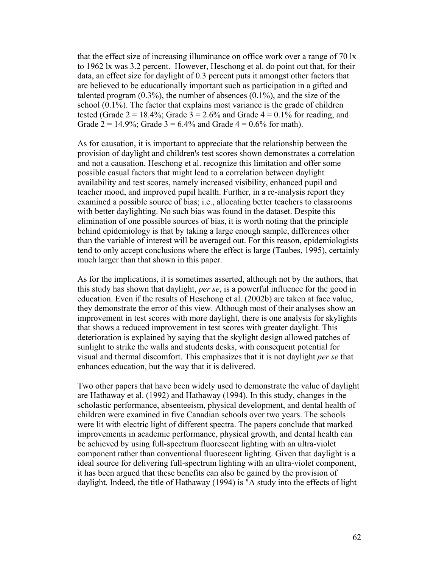that the effect size of increasing illuminance on office work over a range of 70 lx to 1962 lx was 3.2 percent. However, Heschong et al. do point out that, for their data, an effect size for daylight of 0.3 percent puts it amongst other factors that are believed to be educationally important such as participation in a gifted and talented program  $(0.3\%)$ , the number of absences  $(0.1\%)$ , and the size of the school (0.1%). The factor that explains most variance is the grade of children tested (Grade  $2 = 18.4\%$ ; Grade  $3 = 2.6\%$  and Grade  $4 = 0.1\%$  for reading, and Grade  $2 = 14.9\%$ ; Grade  $3 = 6.4\%$  and Grade  $4 = 0.6\%$  for math).

As for causation, it is important to appreciate that the relationship between the provision of daylight and children's test scores shown demonstrates a correlation and not a causation. Heschong et al. recognize this limitation and offer some possible casual factors that might lead to a correlation between daylight availability and test scores, namely increased visibility, enhanced pupil and teacher mood, and improved pupil health. Further, in a re-analysis report they examined a possible source of bias; i.e., allocating better teachers to classrooms with better daylighting. No such bias was found in the dataset. Despite this elimination of one possible sources of bias, it is worth noting that the principle behind epidemiology is that by taking a large enough sample, differences other than the variable of interest will be averaged out. For this reason, epidemiologists tend to only accept conclusions where the effect is large (Taubes, 1995), certainly much larger than that shown in this paper.

As for the implications, it is sometimes asserted, although not by the authors, that this study has shown that daylight, *per se*, is a powerful influence for the good in education. Even if the results of Heschong et al. (2002b) are taken at face value, they demonstrate the error of this view. Although most of their analyses show an improvement in test scores with more daylight, there is one analysis for skylights that shows a reduced improvement in test scores with greater daylight. This deterioration is explained by saying that the skylight design allowed patches of sunlight to strike the walls and students desks, with consequent potential for visual and thermal discomfort. This emphasizes that it is not daylight *per se* that enhances education, but the way that it is delivered.

Two other papers that have been widely used to demonstrate the value of daylight are Hathaway et al. (1992) and Hathaway (1994). In this study, changes in the scholastic performance, absenteeism, physical development, and dental health of children were examined in five Canadian schools over two years. The schools were lit with electric light of different spectra. The papers conclude that marked improvements in academic performance, physical growth, and dental health can be achieved by using full-spectrum fluorescent lighting with an ultra-violet component rather than conventional fluorescent lighting. Given that daylight is a ideal source for delivering full-spectrum lighting with an ultra-violet component, it has been argued that these benefits can also be gained by the provision of daylight. Indeed, the title of Hathaway (1994) is "A study into the effects of light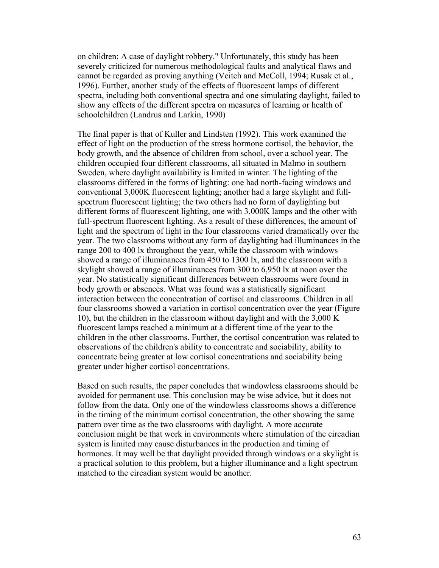on children: A case of daylight robbery." Unfortunately, this study has been severely criticized for numerous methodological faults and analytical flaws and cannot be regarded as proving anything (Veitch and McColl, 1994; Rusak et al., 1996). Further, another study of the effects of fluorescent lamps of different spectra, including both conventional spectra and one simulating daylight, failed to show any effects of the different spectra on measures of learning or health of schoolchildren (Landrus and Larkin, 1990)

The final paper is that of Kuller and Lindsten (1992). This work examined the effect of light on the production of the stress hormone cortisol, the behavior, the body growth, and the absence of children from school, over a school year. The children occupied four different classrooms, all situated in Malmo in southern Sweden, where daylight availability is limited in winter. The lighting of the classrooms differed in the forms of lighting: one had north-facing windows and conventional 3,000K fluorescent lighting; another had a large skylight and fullspectrum fluorescent lighting; the two others had no form of daylighting but different forms of fluorescent lighting, one with 3,000K lamps and the other with full-spectrum fluorescent lighting. As a result of these differences, the amount of light and the spectrum of light in the four classrooms varied dramatically over the year. The two classrooms without any form of daylighting had illuminances in the range 200 to 400 lx throughout the year, while the classroom with windows showed a range of illuminances from 450 to 1300 lx, and the classroom with a skylight showed a range of illuminances from 300 to 6,950 lx at noon over the year. No statistically significant differences between classrooms were found in body growth or absences. What was found was a statistically significant interaction between the concentration of cortisol and classrooms. Children in all four classrooms showed a variation in cortisol concentration over the year (Figure 10), but the children in the classroom without daylight and with the 3,000 K fluorescent lamps reached a minimum at a different time of the year to the children in the other classrooms. Further, the cortisol concentration was related to observations of the children's ability to concentrate and sociability, ability to concentrate being greater at low cortisol concentrations and sociability being greater under higher cortisol concentrations.

Based on such results, the paper concludes that windowless classrooms should be avoided for permanent use. This conclusion may be wise advice, but it does not follow from the data. Only one of the windowless classrooms shows a difference in the timing of the minimum cortisol concentration, the other showing the same pattern over time as the two classrooms with daylight. A more accurate conclusion might be that work in environments where stimulation of the circadian system is limited may cause disturbances in the production and timing of hormones. It may well be that daylight provided through windows or a skylight is a practical solution to this problem, but a higher illuminance and a light spectrum matched to the circadian system would be another.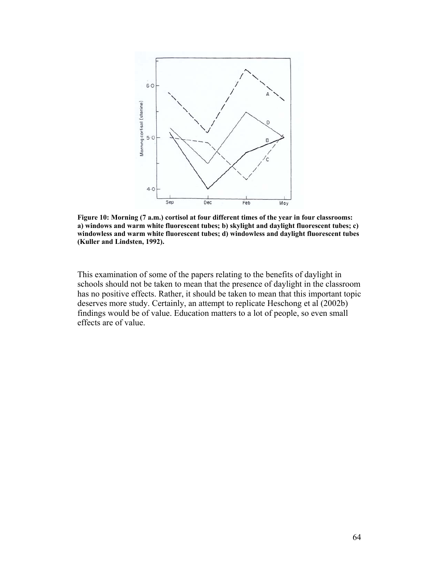

**Figure 10: Morning (7 a.m.) cortisol at four different times of the year in four classrooms: a) windows and warm white fluorescent tubes; b) skylight and daylight fluorescent tubes; c) windowless and warm white fluorescent tubes; d) windowless and daylight fluorescent tubes (Kuller and Lindsten, 1992).** 

This examination of some of the papers relating to the benefits of daylight in schools should not be taken to mean that the presence of daylight in the classroom has no positive effects. Rather, it should be taken to mean that this important topic deserves more study. Certainly, an attempt to replicate Heschong et al (2002b) findings would be of value. Education matters to a lot of people, so even small effects are of value.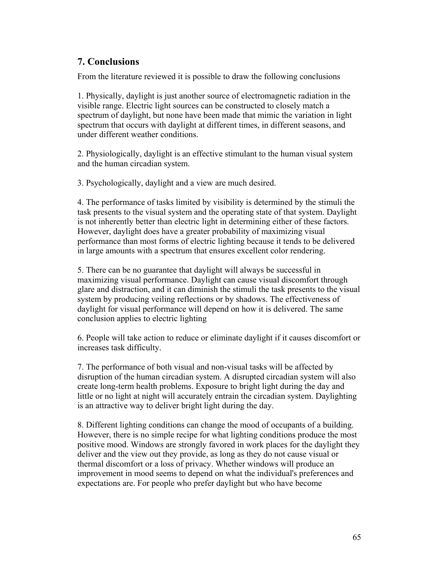# **7. Conclusions**

From the literature reviewed it is possible to draw the following conclusions

1. Physically, daylight is just another source of electromagnetic radiation in the visible range. Electric light sources can be constructed to closely match a spectrum of daylight, but none have been made that mimic the variation in light spectrum that occurs with daylight at different times, in different seasons, and under different weather conditions.

2. Physiologically, daylight is an effective stimulant to the human visual system and the human circadian system.

3. Psychologically, daylight and a view are much desired.

4. The performance of tasks limited by visibility is determined by the stimuli the task presents to the visual system and the operating state of that system. Daylight is not inherently better than electric light in determining either of these factors. However, daylight does have a greater probability of maximizing visual performance than most forms of electric lighting because it tends to be delivered in large amounts with a spectrum that ensures excellent color rendering.

5. There can be no guarantee that daylight will always be successful in maximizing visual performance. Daylight can cause visual discomfort through glare and distraction, and it can diminish the stimuli the task presents to the visual system by producing veiling reflections or by shadows. The effectiveness of daylight for visual performance will depend on how it is delivered. The same conclusion applies to electric lighting

6. People will take action to reduce or eliminate daylight if it causes discomfort or increases task difficulty.

7. The performance of both visual and non-visual tasks will be affected by disruption of the human circadian system. A disrupted circadian system will also create long-term health problems. Exposure to bright light during the day and little or no light at night will accurately entrain the circadian system. Daylighting is an attractive way to deliver bright light during the day.

8. Different lighting conditions can change the mood of occupants of a building. However, there is no simple recipe for what lighting conditions produce the most positive mood. Windows are strongly favored in work places for the daylight they deliver and the view out they provide, as long as they do not cause visual or thermal discomfort or a loss of privacy. Whether windows will produce an improvement in mood seems to depend on what the individual's preferences and expectations are. For people who prefer daylight but who have become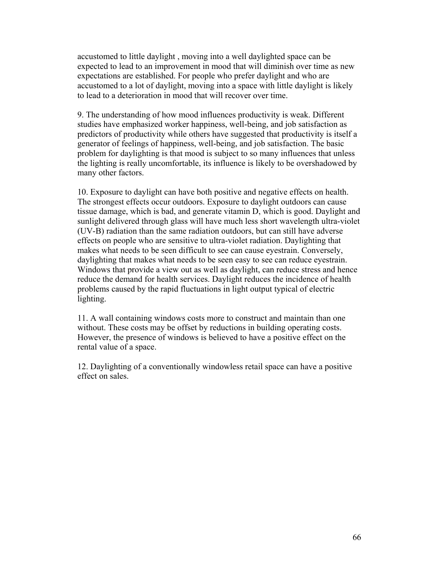accustomed to little daylight , moving into a well daylighted space can be expected to lead to an improvement in mood that will diminish over time as new expectations are established. For people who prefer daylight and who are accustomed to a lot of daylight, moving into a space with little daylight is likely to lead to a deterioration in mood that will recover over time.

9. The understanding of how mood influences productivity is weak. Different studies have emphasized worker happiness, well-being, and job satisfaction as predictors of productivity while others have suggested that productivity is itself a generator of feelings of happiness, well-being, and job satisfaction. The basic problem for daylighting is that mood is subject to so many influences that unless the lighting is really uncomfortable, its influence is likely to be overshadowed by many other factors.

10. Exposure to daylight can have both positive and negative effects on health. The strongest effects occur outdoors. Exposure to daylight outdoors can cause tissue damage, which is bad, and generate vitamin D, which is good. Daylight and sunlight delivered through glass will have much less short wavelength ultra-violet (UV-B) radiation than the same radiation outdoors, but can still have adverse effects on people who are sensitive to ultra-violet radiation. Daylighting that makes what needs to be seen difficult to see can cause eyestrain. Conversely, daylighting that makes what needs to be seen easy to see can reduce eyestrain. Windows that provide a view out as well as daylight, can reduce stress and hence reduce the demand for health services. Daylight reduces the incidence of health problems caused by the rapid fluctuations in light output typical of electric lighting.

11. A wall containing windows costs more to construct and maintain than one without. These costs may be offset by reductions in building operating costs. However, the presence of windows is believed to have a positive effect on the rental value of a space.

12. Daylighting of a conventionally windowless retail space can have a positive effect on sales.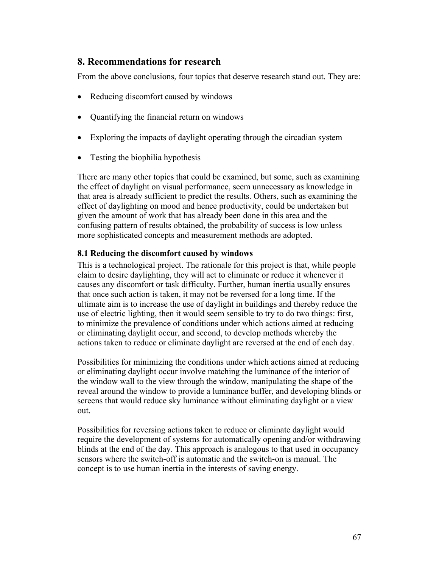# **8. Recommendations for research**

From the above conclusions, four topics that deserve research stand out. They are:

- Reducing discomfort caused by windows
- Quantifying the financial return on windows
- Exploring the impacts of daylight operating through the circadian system
- Testing the biophilia hypothesis

There are many other topics that could be examined, but some, such as examining the effect of daylight on visual performance, seem unnecessary as knowledge in that area is already sufficient to predict the results. Others, such as examining the effect of daylighting on mood and hence productivity, could be undertaken but given the amount of work that has already been done in this area and the confusing pattern of results obtained, the probability of success is low unless more sophisticated concepts and measurement methods are adopted.

## **8.1 Reducing the discomfort caused by windows**

This is a technological project. The rationale for this project is that, while people claim to desire daylighting, they will act to eliminate or reduce it whenever it causes any discomfort or task difficulty. Further, human inertia usually ensures that once such action is taken, it may not be reversed for a long time. If the ultimate aim is to increase the use of daylight in buildings and thereby reduce the use of electric lighting, then it would seem sensible to try to do two things: first, to minimize the prevalence of conditions under which actions aimed at reducing or eliminating daylight occur, and second, to develop methods whereby the actions taken to reduce or eliminate daylight are reversed at the end of each day.

Possibilities for minimizing the conditions under which actions aimed at reducing or eliminating daylight occur involve matching the luminance of the interior of the window wall to the view through the window, manipulating the shape of the reveal around the window to provide a luminance buffer, and developing blinds or screens that would reduce sky luminance without eliminating daylight or a view out.

Possibilities for reversing actions taken to reduce or eliminate daylight would require the development of systems for automatically opening and/or withdrawing blinds at the end of the day. This approach is analogous to that used in occupancy sensors where the switch-off is automatic and the switch-on is manual. The concept is to use human inertia in the interests of saving energy.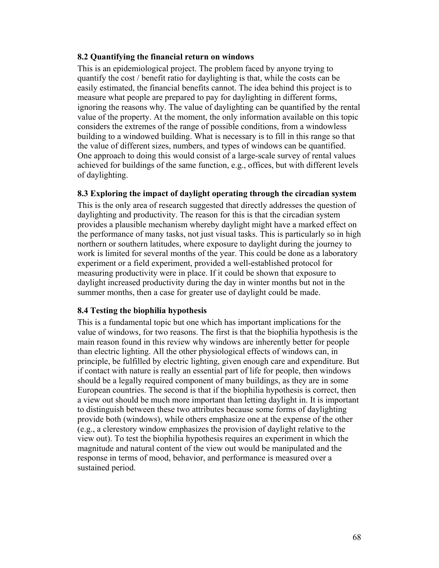## **8.2 Quantifying the financial return on windows**

This is an epidemiological project. The problem faced by anyone trying to quantify the cost / benefit ratio for daylighting is that, while the costs can be easily estimated, the financial benefits cannot. The idea behind this project is to measure what people are prepared to pay for daylighting in different forms, ignoring the reasons why. The value of daylighting can be quantified by the rental value of the property. At the moment, the only information available on this topic considers the extremes of the range of possible conditions, from a windowless building to a windowed building. What is necessary is to fill in this range so that the value of different sizes, numbers, and types of windows can be quantified. One approach to doing this would consist of a large-scale survey of rental values achieved for buildings of the same function, e.g., offices, but with different levels of daylighting.

## **8.3 Exploring the impact of daylight operating through the circadian system**

This is the only area of research suggested that directly addresses the question of daylighting and productivity. The reason for this is that the circadian system provides a plausible mechanism whereby daylight might have a marked effect on the performance of many tasks, not just visual tasks. This is particularly so in high northern or southern latitudes, where exposure to daylight during the journey to work is limited for several months of the year. This could be done as a laboratory experiment or a field experiment, provided a well-established protocol for measuring productivity were in place. If it could be shown that exposure to daylight increased productivity during the day in winter months but not in the summer months, then a case for greater use of daylight could be made.

## **8.4 Testing the biophilia hypothesis**

This is a fundamental topic but one which has important implications for the value of windows, for two reasons. The first is that the biophilia hypothesis is the main reason found in this review why windows are inherently better for people than electric lighting. All the other physiological effects of windows can, in principle, be fulfilled by electric lighting, given enough care and expenditure. But if contact with nature is really an essential part of life for people, then windows should be a legally required component of many buildings, as they are in some European countries. The second is that if the biophilia hypothesis is correct, then a view out should be much more important than letting daylight in. It is important to distinguish between these two attributes because some forms of daylighting provide both (windows), while others emphasize one at the expense of the other (e.g., a clerestory window emphasizes the provision of daylight relative to the view out). To test the biophilia hypothesis requires an experiment in which the magnitude and natural content of the view out would be manipulated and the response in terms of mood, behavior, and performance is measured over a sustained period.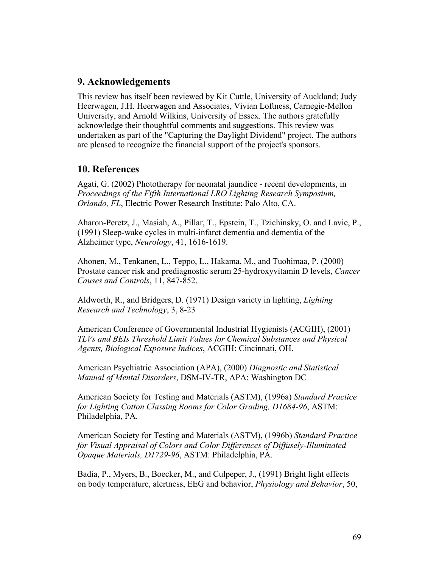# **9. Acknowledgements**

This review has itself been reviewed by Kit Cuttle, University of Auckland; Judy Heerwagen, J.H. Heerwagen and Associates, Vivian Loftness, Carnegie-Mellon University, and Arnold Wilkins, University of Essex. The authors gratefully acknowledge their thoughtful comments and suggestions. This review was undertaken as part of the "Capturing the Daylight Dividend" project. The authors are pleased to recognize the financial support of the project's sponsors.

# **10. References**

Agati, G. (2002) Phototherapy for neonatal jaundice - recent developments, in *Proceedings of the Fifth International LRO Lighting Research Symposium, Orlando, FL*, Electric Power Research Institute: Palo Alto, CA.

Aharon-Peretz, J., Masiah, A., Pillar, T., Epstein, T., Tzichinsky, O. and Lavie, P., (1991) Sleep-wake cycles in multi-infarct dementia and dementia of the Alzheimer type, *Neurology*, 41, 1616-1619.

Ahonen, M., Tenkanen, L., Teppo, L., Hakama, M., and Tuohimaa, P. (2000) Prostate cancer risk and prediagnostic serum 25-hydroxyvitamin D levels, *Cancer Causes and Controls*, 11, 847-852.

Aldworth, R., and Bridgers, D. (1971) Design variety in lighting, *Lighting Research and Technology*, 3, 8-23

American Conference of Governmental Industrial Hygienists (ACGIH), (2001) *TLVs and BEIs Threshold Limit Values for Chemical Substances and Physical Agents, Biological Exposure Indices*, ACGIH: Cincinnati, OH.

American Psychiatric Association (APA), (2000) *Diagnostic and Statistical Manual of Mental Disorders*, DSM-IV-TR, APA: Washington DC

American Society for Testing and Materials (ASTM), (1996a) *Standard Practice for Lighting Cotton Classing Rooms for Color Grading, D1684-96*, ASTM: Philadelphia, PA.

American Society for Testing and Materials (ASTM), (1996b) *Standard Practice for Visual Appraisal of Colors and Color Differences of Diffusely-Illuminated Opaque Materials, D1729-96*, ASTM: Philadelphia, PA.

Badia, P., Myers, B., Boecker, M., and Culpeper, J., (1991) Bright light effects on body temperature, alertness, EEG and behavior, *Physiology and Behavior*, 50,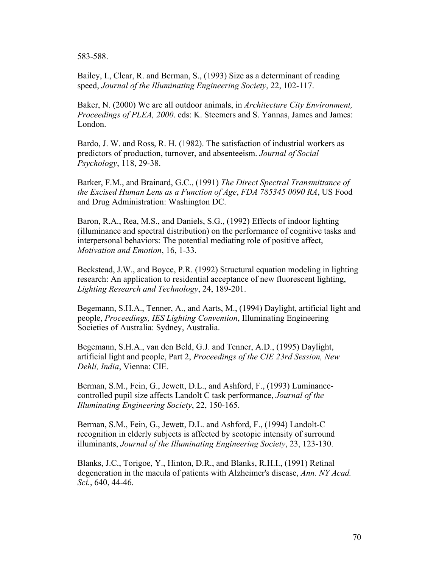583-588.

Bailey, I., Clear, R. and Berman, S., (1993) Size as a determinant of reading speed, *Journal of the Illuminating Engineering Society*, 22, 102-117.

Baker, N. (2000) We are all outdoor animals, in *Architecture City Environment, Proceedings of PLEA, 2000*. eds: K. Steemers and S. Yannas, James and James: London.

Bardo, J. W. and Ross, R. H. (1982). The satisfaction of industrial workers as predictors of production, turnover, and absenteeism. *Journal of Social Psychology*, 118, 29-38.

Barker, F.M., and Brainard, G.C., (1991) *The Direct Spectral Transmittance of the Excised Human Lens as a Function of Age*, *FDA 785345 0090 RA*, US Food and Drug Administration: Washington DC.

Baron, R.A., Rea, M.S., and Daniels, S.G., (1992) Effects of indoor lighting (illuminance and spectral distribution) on the performance of cognitive tasks and interpersonal behaviors: The potential mediating role of positive affect, *Motivation and Emotion*, 16, 1-33.

Beckstead, J.W., and Boyce, P.R. (1992) Structural equation modeling in lighting research: An application to residential acceptance of new fluorescent lighting, *Lighting Research and Technology*, 24, 189-201.

Begemann, S.H.A., Tenner, A., and Aarts, M., (1994) Daylight, artificial light and people, *Proceedings, IES Lighting Convention*, Illuminating Engineering Societies of Australia: Sydney, Australia.

Begemann, S.H.A., van den Beld, G.J. and Tenner, A.D., (1995) Daylight, artificial light and people, Part 2, *Proceedings of the CIE 23rd Session, New Dehli, India*, Vienna: CIE.

Berman, S.M., Fein, G., Jewett, D.L., and Ashford, F., (1993) Luminancecontrolled pupil size affects Landolt C task performance, *Journal of the Illuminating Engineering Society*, 22, 150-165.

Berman, S.M., Fein, G., Jewett, D.L. and Ashford, F., (1994) Landolt-C recognition in elderly subjects is affected by scotopic intensity of surround illuminants, *Journal of the Illuminating Engineering Society*, 23, 123-130.

Blanks, J.C., Torigoe, Y., Hinton, D.R., and Blanks, R.H.I., (1991) Retinal degeneration in the macula of patients with Alzheimer's disease, *Ann. NY Acad. Sci.*, 640, 44-46.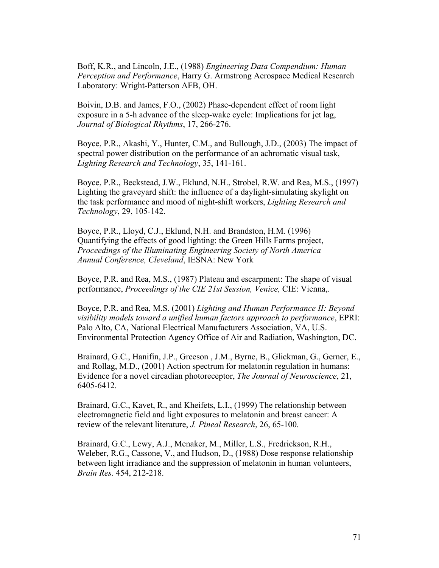Boff, K.R., and Lincoln, J.E., (1988) *Engineering Data Compendium: Human Perception and Performance*, Harry G. Armstrong Aerospace Medical Research Laboratory: Wright-Patterson AFB, OH.

Boivin, D.B. and James, F.O., (2002) Phase-dependent effect of room light exposure in a 5-h advance of the sleep-wake cycle: Implications for jet lag, *Journal of Biological Rhythms*, 17, 266-276.

Boyce, P.R., Akashi, Y., Hunter, C.M., and Bullough, J.D., (2003) The impact of spectral power distribution on the performance of an achromatic visual task, *Lighting Research and Technology*, 35, 141-161.

Boyce, P.R., Beckstead, J.W., Eklund, N.H., Strobel, R.W. and Rea, M.S., (1997) Lighting the graveyard shift: the influence of a daylight-simulating skylight on the task performance and mood of night-shift workers, *Lighting Research and Technology*, 29, 105-142.

Boyce, P.R., Lloyd, C.J., Eklund, N.H. and Brandston, H.M. (1996) Quantifying the effects of good lighting: the Green Hills Farms project, *Proceedings of the Illuminating Engineering Society of North America Annual Conference, Cleveland*, IESNA: New York

Boyce, P.R. and Rea, M.S., (1987) Plateau and escarpment: The shape of visual performance, *Proceedings of the CIE 21st Session, Venice,* CIE: Vienna,.

Boyce, P.R. and Rea, M.S. (2001) *Lighting and Human Performance II: Beyond visibility models toward a unified human factors approach to performance*, EPRI: Palo Alto, CA, National Electrical Manufacturers Association, VA, U.S. Environmental Protection Agency Office of Air and Radiation, Washington, DC.

Brainard, G.C., Hanifin, J.P., Greeson , J.M., Byrne, B., Glickman, G., Gerner, E., and Rollag, M.D., (2001) Action spectrum for melatonin regulation in humans: Evidence for a novel circadian photoreceptor, *The Journal of Neuroscience*, 21, 6405-6412.

Brainard, G.C., Kavet, R., and Kheifets, L.I., (1999) The relationship between electromagnetic field and light exposures to melatonin and breast cancer: A review of the relevant literature, *J. Pineal Research*, 26, 65-100.

Brainard, G.C., Lewy, A.J., Menaker, M., Miller, L.S., Fredrickson, R.H., Weleber, R.G., Cassone, V., and Hudson, D., (1988) Dose response relationship between light irradiance and the suppression of melatonin in human volunteers, *Brain Res*. 454, 212-218.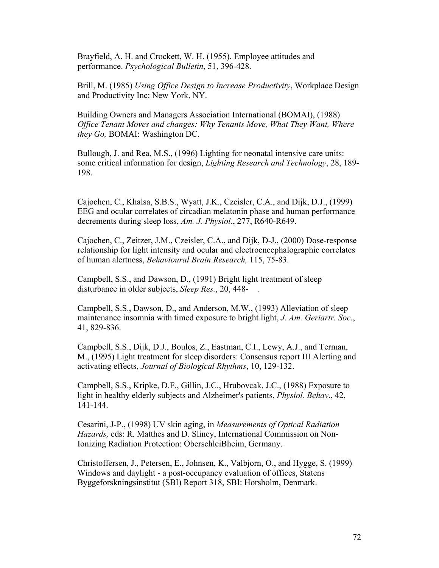Brayfield, A. H. and Crockett, W. H. (1955). Employee attitudes and performance. *Psychological Bulletin*, 51, 396-428.

Brill, M. (1985) *Using Office Design to Increase Productivity*, Workplace Design and Productivity Inc: New York, NY.

Building Owners and Managers Association International (BOMAI), (1988) *Office Tenant Moves and changes: Why Tenants Move, What They Want, Where they Go,* BOMAI: Washington DC.

Bullough, J. and Rea, M.S., (1996) Lighting for neonatal intensive care units: some critical information for design, *Lighting Research and Technology*, 28, 189- 198.

Cajochen, C., Khalsa, S.B.S., Wyatt, J.K., Czeisler, C.A., and Dijk, D.J., (1999) EEG and ocular correlates of circadian melatonin phase and human performance decrements during sleep loss, *Am. J. Physiol*., 277, R640-R649.

Cajochen, C., Zeitzer, J.M., Czeisler, C.A., and Dijk, D-J., (2000) Dose-response relationship for light intensity and ocular and electroencephalographic correlates of human alertness, *Behavioural Brain Research,* 115, 75-83.

Campbell, S.S., and Dawson, D., (1991) Bright light treatment of sleep disturbance in older subjects, *Sleep Res.*, 20, 448- .

Campbell, S.S., Dawson, D., and Anderson, M.W., (1993) Alleviation of sleep maintenance insomnia with timed exposure to bright light, *J. Am. Geriartr. Soc.*, 41, 829-836.

Campbell, S.S., Dijk, D.J., Boulos, Z., Eastman, C.I., Lewy, A.J., and Terman, M., (1995) Light treatment for sleep disorders: Consensus report III Alerting and activating effects, *Journal of Biological Rhythms*, 10, 129-132.

Campbell, S.S., Kripke, D.F., Gillin, J.C., Hrubovcak, J.C., (1988) Exposure to light in healthy elderly subjects and Alzheimer's patients, *Physiol. Behav*., 42, 141-144.

Cesarini, J-P., (1998) UV skin aging, in *Measurements of Optical Radiation Hazards,* eds: R. Matthes and D. Sliney, International Commission on Non-Ionizing Radiation Protection: OberschleiBheim, Germany.

Christoffersen, J., Petersen, E., Johnsen, K., Valbjorn, O., and Hygge, S. (1999) Windows and daylight - a post-occupancy evaluation of offices, Statens Byggeforskningsinstitut (SBI) Report 318, SBI: Horsholm, Denmark.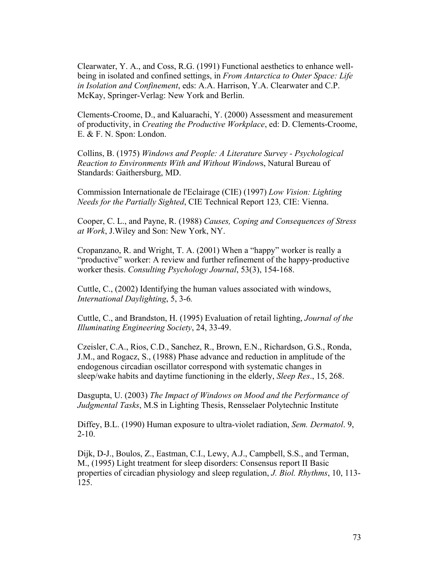Clearwater, Y. A., and Coss, R.G. (1991) Functional aesthetics to enhance wellbeing in isolated and confined settings, in *From Antarctica to Outer Space: Life in Isolation and Confinement*, eds: A.A. Harrison, Y.A. Clearwater and C.P. McKay, Springer-Verlag: New York and Berlin.

Clements-Croome, D., and Kaluarachi, Y. (2000) Assessment and measurement of productivity, in *Creating the Productive Workplace*, ed: D. Clements-Croome, E. & F. N. Spon: London.

Collins, B. (1975) *Windows and People: A Literature Survey - Psychological Reaction to Environments With and Without Window*s, Natural Bureau of Standards: Gaithersburg, MD.

Commission Internationale de l'Eclairage (CIE) (1997) *Low Vision: Lighting Needs for the Partially Sighted*, CIE Technical Report 123*,* CIE: Vienna.

Cooper, C. L., and Payne, R. (1988) *Causes, Coping and Consequences of Stress at Work*, J.Wiley and Son: New York, NY.

Cropanzano, R. and Wright, T. A. (2001) When a "happy" worker is really a "productive" worker: A review and further refinement of the happy-productive worker thesis. *Consulting Psychology Journal*, 53(3), 154-168.

Cuttle, C., (2002) Identifying the human values associated with windows, *International Daylighting*, 5, 3-6*.*

Cuttle, C., and Brandston, H. (1995) Evaluation of retail lighting, *Journal of the Illuminating Engineering Society*, 24, 33-49.

Czeisler, C.A., Rios, C.D., Sanchez, R., Brown, E.N., Richardson, G.S., Ronda, J.M., and Rogacz, S., (1988) Phase advance and reduction in amplitude of the endogenous circadian oscillator correspond with systematic changes in sleep/wake habits and daytime functioning in the elderly, *Sleep Res*., 15, 268.

Dasgupta, U. (2003) *The Impact of Windows on Mood and the Performance of Judgmental Tasks*, M.S in Lighting Thesis, Rensselaer Polytechnic Institute

Diffey, B.L. (1990) Human exposure to ultra-violet radiation, *Sem. Dermatol*. 9, 2-10.

Dijk, D-J., Boulos, Z., Eastman, C.I., Lewy, A.J., Campbell, S.S., and Terman, M., (1995) Light treatment for sleep disorders: Consensus report II Basic properties of circadian physiology and sleep regulation, *J. Biol. Rhythms*, 10, 113- 125.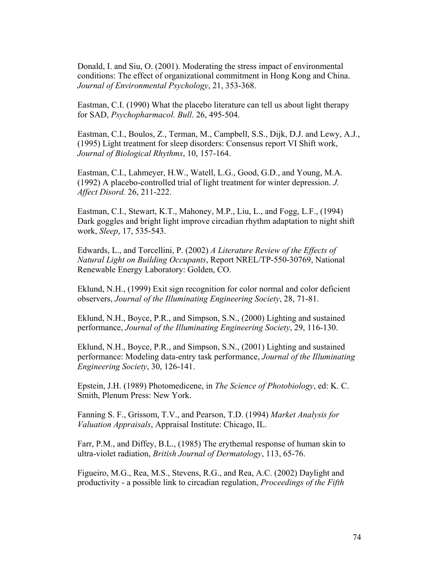Donald, I. and Siu, O. (2001). Moderating the stress impact of environmental conditions: The effect of organizational commitment in Hong Kong and China. *Journal of Environmental Psychology*, 21, 353-368.

Eastman, C.I. (1990) What the placebo literature can tell us about light therapy for SAD, *Psychopharmacol. Bull*. 26, 495-504.

Eastman, C.I., Boulos, Z., Terman, M., Campbell, S.S., Dijk, D.J. and Lewy, A.J., (1995) Light treatment for sleep disorders: Consensus report VI Shift work, *Journal of Biological Rhythms*, 10, 157-164.

Eastman, C.I., Lahmeyer, H.W., Watell, L.G., Good, G.D., and Young, M.A. (1992) A placebo-controlled trial of light treatment for winter depression. *J. Affect Disord.* 26, 211-222.

Eastman, C.I., Stewart, K.T., Mahoney, M.P., Liu, L., and Fogg, L.F., (1994) Dark goggles and bright light improve circadian rhythm adaptation to night shift work, *Sleep*, 17, 535-543.

Edwards, L., and Torcellini, P. (2002) *A Literature Review of the Effects of Natural Light on Building Occupants*, Report NREL/TP-550-30769, National Renewable Energy Laboratory: Golden, CO.

Eklund, N.H., (1999) Exit sign recognition for color normal and color deficient observers, *Journal of the Illuminating Engineering Society*, 28, 71-81.

Eklund, N.H., Boyce, P.R., and Simpson, S.N., (2000) Lighting and sustained performance, *Journal of the Illuminating Engineering Society*, 29, 116-130.

Eklund, N.H., Boyce, P.R., and Simpson, S.N., (2001) Lighting and sustained performance: Modeling data-entry task performance, *Journal of the Illuminating Engineering Society*, 30, 126-141.

Epstein, J.H. (1989) Photomedicene, in *The Science of Photobiology*, ed: K. C. Smith, Plenum Press: New York.

Fanning S. F., Grissom, T.V., and Pearson, T.D. (1994) *Market Analysis for Valuation Appraisals*, Appraisal Institute: Chicago, IL.

Farr, P.M., and Diffey, B.L., (1985) The erythemal response of human skin to ultra-violet radiation, *British Journal of Dermatology*, 113, 65-76.

Figueiro, M.G., Rea, M.S., Stevens, R.G., and Rea, A.C. (2002) Daylight and productivity - a possible link to circadian regulation, *Proceedings of the Fifth*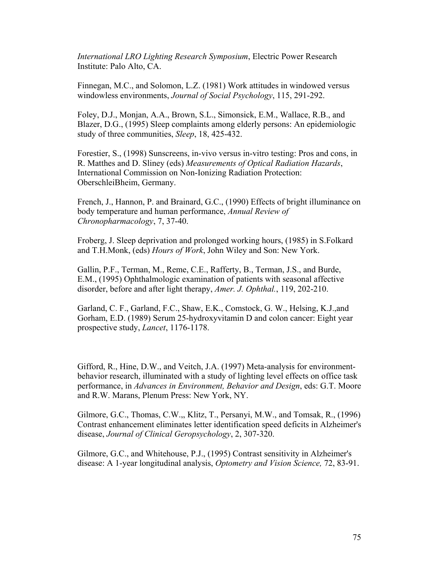*International LRO Lighting Research Symposium*, Electric Power Research Institute: Palo Alto, CA.

Finnegan, M.C., and Solomon, L.Z. (1981) Work attitudes in windowed versus windowless environments, *Journal of Social Psychology*, 115, 291-292.

Foley, D.J., Monjan, A.A., Brown, S.L., Simonsick, E.M., Wallace, R.B., and Blazer, D.G., (1995) Sleep complaints among elderly persons: An epidemiologic study of three communities, *Sleep*, 18, 425-432.

Forestier, S., (1998) Sunscreens, in-vivo versus in-vitro testing: Pros and cons, in R. Matthes and D. Sliney (eds) *Measurements of Optical Radiation Hazards*, International Commission on Non-Ionizing Radiation Protection: OberschleiBheim, Germany.

French, J., Hannon, P. and Brainard, G.C., (1990) Effects of bright illuminance on body temperature and human performance, *Annual Review of Chronopharmacology*, 7, 37-40.

Froberg, J. Sleep deprivation and prolonged working hours, (1985) in S.Folkard and T.H.Monk, (eds) *Hours of Work*, John Wiley and Son: New York.

Gallin, P.F., Terman, M., Reme, C.E., Rafferty, B., Terman, J.S., and Burde, E.M., (1995) Ophthalmologic examination of patients with seasonal affective disorder, before and after light therapy, *Amer. J. Ophthal.*, 119, 202-210.

Garland, C. F., Garland, F.C., Shaw, E.K., Comstock, G. W., Helsing, K.J.,and Gorham, E.D. (1989) Serum 25-hydroxyvitamin D and colon cancer: Eight year prospective study, *Lancet*, 1176-1178.

Gifford, R., Hine, D.W., and Veitch, J.A. (1997) Meta-analysis for environmentbehavior research, illuminated with a study of lighting level effects on office task performance, in *Advances in Environment, Behavior and Design*, eds: G.T. Moore and R.W. Marans, Plenum Press: New York, NY.

Gilmore, G.C., Thomas, C.W.,, Klitz, T., Persanyi, M.W., and Tomsak, R., (1996) Contrast enhancement eliminates letter identification speed deficits in Alzheimer's disease, *Journal of Clinical Geropsychology*, 2, 307-320.

Gilmore, G.C., and Whitehouse, P.J., (1995) Contrast sensitivity in Alzheimer's disease: A 1-year longitudinal analysis, *Optometry and Vision Science,* 72, 83-91.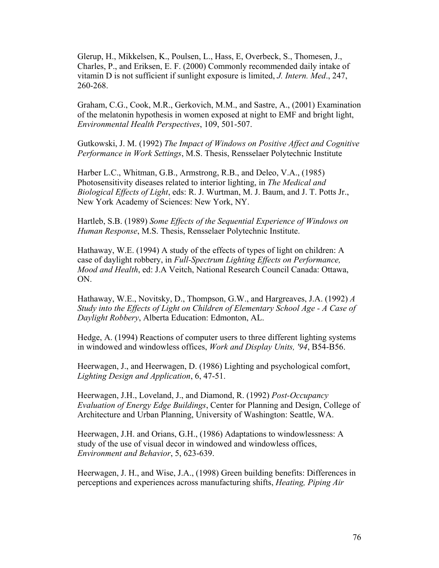Glerup, H., Mikkelsen, K., Poulsen, L., Hass, E, Overbeck, S., Thomesen, J., Charles, P., and Eriksen, E. F. (2000) Commonly recommended daily intake of vitamin D is not sufficient if sunlight exposure is limited, *J. Intern. Med*., 247, 260-268.

Graham, C.G., Cook, M.R., Gerkovich, M.M., and Sastre, A., (2001) Examination of the melatonin hypothesis in women exposed at night to EMF and bright light, *Environmental Health Perspectives*, 109, 501-507.

Gutkowski, J. M. (1992) *The Impact of Windows on Positive Affect and Cognitive Performance in Work Settings*, M.S. Thesis, Rensselaer Polytechnic Institute

Harber L.C., Whitman, G.B., Armstrong, R.B., and Deleo, V.A., (1985) Photosensitivity diseases related to interior lighting, in *The Medical and Biological Effects of Light*, eds: R. J. Wurtman, M. J. Baum, and J. T. Potts Jr., New York Academy of Sciences: New York, NY.

Hartleb, S.B. (1989) *Some Effects of the Sequential Experience of Windows on Human Response*, M.S. Thesis, Rensselaer Polytechnic Institute.

Hathaway, W.E. (1994) A study of the effects of types of light on children: A case of daylight robbery, in *Full-Spectrum Lighting Effects on Performance, Mood and Health*, ed: J.A Veitch, National Research Council Canada: Ottawa, ON.

Hathaway, W.E., Novitsky, D., Thompson, G.W., and Hargreaves, J.A. (1992) *A Study into the Effects of Light on Children of Elementary School Age - A Case of Daylight Robbery*, Alberta Education: Edmonton, AL.

Hedge, A. (1994) Reactions of computer users to three different lighting systems in windowed and windowless offices, *Work and Display Units, '94*, B54-B56.

Heerwagen, J., and Heerwagen, D. (1986) Lighting and psychological comfort, *Lighting Design and Application*, 6, 47-51.

Heerwagen, J.H., Loveland, J., and Diamond, R. (1992) *Post-Occupancy Evaluation of Energy Edge Buildings*, Center for Planning and Design, College of Architecture and Urban Planning, University of Washington: Seattle, WA.

Heerwagen, J.H. and Orians, G.H., (1986) Adaptations to windowlessness: A study of the use of visual decor in windowed and windowless offices, *Environment and Behavior*, 5, 623-639.

Heerwagen, J. H., and Wise, J.A., (1998) Green building benefits: Differences in perceptions and experiences across manufacturing shifts, *Heating, Piping Air*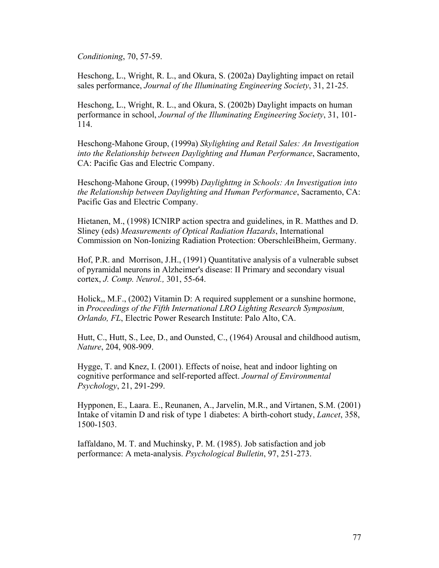*Conditioning*, 70, 57-59.

Heschong, L., Wright, R. L., and Okura, S. (2002a) Daylighting impact on retail sales performance, *Journal of the Illuminating Engineering Society*, 31, 21-25.

Heschong, L., Wright, R. L., and Okura, S. (2002b) Daylight impacts on human performance in school, *Journal of the Illuminating Engineering Society*, 31, 101- 114.

Heschong-Mahone Group, (1999a) *Skylighting and Retail Sales: An Investigation into the Relationship between Daylighting and Human Performance*, Sacramento, CA: Pacific Gas and Electric Company.

Heschong-Mahone Group, (1999b) *Daylighttng in Schools: An Investigation into the Relationship between Daylighting and Human Performance*, Sacramento, CA: Pacific Gas and Electric Company.

Hietanen, M., (1998) ICNIRP action spectra and guidelines, in R. Matthes and D. Sliney (eds) *Measurements of Optical Radiation Hazards*, International Commission on Non-Ionizing Radiation Protection: OberschleiBheim, Germany.

Hof, P.R. and Morrison, J.H., (1991) Quantitative analysis of a vulnerable subset of pyramidal neurons in Alzheimer's disease: II Primary and secondary visual cortex, *J. Comp. Neurol.,* 301, 55-64.

Holick,, M.F., (2002) Vitamin D: A required supplement or a sunshine hormone, in *Proceedings of the Fifth International LRO Lighting Research Symposium, Orlando, FL*, Electric Power Research Institute: Palo Alto, CA.

Hutt, C., Hutt, S., Lee, D., and Ounsted, C., (1964) Arousal and childhood autism, *Nature*, 204, 908-909.

Hygge, T. and Knez, I. (2001). Effects of noise, heat and indoor lighting on cognitive performance and self-reported affect. *Journal of Environmental Psychology*, 21, 291-299.

Hypponen, E., Laara. E., Reunanen, A., Jarvelin, M.R., and Virtanen, S.M. (2001) Intake of vitamin D and risk of type 1 diabetes: A birth-cohort study, *Lancet*, 358, 1500-1503.

Iaffaldano, M. T. and Muchinsky, P. M. (1985). Job satisfaction and job performance: A meta-analysis. *Psychological Bulletin*, 97, 251-273.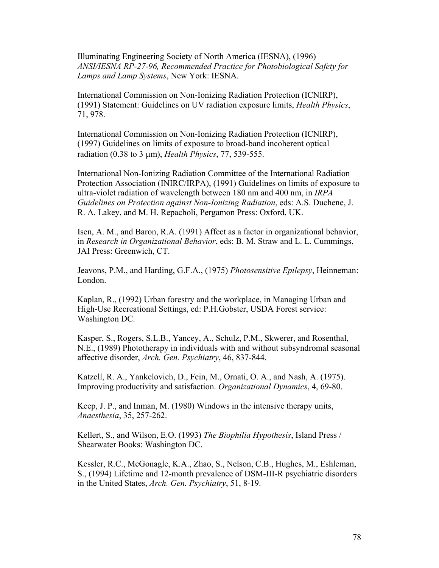Illuminating Engineering Society of North America (IESNA), (1996) *ANSI/IESNA RP-27-96, Recommended Practice for Photobiological Safety for Lamps and Lamp Systems*, New York: IESNA.

International Commission on Non-Ionizing Radiation Protection (ICNIRP), (1991) Statement: Guidelines on UV radiation exposure limits, *Health Physics*, 71, 978.

International Commission on Non-Ionizing Radiation Protection (ICNIRP), (1997) Guidelines on limits of exposure to broad-band incoherent optical radiation (0.38 to 3 µm), *Health Physics*, 77, 539-555.

International Non-Ionizing Radiation Committee of the International Radiation Protection Association (INIRC/IRPA), (1991) Guidelines on limits of exposure to ultra-violet radiation of wavelength between 180 nm and 400 nm, in *IRPA Guidelines on Protection against Non-Ionizing Radiation*, eds: A.S. Duchene, J. R. A. Lakey, and M. H. Repacholi, Pergamon Press: Oxford, UK.

Isen, A. M., and Baron, R.A. (1991) Affect as a factor in organizational behavior, in *Research in Organizational Behavior*, eds: B. M. Straw and L. L. Cummings, JAI Press: Greenwich, CT.

Jeavons, P.M., and Harding, G.F.A., (1975) *Photosensitive Epilepsy*, Heinneman: London.

Kaplan, R., (1992) Urban forestry and the workplace, in Managing Urban and High-Use Recreational Settings, ed: P.H.Gobster, USDA Forest service: Washington DC.

Kasper, S., Rogers, S.L.B., Yancey, A., Schulz, P.M., Skwerer, and Rosenthal, N.E., (1989) Phototherapy in individuals with and without subsyndromal seasonal affective disorder, *Arch. Gen. Psychiatry*, 46, 837-844.

Katzell, R. A., Yankelovich, D., Fein, M., Ornati, O. A., and Nash, A. (1975). Improving productivity and satisfaction. *Organizational Dynamics*, 4, 69-80.

Keep, J. P., and Inman, M. (1980) Windows in the intensive therapy units, *Anaesthesia*, 35, 257-262.

Kellert, S., and Wilson, E.O. (1993) *The Biophilia Hypothesis*, Island Press / Shearwater Books: Washington DC.

Kessler, R.C., McGonagle, K.A., Zhao, S., Nelson, C.B., Hughes, M., Eshleman, S., (1994) Lifetime and 12-month prevalence of DSM-III-R psychiatric disorders in the United States, *Arch. Gen. Psychiatry*, 51, 8-19.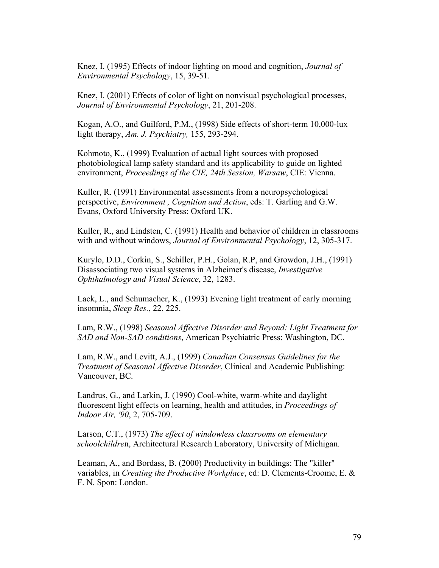Knez, I. (1995) Effects of indoor lighting on mood and cognition, *Journal of Environmental Psychology*, 15, 39-51.

Knez, I. (2001) Effects of color of light on nonvisual psychological processes, *Journal of Environmental Psychology*, 21, 201-208.

Kogan, A.O., and Guilford, P.M., (1998) Side effects of short-term 10,000-lux light therapy, *Am. J. Psychiatry,* 155, 293-294.

Kohmoto, K., (1999) Evaluation of actual light sources with proposed photobiological lamp safety standard and its applicability to guide on lighted environment, *Proceedings of the CIE, 24th Session, Warsaw*, CIE: Vienna.

Kuller, R. (1991) Environmental assessments from a neuropsychological perspective, *Environment , Cognition and Action*, eds: T. Garling and G.W. Evans, Oxford University Press: Oxford UK.

Kuller, R., and Lindsten, C. (1991) Health and behavior of children in classrooms with and without windows, *Journal of Environmental Psychology*, 12, 305-317.

Kurylo, D.D., Corkin, S., Schiller, P.H., Golan, R.P, and Growdon, J.H., (1991) Disassociating two visual systems in Alzheimer's disease, *Investigative Ophthalmology and Visual Science*, 32, 1283.

Lack, L., and Schumacher, K., (1993) Evening light treatment of early morning insomnia, *Sleep Res.*, 22, 225.

Lam, R.W., (1998) *Seasonal Affective Disorder and Beyond: Light Treatment for SAD and Non-SAD conditions*, American Psychiatric Press: Washington, DC.

Lam, R.W., and Levitt, A.J., (1999) *Canadian Consensus Guidelines for the Treatment of Seasonal Affective Disorder*, Clinical and Academic Publishing: Vancouver, BC.

Landrus, G., and Larkin, J. (1990) Cool-white, warm-white and daylight fluorescent light effects on learning, health and attitudes, in *Proceedings of Indoor Air, '90*, 2, 705-709.

Larson, C.T., (1973) *The effect of windowless classrooms on elementary schoolchildre*n, Architectural Research Laboratory, University of Michigan.

Leaman, A., and Bordass, B. (2000) Productivity in buildings: The "killer" variables, in *Creating the Productive Workplace*, ed: D. Clements-Croome, E. & F. N. Spon: London.

79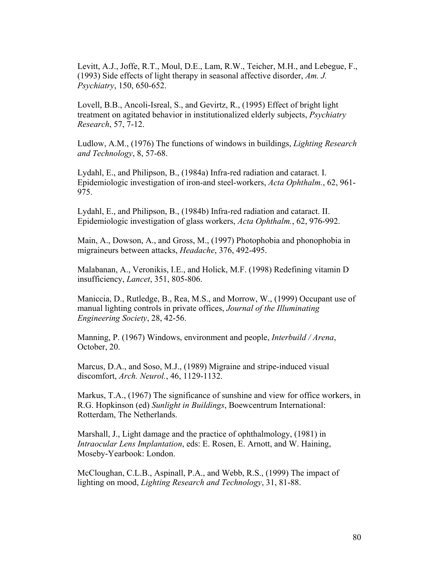Levitt, A.J., Joffe, R.T., Moul, D.E., Lam, R.W., Teicher, M.H., and Lebegue, F., (1993) Side effects of light therapy in seasonal affective disorder, *Am. J. Psychiatry*, 150, 650-652.

Lovell, B.B., Ancoli-Isreal, S., and Gevirtz, R., (1995) Effect of bright light treatment on agitated behavior in institutionalized elderly subjects, *Psychiatry Research*, 57, 7-12.

Ludlow, A.M., (1976) The functions of windows in buildings, *Lighting Research and Technology*, 8, 57-68.

Lydahl, E., and Philipson, B., (1984a) Infra-red radiation and cataract. I. Epidemiologic investigation of iron-and steel-workers, *Acta Ophthalm.*, 62, 961- 975.

Lydahl, E., and Philipson, B., (1984b) Infra-red radiation and cataract. II. Epidemiologic investigation of glass workers, *Acta Ophthalm.*, 62, 976-992.

Main, A., Dowson, A., and Gross, M., (1997) Photophobia and phonophobia in migraineurs between attacks, *Headache*, 376, 492-495.

Malabanan, A., Veronikis, I.E., and Holick, M.F. (1998) Redefining vitamin D insufficiency, *Lancet*, 351, 805-806.

Maniccia, D., Rutledge, B., Rea, M.S., and Morrow, W., (1999) Occupant use of manual lighting controls in private offices, *Journal of the Illuminating Engineering Society*, 28, 42-56.

Manning, P. (1967) Windows, environment and people, *Interbuild / Arena*, October, 20.

Marcus, D.A., and Soso, M.J., (1989) Migraine and stripe-induced visual discomfort, *Arch. Neurol.*, 46, 1129-1132.

Markus, T.A., (1967) The significance of sunshine and view for office workers, in R.G. Hopkinson (ed) *Sunlight in Buildings*, Boewcentrum International: Rotterdam, The Netherlands.

Marshall, J., Light damage and the practice of ophthalmology, (1981) in *Intraocular Lens Implantation*, eds: E. Rosen, E. Arnott, and W. Haining, Moseby-Yearbook: London.

McCloughan, C.L.B., Aspinall, P.A., and Webb, R.S., (1999) The impact of lighting on mood, *Lighting Research and Technology*, 31, 81-88.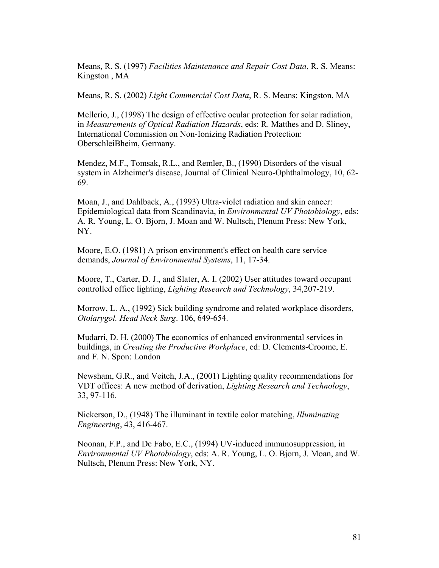Means, R. S. (1997) *Facilities Maintenance and Repair Cost Data*, R. S. Means: Kingston , MA

Means, R. S. (2002) *Light Commercial Cost Data*, R. S. Means: Kingston, MA

Mellerio, J., (1998) The design of effective ocular protection for solar radiation, in *Measurements of Optical Radiation Hazards*, eds: R. Matthes and D. Sliney, International Commission on Non-Ionizing Radiation Protection: OberschleiBheim, Germany.

Mendez, M.F., Tomsak, R.L., and Remler, B., (1990) Disorders of the visual system in Alzheimer's disease, Journal of Clinical Neuro-Ophthalmology, 10, 62- 69.

Moan, J., and Dahlback, A., (1993) Ultra-violet radiation and skin cancer: Epidemiological data from Scandinavia, in *Environmental UV Photobiology*, eds: A. R. Young, L. O. Bjorn, J. Moan and W. Nultsch, Plenum Press: New York, NY.

Moore, E.O. (1981) A prison environment's effect on health care service demands, *Journal of Environmental Systems*, 11, 17-34.

Moore, T., Carter, D. J., and Slater, A. I. (2002) User attitudes toward occupant controlled office lighting, *Lighting Research and Technology*, 34,207-219.

Morrow, L. A., (1992) Sick building syndrome and related workplace disorders, *Otolarygol. Head Neck Surg*. 106, 649-654.

Mudarri, D. H. (2000) The economics of enhanced environmental services in buildings, in *Creating the Productive Workplace*, ed: D. Clements-Croome, E. and F. N. Spon: London

Newsham, G.R., and Veitch, J.A., (2001) Lighting quality recommendations for VDT offices: A new method of derivation, *Lighting Research and Technology*, 33, 97-116.

Nickerson, D., (1948) The illuminant in textile color matching, *Illuminating Engineering*, 43, 416-467.

Noonan, F.P., and De Fabo, E.C., (1994) UV-induced immunosuppression, in *Environmental UV Photobiology*, eds: A. R. Young, L. O. Bjorn, J. Moan, and W. Nultsch, Plenum Press: New York, NY.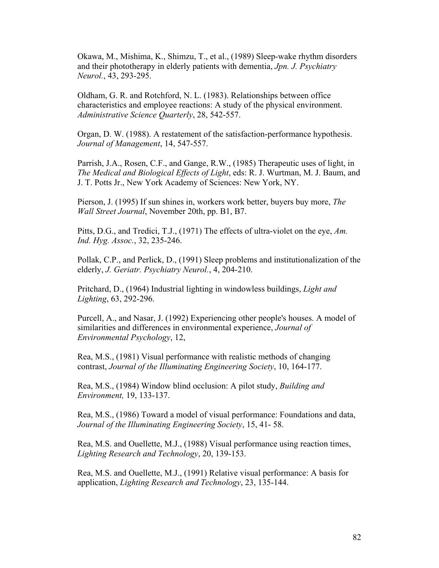Okawa, M., Mishima, K., Shimzu, T., et al., (1989) Sleep-wake rhythm disorders and their phototherapy in elderly patients with dementia, *Jpn. J. Psychiatry Neurol.*, 43, 293-295.

Oldham, G. R. and Rotchford, N. L. (1983). Relationships between office characteristics and employee reactions: A study of the physical environment. *Administrative Science Quarterly*, 28, 542-557.

Organ, D. W. (1988). A restatement of the satisfaction-performance hypothesis. *Journal of Management*, 14, 547-557.

Parrish, J.A., Rosen, C.F., and Gange, R.W., (1985) Therapeutic uses of light, in *The Medical and Biological Effects of Light*, eds: R. J. Wurtman, M. J. Baum, and J. T. Potts Jr., New York Academy of Sciences: New York, NY.

Pierson, J. (1995) If sun shines in, workers work better, buyers buy more, *The Wall Street Journal*, November 20th, pp. B1, B7.

Pitts, D.G., and Tredici, T.J., (1971) The effects of ultra-violet on the eye, *Am. Ind. Hyg. Assoc.*, 32, 235-246.

Pollak, C.P., and Perlick, D., (1991) Sleep problems and institutionalization of the elderly, *J. Geriatr. Psychiatry Neurol.*, 4, 204-210.

Pritchard, D., (1964) Industrial lighting in windowless buildings, *Light and Lighting*, 63, 292-296.

Purcell, A., and Nasar, J. (1992) Experiencing other people's houses. A model of similarities and differences in environmental experience, *Journal of Environmental Psychology*, 12,

Rea, M.S., (1981) Visual performance with realistic methods of changing contrast, *Journal of the Illuminating Engineering Society*, 10, 164-177.

Rea, M.S., (1984) Window blind occlusion: A pilot study, *Building and Environment,* 19, 133-137.

Rea, M.S., (1986) Toward a model of visual performance: Foundations and data, *Journal of the Illuminating Engineering Society*, 15, 41- 58.

Rea, M.S. and Ouellette, M.J., (1988) Visual performance using reaction times, *Lighting Research and Technology*, 20, 139-153.

Rea, M.S. and Ouellette, M.J., (1991) Relative visual performance: A basis for application, *Lighting Research and Technology*, 23, 135-144.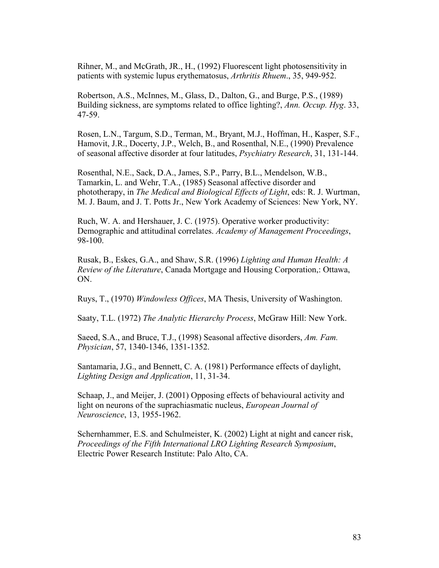Rihner, M., and McGrath, JR., H., (1992) Fluorescent light photosensitivity in patients with systemic lupus erythematosus, *Arthritis Rhuem*., 35, 949-952.

Robertson, A.S., McInnes, M., Glass, D., Dalton, G., and Burge, P.S., (1989) Building sickness, are symptoms related to office lighting?, *Ann. Occup. Hyg*. 33, 47-59.

Rosen, L.N., Targum, S.D., Terman, M., Bryant, M.J., Hoffman, H., Kasper, S.F., Hamovit, J.R., Docerty, J.P., Welch, B., and Rosenthal, N.E., (1990) Prevalence of seasonal affective disorder at four latitudes, *Psychiatry Research*, 31, 131-144.

Rosenthal, N.E., Sack, D.A., James, S.P., Parry, B.L., Mendelson, W.B., Tamarkin, L. and Wehr, T.A., (1985) Seasonal affective disorder and phototherapy, in *The Medical and Biological Effects of Light*, eds: R. J. Wurtman, M. J. Baum, and J. T. Potts Jr., New York Academy of Sciences: New York, NY.

Ruch, W. A. and Hershauer, J. C. (1975). Operative worker productivity: Demographic and attitudinal correlates. *Academy of Management Proceedings*, 98-100.

Rusak, B., Eskes, G.A., and Shaw, S.R. (1996) *Lighting and Human Health: A Review of the Literature*, Canada Mortgage and Housing Corporation,: Ottawa, ON.

Ruys, T., (1970) *Windowless Offices*, MA Thesis, University of Washington.

Saaty, T.L. (1972) *The Analytic Hierarchy Process*, McGraw Hill: New York.

Saeed, S.A., and Bruce, T.J., (1998) Seasonal affective disorders, *Am. Fam. Physician*, 57, 1340-1346, 1351-1352.

Santamaria, J.G., and Bennett, C. A. (1981) Performance effects of daylight, *Lighting Design and Application*, 11, 31-34.

Schaap, J., and Meijer, J. (2001) Opposing effects of behavioural activity and light on neurons of the suprachiasmatic nucleus, *European Journal of Neuroscience*, 13, 1955-1962.

Schernhammer, E.S. and Schulmeister, K. (2002) Light at night and cancer risk, *Proceedings of the Fifth International LRO Lighting Research Symposium*, Electric Power Research Institute: Palo Alto, CA.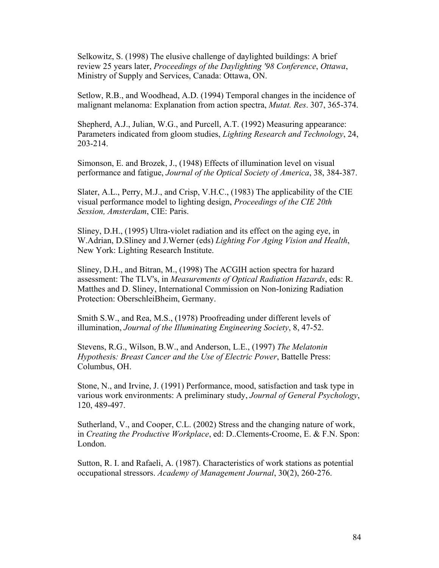Selkowitz, S. (1998) The elusive challenge of daylighted buildings: A brief review 25 years later, *Proceedings of the Daylighting '98 Conference*, *Ottawa*, Ministry of Supply and Services, Canada: Ottawa, ON.

Setlow, R.B., and Woodhead, A.D. (1994) Temporal changes in the incidence of malignant melanoma: Explanation from action spectra, *Mutat. Res*. 307, 365-374.

Shepherd, A.J., Julian, W.G., and Purcell, A.T. (1992) Measuring appearance: Parameters indicated from gloom studies, *Lighting Research and Technology*, 24, 203-214.

Simonson, E. and Brozek, J., (1948) Effects of illumination level on visual performance and fatigue, *Journal of the Optical Society of America*, 38, 384-387.

Slater, A.L., Perry, M.J., and Crisp, V.H.C., (1983) The applicability of the CIE visual performance model to lighting design, *Proceedings of the CIE 20th Session, Amsterdam*, CIE: Paris.

Sliney, D.H., (1995) Ultra-violet radiation and its effect on the aging eye, in W.Adrian, D.Sliney and J.Werner (eds) *Lighting For Aging Vision and Health*, New York: Lighting Research Institute.

Sliney, D.H., and Bitran, M., (1998) The ACGIH action spectra for hazard assessment: The TLV's, in *Measurements of Optical Radiation Hazards*, eds: R. Matthes and D. Sliney, International Commission on Non-Ionizing Radiation Protection: OberschleiBheim, Germany.

Smith S.W., and Rea, M.S., (1978) Proofreading under different levels of illumination, *Journal of the Illuminating Engineering Society*, 8, 47-52.

Stevens, R.G., Wilson, B.W., and Anderson, L.E., (1997) *The Melatonin Hypothesi*s*: Breast Cancer and the Use of Electric Power*, Battelle Press: Columbus, OH.

Stone, N., and Irvine, J. (1991) Performance, mood, satisfaction and task type in various work environments: A preliminary study, *Journal of General Psychology*, 120, 489-497.

Sutherland, V., and Cooper, C.L. (2002) Stress and the changing nature of work, in *Creating the Productive Workplace*, ed: D..Clements-Croome, E. & F.N. Spon: London.

Sutton, R. I. and Rafaeli, A. (1987). Characteristics of work stations as potential occupational stressors. *Academy of Management Journal*, 30(2), 260-276.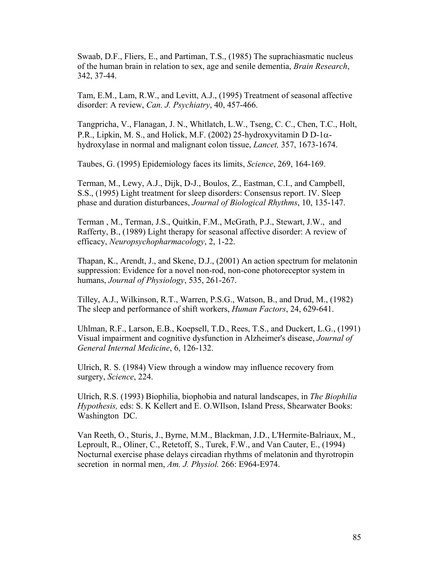Swaab, D.F., Fliers, E., and Partiman, T.S., (1985) The suprachiasmatic nucleus of the human brain in relation to sex, age and senile dementia, *Brain Research*, 342, 37-44.

Tam, E.M., Lam, R.W., and Levitt, A.J., (1995) Treatment of seasonal affective disorder: A review, *Can. J. Psychiatry*, 40, 457-466.

Tangpricha, V., Flanagan, J. N., Whitlatch, L.W., Tseng, C. C., Chen, T.C., Holt, P.R., Lipkin, M. S., and Holick, M.F. (2002) 25-hydroxyvitamin D D-1 $\alpha$ hydroxylase in normal and malignant colon tissue, *Lancet,* 357, 1673-1674.

Taubes, G. (1995) Epidemiology faces its limits, *Science*, 269, 164-169.

Terman, M., Lewy, A.J., Dijk, D-J., Boulos, Z., Eastman, C.I., and Campbell, S.S., (1995) Light treatment for sleep disorders: Consensus report. IV. Sleep phase and duration disturbances, *Journal of Biological Rhythms*, 10, 135-147.

Terman , M., Terman, J.S., Quitkin, F.M., McGrath, P.J., Stewart, J.W., and Rafferty, B., (1989) Light therapy for seasonal affective disorder: A review of efficacy, *Neuropsychopharmacology*, 2, 1-22.

Thapan, K., Arendt, J., and Skene, D.J., (2001) An action spectrum for melatonin suppression: Evidence for a novel non-rod, non-cone photoreceptor system in humans, *Journal of Physiology*, 535, 261-267.

Tilley, A.J., Wilkinson, R.T., Warren, P.S.G., Watson, B., and Drud, M., (1982) The sleep and performance of shift workers, *Human Factors*, 24, 629-641.

Uhlman, R.F., Larson, E.B., Koepsell, T.D., Rees, T.S., and Duckert, L.G., (1991) Visual impairment and cognitive dysfunction in Alzheimer's disease, *Journal of General Internal Medicine*, 6, 126-132.

Ulrich, R. S. (1984) View through a window may influence recovery from surgery, *Science*, 224.

Ulrich, R.S. (1993) Biophilia, biophobia and natural landscapes, in *The Biophilia Hypothesis,* eds: S. K Kellert and E. O.WIlson, Island Press, Shearwater Books: Washington DC.

Van Reeth, O., Sturis, J., Byrne, M.M., Blackman, J.D., L'Hermite-Balriaux, M., Leproult, R., Oliner, C., Retetoff, S., Turek, F.W., and Van Cauter, E., (1994) Nocturnal exercise phase delays circadian rhythms of melatonin and thyrotropin secretion in normal men, *Am. J. Physiol.* 266: E964-E974.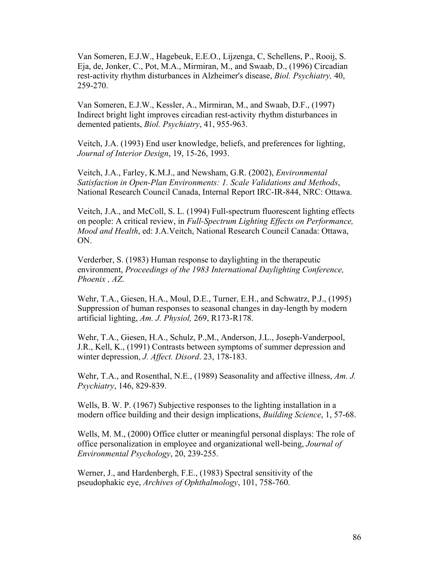Van Someren, E.J.W., Hagebeuk, E.E.O., Lijzenga, C, Schellens, P., Rooij, S. Eja, de, Jonker, C., Pot, M.A., Mirmiran, M., and Swaab, D., (1996) Circadian rest-activity rhythm disturbances in Alzheimer's disease, *Biol. Psychiatry,* 40, 259-270.

Van Someren, E.J.W., Kessler, A., Mirmiran, M., and Swaab, D.F., (1997) Indirect bright light improves circadian rest-activity rhythm disturbances in demented patients, *Biol. Psychiatry*, 41, 955-963.

Veitch, J.A. (1993) End user knowledge, beliefs, and preferences for lighting, *Journal of Interior Design*, 19, 15-26, 1993.

Veitch, J.A., Farley, K.M.J., and Newsham, G.R. (2002), *Environmental Satisfaction in Open-Plan Environments: 1. Scale Validations and Methods*, National Research Council Canada, Internal Report IRC-IR-844, NRC: Ottawa.

Veitch, J.A., and McColl, S. L. (1994) Full-spectrum fluorescent lighting effects on people: A critical review, in *Full-Spectrum Lighting Effects on Performance, Mood and Health*, ed: J.A.Veitch, National Research Council Canada: Ottawa, ON.

Verderber, S. (1983) Human response to daylighting in the therapeutic environment, *Proceedings of the 1983 International Daylighting Conference, Phoenix , AZ*.

Wehr, T.A., Giesen, H.A., Moul, D.E., Turner, E.H., and Schwatrz, P.J., (1995) Suppression of human responses to seasonal changes in day-length by modern artificial lighting, *Am. J. Physiol,* 269, R173-R178.

Wehr, T.A., Giesen, H.A., Schulz, P.,M., Anderson, J.L., Joseph-Vanderpool, J.R., Kell, K., (1991) Contrasts between symptoms of summer depression and winter depression, *J. Affect. Disord*. 23, 178-183.

Wehr, T.A., and Rosenthal, N.E., (1989) Seasonality and affective illness, *Am. J. Psychiatry*, 146, 829-839.

Wells, B. W. P. (1967) Subjective responses to the lighting installation in a modern office building and their design implications, *Building Science*, 1, 57-68.

Wells, M. M., (2000) Office clutter or meaningful personal displays: The role of office personalization in employee and organizational well-being, *Journal of Environmental Psychology*, 20, 239-255.

Werner, J., and Hardenbergh, F.E., (1983) Spectral sensitivity of the pseudophakic eye, *Archives of Ophthalmology*, 101, 758-760.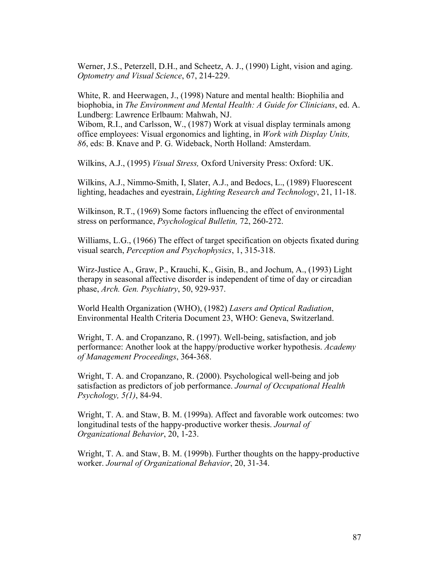Werner, J.S., Peterzell, D.H., and Scheetz, A. J., (1990) Light, vision and aging. *Optometry and Visual Science*, 67, 214-229.

White, R. and Heerwagen, J., (1998) Nature and mental health: Biophilia and biophobia, in *The Environment and Mental Health: A Guide for Clinicians*, ed. A. Lundberg: Lawrence Erlbaum: Mahwah, NJ.

Wibom, R.I., and Carlsson, W., (1987) Work at visual display terminals among office employees: Visual ergonomics and lighting, in *Work with Display Units, 86*, eds: B. Knave and P. G. Wideback, North Holland: Amsterdam.

Wilkins, A.J., (1995) *Visual Stress,* Oxford University Press: Oxford: UK.

Wilkins, A.J., Nimmo-Smith, I, Slater, A.J., and Bedocs, L., (1989) Fluorescent lighting, headaches and eyestrain, *Lighting Research and Technology*, 21, 11-18.

Wilkinson, R.T., (1969) Some factors influencing the effect of environmental stress on performance, *Psychological Bulletin,* 72, 260-272.

Williams, L.G., (1966) The effect of target specification on objects fixated during visual search, *Perception and Psychophysics*, 1, 315-318.

Wirz-Justice A., Graw, P., Krauchi, K., Gisin, B., and Jochum, A., (1993) Light therapy in seasonal affective disorder is independent of time of day or circadian phase, *Arch. Gen. Psychiatry*, 50, 929-937.

World Health Organization (WHO), (1982) *Lasers and Optical Radiation*, Environmental Health Criteria Document 23, WHO: Geneva, Switzerland.

Wright, T. A. and Cropanzano, R. (1997). Well-being, satisfaction, and job performance: Another look at the happy/productive worker hypothesis. *Academy of Management Proceedings*, 364-368.

Wright, T. A. and Cropanzano, R. (2000). Psychological well-being and job satisfaction as predictors of job performance. *Journal of Occupational Health Psychology, 5(1)*, 84-94.

Wright, T. A. and Staw, B. M. (1999a). Affect and favorable work outcomes: two longitudinal tests of the happy-productive worker thesis. *Journal of Organizational Behavior*, 20, 1-23.

Wright, T. A. and Staw, B. M. (1999b). Further thoughts on the happy-productive worker. *Journal of Organizational Behavior*, 20, 31-34.